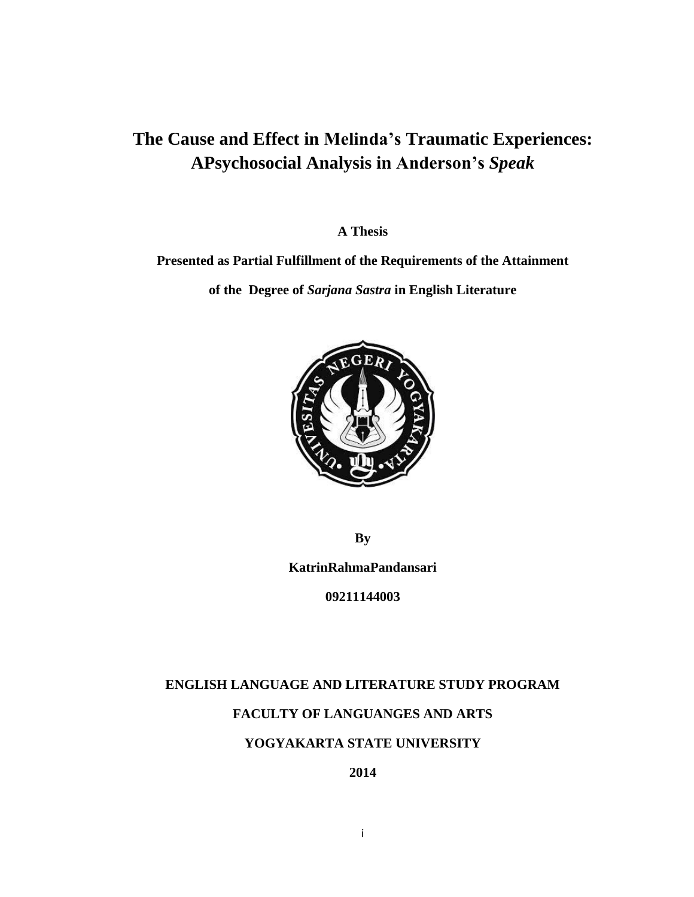# **The Cause and Effect in Melinda's Traumatic Experiences: APsychosocial Analysis in Anderson's** *Speak*

**A Thesis**

**Presented as Partial Fulfillment of the Requirements of the Attainment**

**of the Degree of** *Sarjana Sastra* **in English Literature**



**By**

**KatrinRahmaPandansari**

**09211144003**

### **ENGLISH LANGUAGE AND LITERATURE STUDY PROGRAM**

## **FACULTY OF LANGUANGES AND ARTS**

### **YOGYAKARTA STATE UNIVERSITY**

**2014**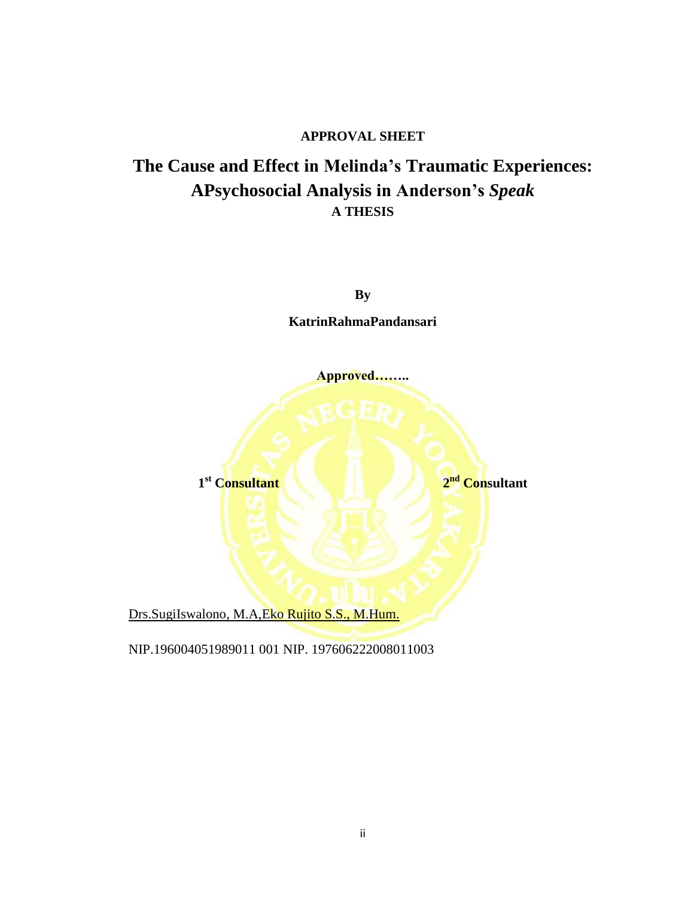### **APPROVAL SHEET**

# **The Cause and Effect in Melinda's Traumatic Experiences: APsychosocial Analysis in Anderson's** *Speak* **A THESIS**



Drs.SugiIswalono, M.A, Eko Rujito S.S., M.Hum.

NIP.196004051989011 001 NIP. 197606222008011003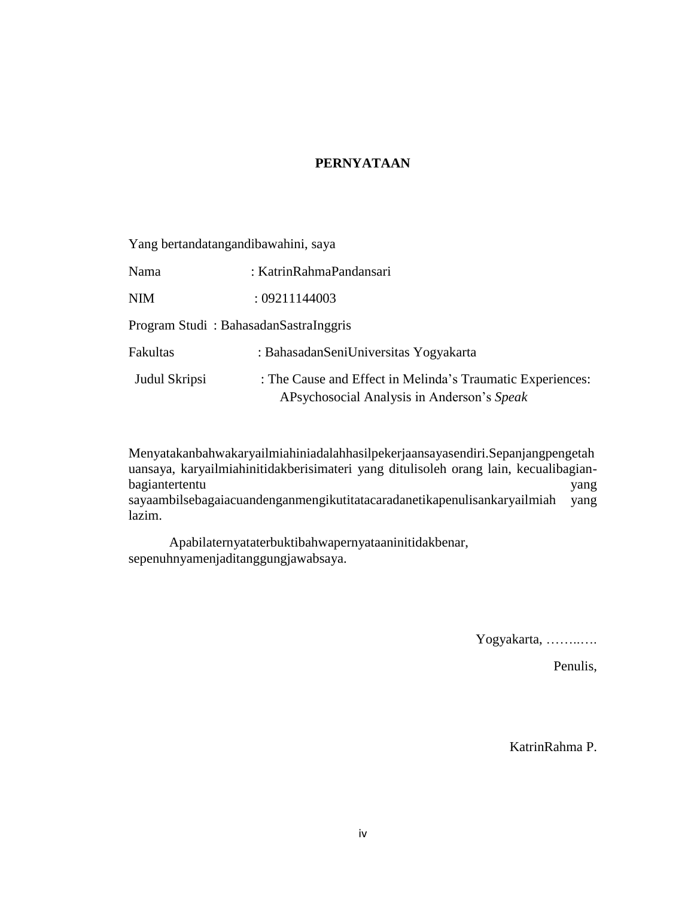### **PERNYATAAN**

Yang bertandatangandibawahini, saya

Nama : KatrinRahmaPandansari

NIM : 09211144003

Program Studi : BahasadanSastraInggris

| Fakultas      | : Bahasadan Seni Universitas Yogyakarta                    |
|---------------|------------------------------------------------------------|
| Judul Skripsi | : The Cause and Effect in Melinda's Traumatic Experiences: |
|               | APsychosocial Analysis in Anderson's Speak                 |

Menyatakanbahwakaryailmiahiniadalahhasilpekerjaansayasendiri.Sepanjangpengetah uansaya, karyailmiahinitidakberisimateri yang ditulisoleh orang lain, kecualibagianbagiantertentu yang sayaambilsebagaiacuandenganmengikutitatacaradanetikapenulisankaryailmiah yang lazim.

Apabilaternyataterbuktibahwapernyataaninitidakbenar, sepenuhnyamenjaditanggungjawabsaya.

Yogyakarta, ……..….

Penulis,

KatrinRahma P.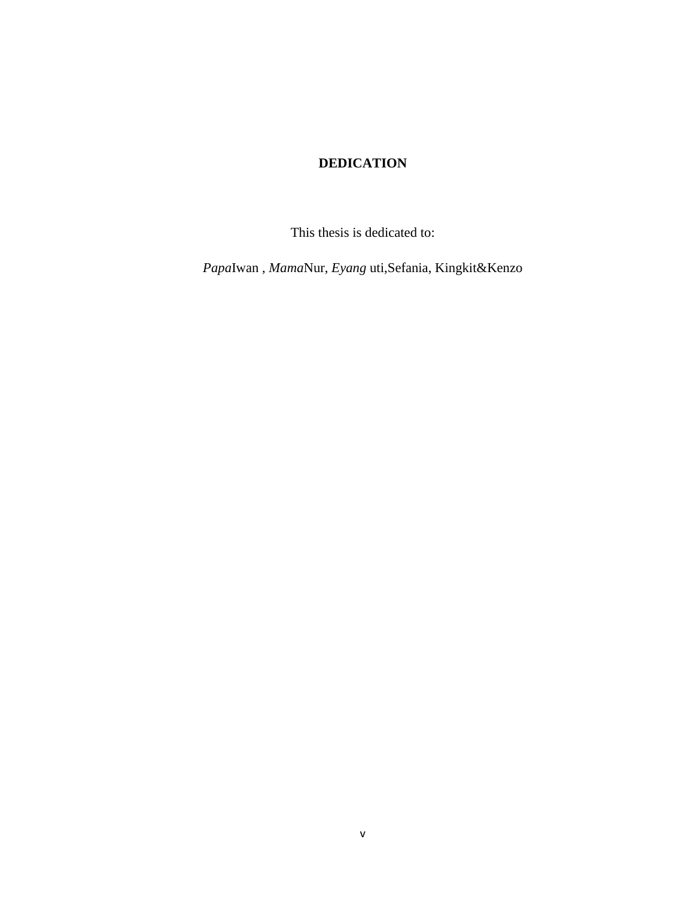## **DEDICATION**

This thesis is dedicated to:

*Papa*Iwan , *Mama*Nur, *Eyang* uti,Sefania, Kingkit&Kenzo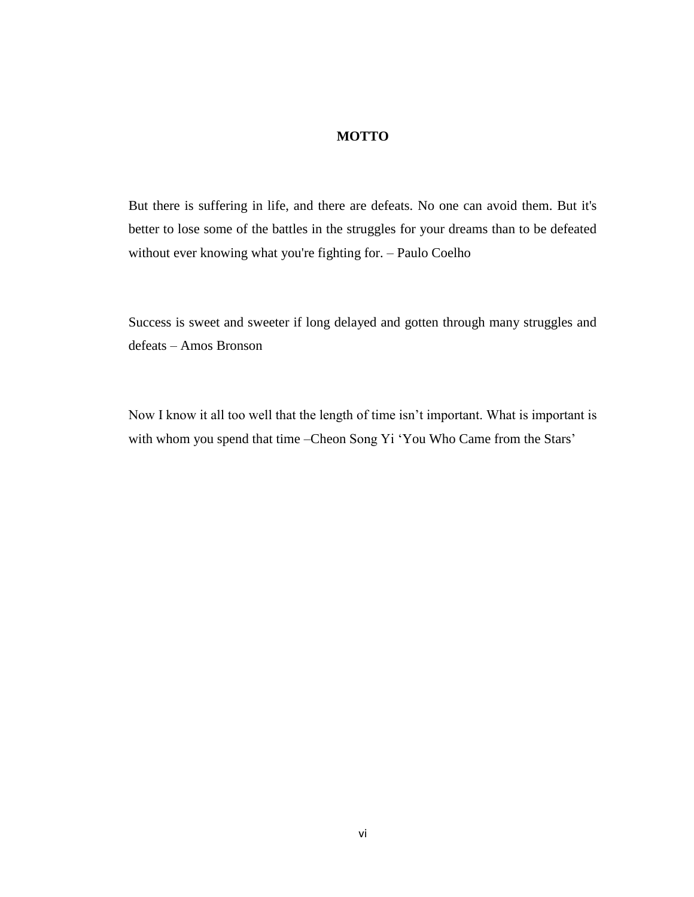### **MOTTO**

But there is suffering in life, and there are defeats. No one can avoid them. But it's better to lose some of the battles in the struggles for your dreams than to be defeated without ever knowing what you're fighting for. – Paulo Coelho

Success is sweet and sweeter if long delayed and gotten through many struggles and defeats – Amos Bronson

Now I know it all too well that the length of time isn't important. What is important is with whom you spend that time –Cheon Song Yi 'You Who Came from the Stars'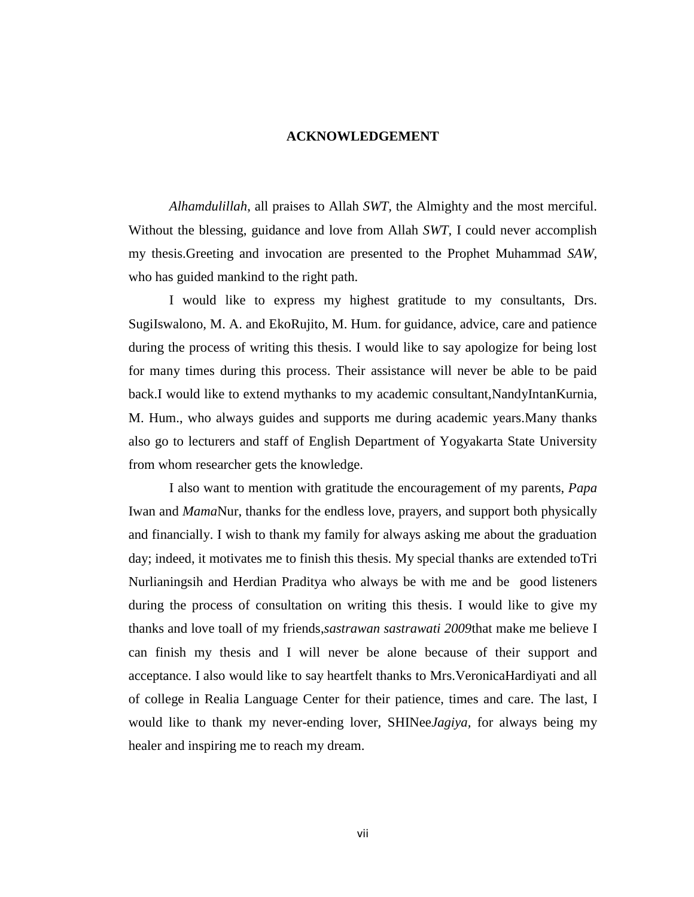#### **ACKNOWLEDGEMENT**

*Alhamdulillah*, all praises to Allah *SWT,* the Almighty and the most merciful. Without the blessing, guidance and love from Allah *SWT*, I could never accomplish my thesis.Greeting and invocation are presented to the Prophet Muhammad *SAW*, who has guided mankind to the right path.

I would like to express my highest gratitude to my consultants, Drs. SugiIswalono, M. A. and EkoRujito, M. Hum. for guidance, advice, care and patience during the process of writing this thesis. I would like to say apologize for being lost for many times during this process. Their assistance will never be able to be paid back.I would like to extend mythanks to my academic consultant,NandyIntanKurnia, M. Hum., who always guides and supports me during academic years.Many thanks also go to lecturers and staff of English Department of Yogyakarta State University from whom researcher gets the knowledge.

I also want to mention with gratitude the encouragement of my parents, *Papa*  Iwan and *Mama*Nur, thanks for the endless love, prayers, and support both physically and financially. I wish to thank my family for always asking me about the graduation day; indeed, it motivates me to finish this thesis. My special thanks are extended toTri Nurlianingsih and Herdian Praditya who always be with me and be good listeners during the process of consultation on writing this thesis. I would like to give my thanks and love toall of my friends,*sastrawan sastrawati 2009*that make me believe I can finish my thesis and I will never be alone because of their support and acceptance. I also would like to say heartfelt thanks to Mrs.VeronicaHardiyati and all of college in Realia Language Center for their patience, times and care. The last, I would like to thank my never-ending lover, SHINee*Jagiya,* for always being my healer and inspiring me to reach my dream.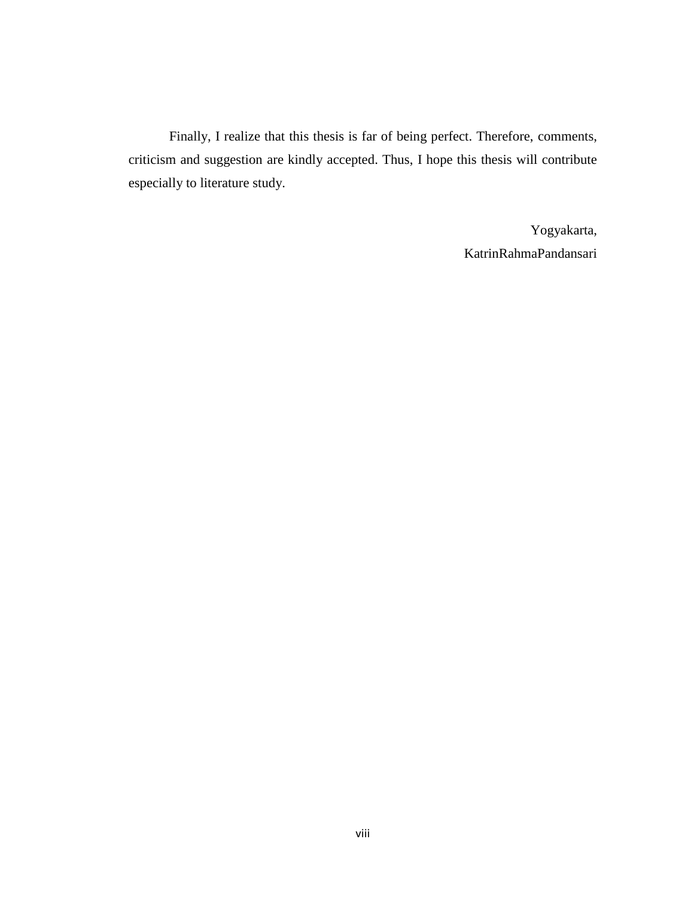Finally, I realize that this thesis is far of being perfect. Therefore, comments, criticism and suggestion are kindly accepted. Thus, I hope this thesis will contribute especially to literature study.

> Yogyakarta, KatrinRahmaPandansari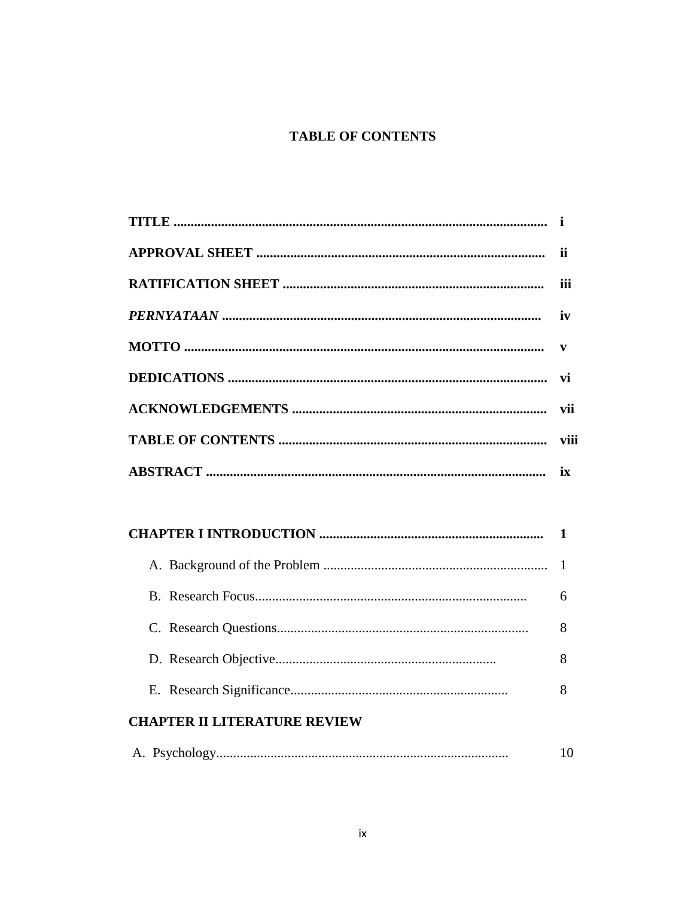# **TABLE OF CONTENTS**

|                                     | ii           |
|-------------------------------------|--------------|
|                                     | iii          |
|                                     | iv           |
|                                     | $\mathbf{v}$ |
|                                     | vi           |
|                                     | vii          |
|                                     |              |
|                                     |              |
|                                     |              |
|                                     |              |
|                                     |              |
|                                     | $\mathbf{1}$ |
|                                     | 6            |
|                                     | 8            |
|                                     | 8            |
|                                     | 8            |
| <b>CHAPTER II LITERATURE REVIEW</b> |              |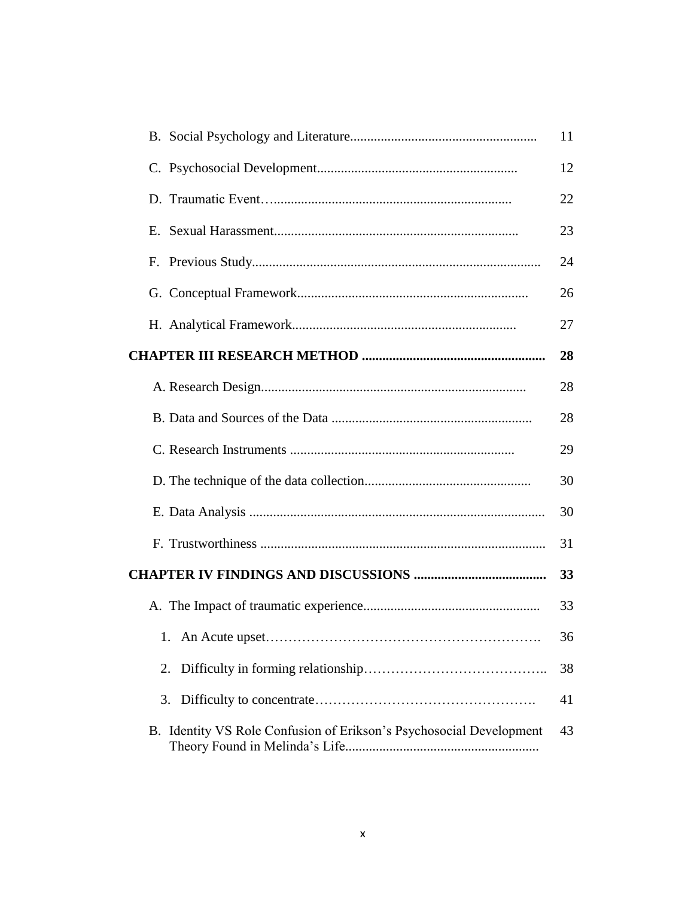|                                                                     | 11 |
|---------------------------------------------------------------------|----|
|                                                                     | 12 |
|                                                                     | 22 |
|                                                                     | 23 |
|                                                                     | 24 |
|                                                                     | 26 |
|                                                                     | 27 |
|                                                                     | 28 |
|                                                                     | 28 |
|                                                                     | 28 |
|                                                                     | 29 |
|                                                                     | 30 |
|                                                                     | 30 |
|                                                                     | 31 |
|                                                                     | 33 |
|                                                                     | 33 |
|                                                                     | 36 |
| 2.                                                                  | 38 |
| 3.                                                                  | 41 |
| B. Identity VS Role Confusion of Erikson's Psychosocial Development | 43 |
|                                                                     |    |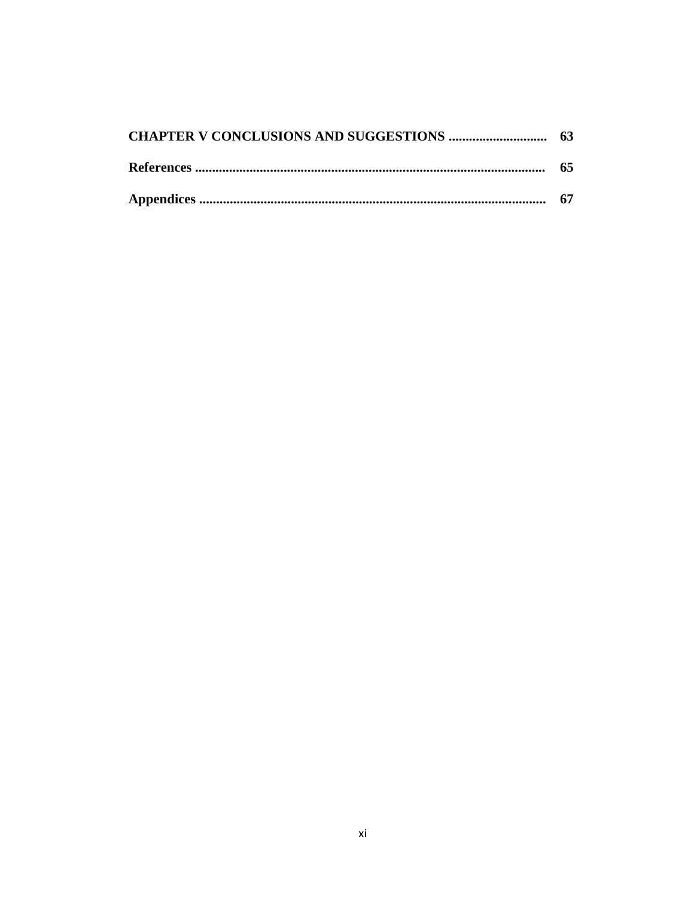| 65 |
|----|
|    |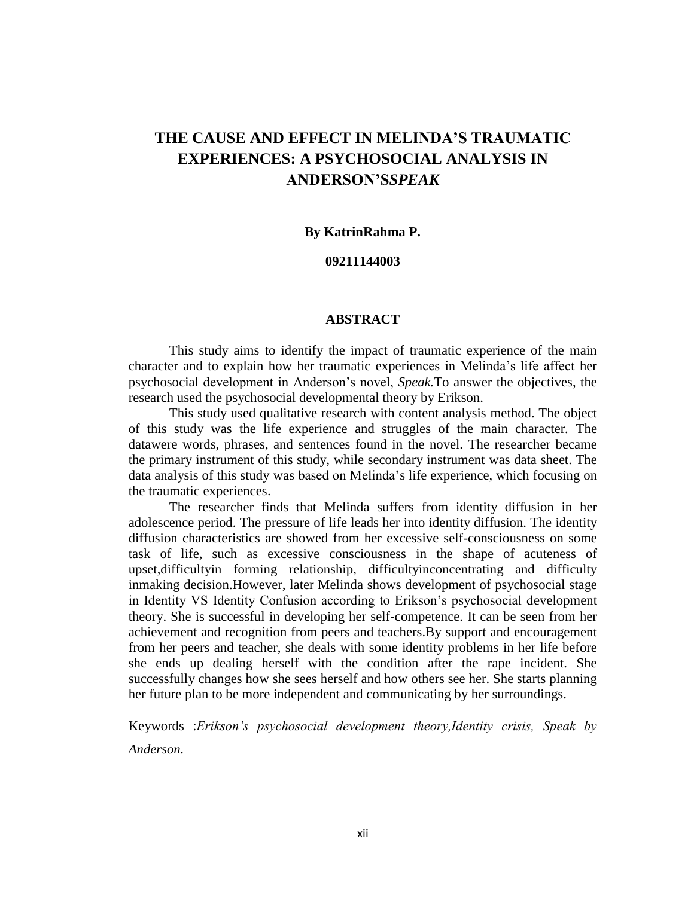# **THE CAUSE AND EFFECT IN MELINDA'S TRAUMATIC EXPERIENCES: A PSYCHOSOCIAL ANALYSIS IN ANDERSON'S***SPEAK*

#### **By KatrinRahma P.**

### **09211144003**

### **ABSTRACT**

This study aims to identify the impact of traumatic experience of the main character and to explain how her traumatic experiences in Melinda's life affect her psychosocial development in Anderson's novel, *Speak.*To answer the objectives, the research used the psychosocial developmental theory by Erikson.

This study used qualitative research with content analysis method. The object of this study was the life experience and struggles of the main character*.* The datawere words, phrases, and sentences found in the novel. The researcher became the primary instrument of this study, while secondary instrument was data sheet. The data analysis of this study was based on Melinda's life experience, which focusing on the traumatic experiences.

The researcher finds that Melinda suffers from identity diffusion in her adolescence period. The pressure of life leads her into identity diffusion. The identity diffusion characteristics are showed from her excessive self-consciousness on some task of life, such as excessive consciousness in the shape of acuteness of upset,difficultyin forming relationship, difficultyinconcentrating and difficulty inmaking decision.However, later Melinda shows development of psychosocial stage in Identity VS Identity Confusion according to Erikson's psychosocial development theory. She is successful in developing her self-competence. It can be seen from her achievement and recognition from peers and teachers.By support and encouragement from her peers and teacher, she deals with some identity problems in her life before she ends up dealing herself with the condition after the rape incident. She successfully changes how she sees herself and how others see her. She starts planning her future plan to be more independent and communicating by her surroundings.

Keywords :*Erikson's psychosocial development theory,Identity crisis, Speak by Anderson.*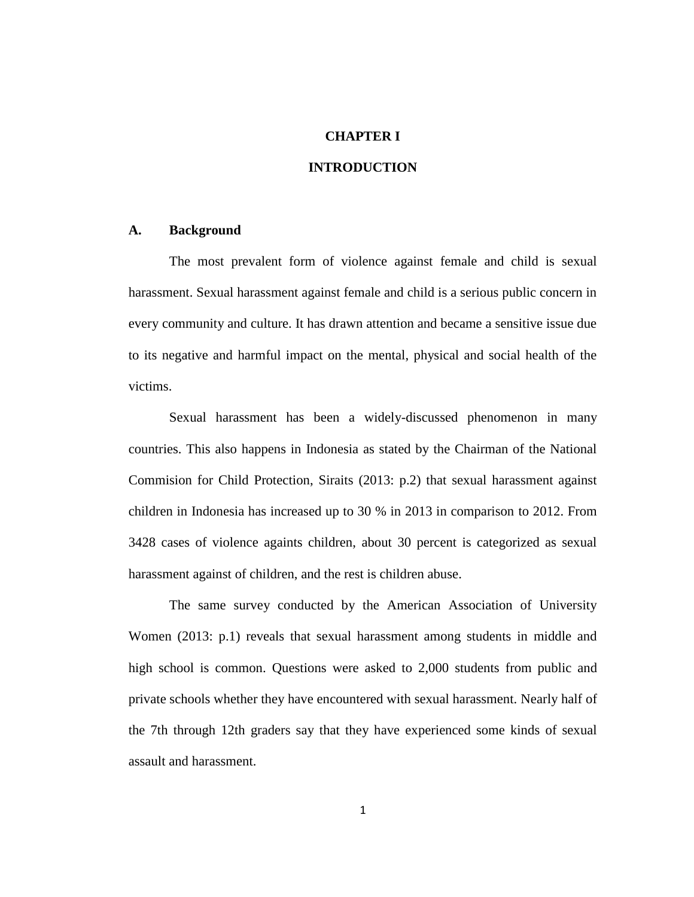### **CHAPTER I**

### **INTRODUCTION**

#### **A. Background**

The most prevalent form of violence against female and child is sexual harassment. Sexual harassment against female and child is a serious public concern in every community and culture. It has drawn attention and became a sensitive issue due to its negative and harmful impact on the mental, physical and social health of the victims.

Sexual harassment has been a widely-discussed phenomenon in many countries. This also happens in Indonesia as stated by the Chairman of the National Commision for Child Protection, Siraits (2013: p.2) that sexual harassment against children in Indonesia has increased up to 30 % in 2013 in comparison to 2012. From 3428 cases of violence againts children, about 30 percent is categorized as sexual harassment against of children, and the rest is children abuse.

The same survey conducted by the American Association of University Women (2013: p.1) reveals that sexual harassment among students in middle and high school is common. Questions were asked to 2,000 students from public and private schools whether they have encountered with sexual harassment. Nearly half of the 7th through 12th graders say that they have experienced some kinds of sexual assault and harassment.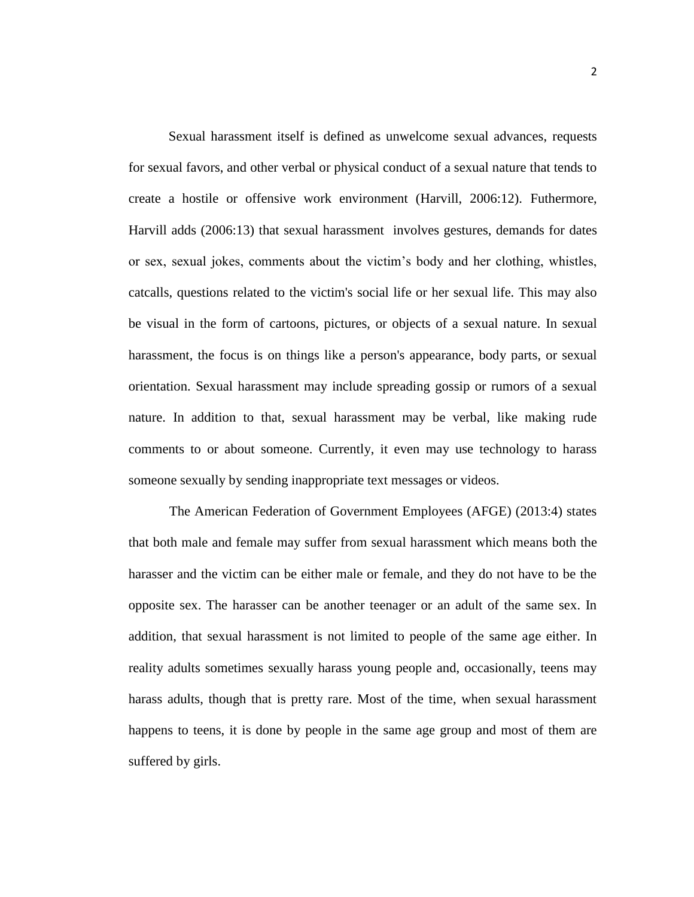Sexual harassment itself is defined as unwelcome sexual advances, requests for sexual favors, and other verbal or physical conduct of a sexual nature that tends to create a hostile or offensive work environment (Harvill, 2006:12). Futhermore, Harvill adds (2006:13) that sexual harassment involves gestures, demands for dates or sex, sexual jokes, comments about the victim's body and her clothing, whistles, catcalls, questions related to the victim's social life or her sexual life. This may also be visual in the form of cartoons, pictures, or objects of a sexual nature. In sexual harassment, the focus is on things like a person's appearance, body parts, or sexual orientation. Sexual harassment may include spreading gossip or rumors of a sexual nature. In addition to that, sexual harassment may be verbal, like making rude comments to or about someone. Currently, it even may use technology to harass someone sexually by sending inappropriate text messages or videos.

The American Federation of Government Employees (AFGE) (2013:4) states that both male and female may suffer from sexual harassment which means both the harasser and the victim can be either male or female, and they do not have to be the opposite sex. The harasser can be another teenager or an adult of the same sex. In addition, that sexual harassment is not limited to people of the same age either. In reality adults sometimes sexually harass young people and, occasionally, teens may harass adults, though that is pretty rare. Most of the time, when sexual harassment happens to teens, it is done by people in the same age group and most of them are suffered by girls.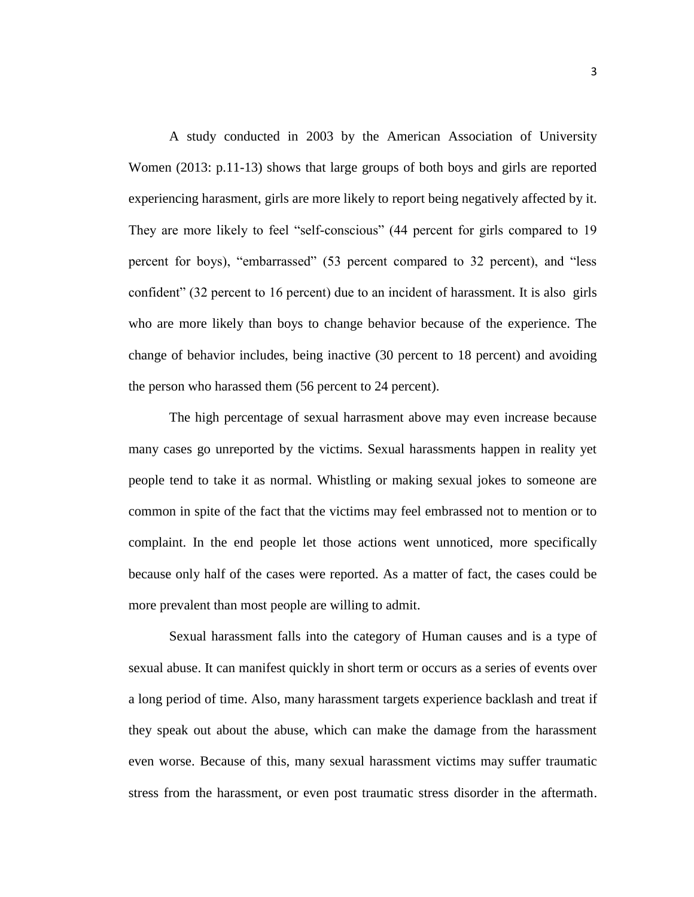A study conducted in 2003 by the American Association of University Women (2013: p.11-13) shows that large groups of both boys and girls are reported experiencing harasment, girls are more likely to report being negatively affected by it. They are more likely to feel "self-conscious" (44 percent for girls compared to 19 percent for boys), "embarrassed" (53 percent compared to 32 percent), and "less confident" (32 percent to 16 percent) due to an incident of harassment. It is also girls who are more likely than boys to change behavior because of the experience. The change of behavior includes, being inactive (30 percent to 18 percent) and avoiding the person who harassed them (56 percent to 24 percent).

The high percentage of sexual harrasment above may even increase because many cases go unreported by the victims. Sexual harassments happen in reality yet people tend to take it as normal. Whistling or making sexual jokes to someone are common in spite of the fact that the victims may feel embrassed not to mention or to complaint. In the end people let those actions went unnoticed, more specifically because only half of the cases were reported. As a matter of fact, the cases could be more prevalent than most people are willing to admit.

Sexual harassment falls into the category of Human causes and is a type of sexual abuse. It can manifest quickly in short term or occurs as a series of events over a long period of time. Also, many harassment targets experience backlash and treat if they speak out about the abuse, which can make the damage from the harassment even worse. Because of this, many sexual harassment victims may suffer traumatic stress from the harassment, or even post traumatic stress disorder in the aftermath.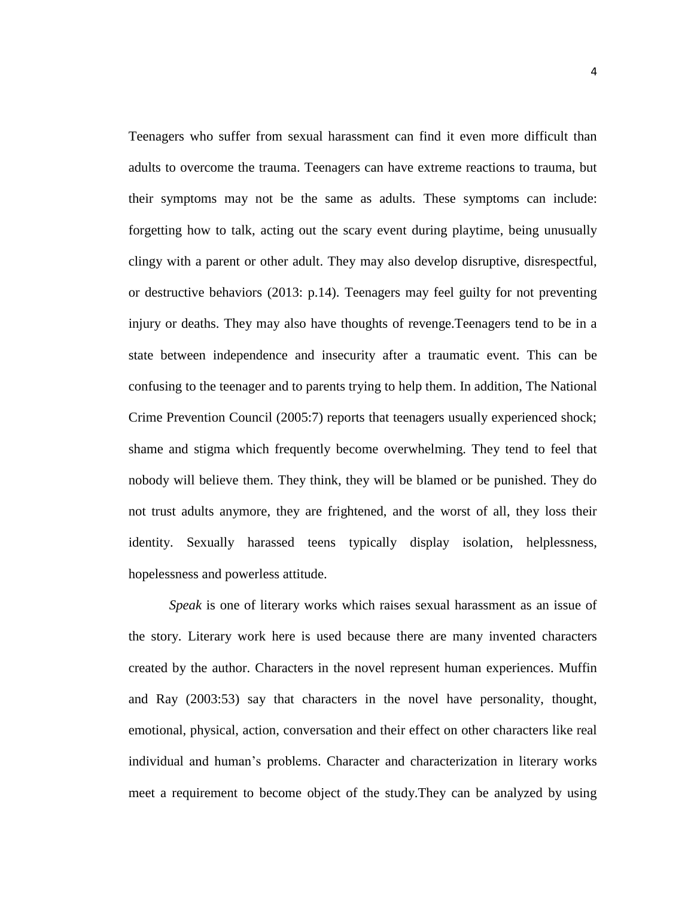Teenagers who suffer from sexual harassment can find it even more difficult than adults to overcome the trauma. Teenagers can have extreme reactions to trauma, but their symptoms may not be the same as adults. These symptoms can include: forgetting how to talk, acting out the scary event during playtime, being unusually clingy with a parent or other adult. They may also develop disruptive, disrespectful, or destructive behaviors (2013: p.14). Teenagers may feel guilty for not preventing injury or deaths. They may also have thoughts of revenge.Teenagers tend to be in a state between independence and insecurity after a traumatic event. This can be confusing to the teenager and to parents trying to help them. In addition, The National Crime Prevention Council (2005:7) reports that teenagers usually experienced shock; shame and stigma which frequently become overwhelming. They tend to feel that nobody will believe them. They think, they will be blamed or be punished. They do not trust adults anymore, they are frightened, and the worst of all, they loss their identity. Sexually harassed teens typically display isolation, helplessness, hopelessness and powerless attitude.

*Speak* is one of literary works which raises sexual harassment as an issue of the story. Literary work here is used because there are many invented characters created by the author. Characters in the novel represent human experiences. Muffin and Ray (2003:53) say that characters in the novel have personality, thought, emotional, physical, action, conversation and their effect on other characters like real individual and human's problems. Character and characterization in literary works meet a requirement to become object of the study.They can be analyzed by using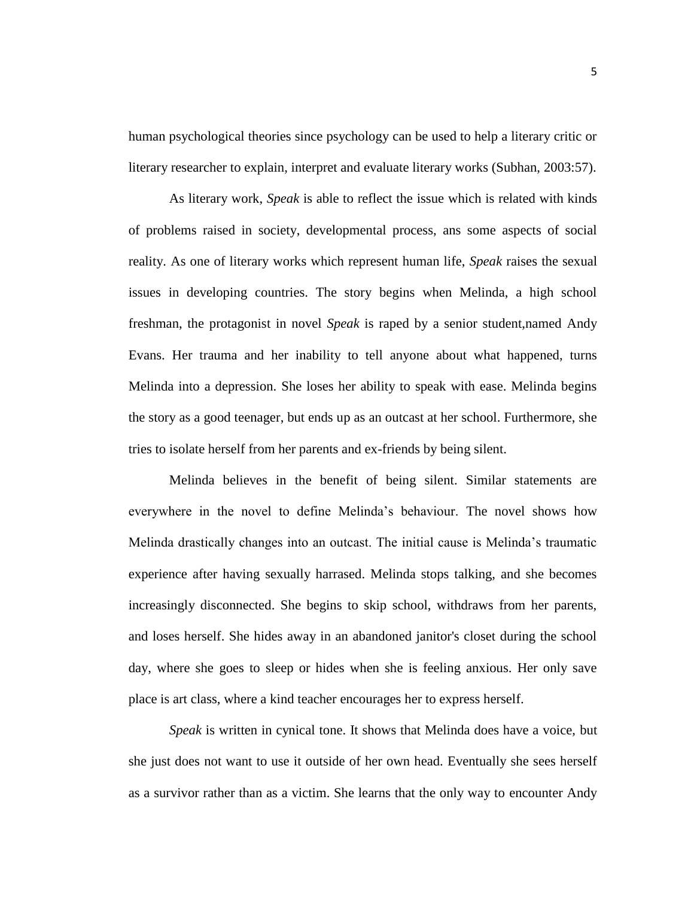human psychological theories since psychology can be used to help a literary critic or literary researcher to explain, interpret and evaluate literary works (Subhan, 2003:57).

As literary work, *Speak* is able to reflect the issue which is related with kinds of problems raised in society, developmental process, ans some aspects of social reality. As one of literary works which represent human life, *Speak* raises the sexual issues in developing countries. The story begins when Melinda, a high school freshman, the protagonist in novel *Speak* is raped by a senior student,named Andy Evans. Her trauma and her inability to tell anyone about what happened, turns Melinda into a depression. She loses her ability to speak with ease. Melinda begins the story as a good teenager, but ends up as an outcast at her school. Furthermore, she tries to isolate herself from her parents and ex-friends by being silent.

Melinda believes in the benefit of being silent. Similar statements are everywhere in the novel to define Melinda's behaviour. The novel shows how Melinda drastically changes into an outcast. The initial cause is Melinda's traumatic experience after having sexually harrased. Melinda stops talking, and she becomes increasingly disconnected. She begins to skip school, withdraws from her parents, and loses herself. She hides away in an abandoned janitor's closet during the school day, where she goes to sleep or hides when she is feeling anxious. Her only save place is art class, where a kind teacher encourages her to express herself.

*Speak* is written in cynical tone. It shows that Melinda does have a voice, but she just does not want to use it outside of her own head. Eventually she sees herself as a survivor rather than as a victim. She learns that the only way to encounter Andy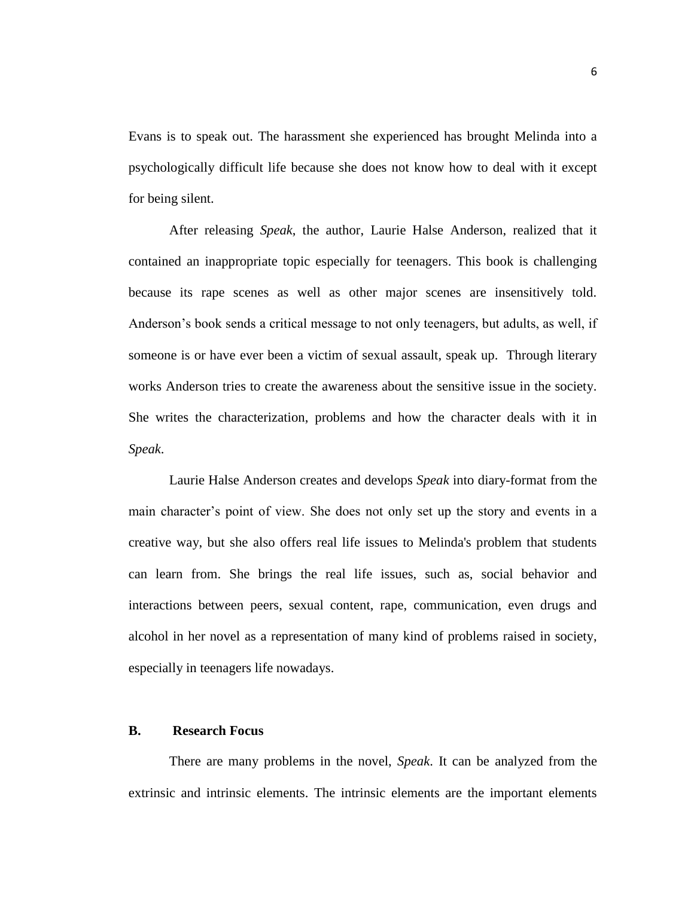Evans is to speak out. The harassment she experienced has brought Melinda into a psychologically difficult life because she does not know how to deal with it except for being silent.

After releasing *Speak*, the author, Laurie Halse Anderson, realized that it contained an inappropriate topic especially for teenagers. This book is challenging because its rape scenes as well as other major scenes are insensitively told. Anderson's book sends a critical message to not only teenagers, but adults, as well, if someone is or have ever been a victim of sexual assault, speak up. Through literary works Anderson tries to create the awareness about the sensitive issue in the society. She writes the characterization, problems and how the character deals with it in *Speak*.

Laurie Halse Anderson creates and develops *Speak* into diary-format from the main character's point of view. She does not only set up the story and events in a creative way, but she also offers real life issues to Melinda's problem that students can learn from. She brings the real life issues, such as, social behavior and interactions between peers, sexual content, rape, communication, even drugs and alcohol in her novel as a representation of many kind of problems raised in society, especially in teenagers life nowadays.

#### **B. Research Focus**

There are many problems in the novel, *Speak*. It can be analyzed from the extrinsic and intrinsic elements. The intrinsic elements are the important elements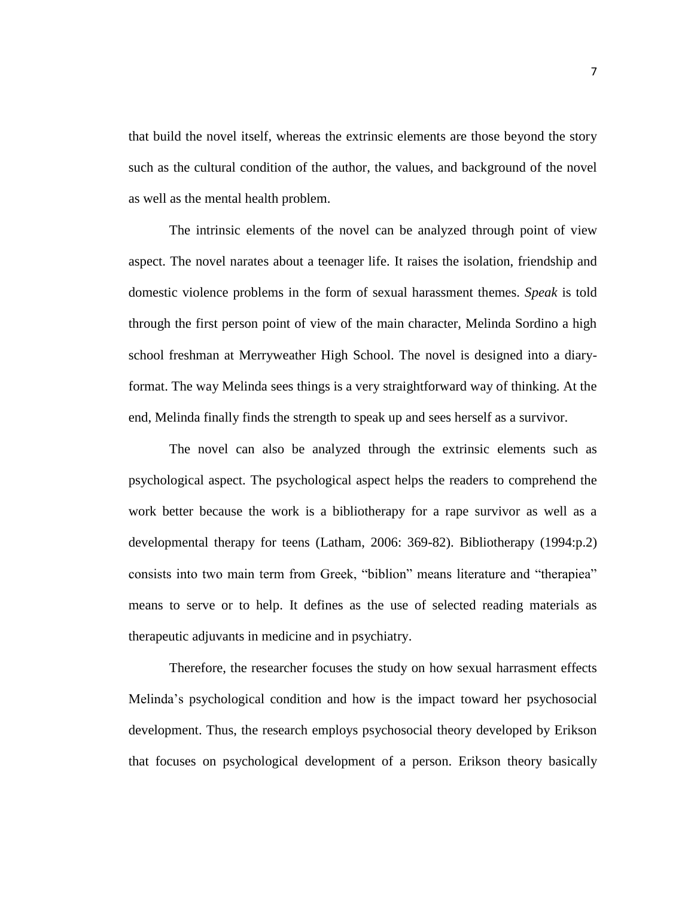that build the novel itself, whereas the extrinsic elements are those beyond the story such as the cultural condition of the author, the values, and background of the novel as well as the mental health problem.

The intrinsic elements of the novel can be analyzed through point of view aspect. The novel narates about a teenager life. It raises the isolation, friendship and domestic violence problems in the form of sexual harassment themes. *Speak* is told through the first person point of view of the main character, Melinda Sordino a high school freshman at Merryweather High School. The novel is designed into a diaryformat. The way Melinda sees things is a very straightforward way of thinking. At the end, Melinda finally finds the strength to speak up and sees herself as a survivor.

The novel can also be analyzed through the extrinsic elements such as psychological aspect. The psychological aspect helps the readers to comprehend the work better because the work is a bibliotherapy for a rape survivor as well as a developmental therapy for teens (Latham, 2006: 369-82). Bibliotherapy (1994:p.2) consists into two main term from Greek, "biblion" means literature and "therapiea" means to serve or to help. It defines as the use of selected reading materials as therapeutic adjuvants in medicine and in psychiatry.

Therefore, the researcher focuses the study on how sexual harrasment effects Melinda's psychological condition and how is the impact toward her psychosocial development. Thus, the research employs psychosocial theory developed by Erikson that focuses on psychological development of a person. Erikson theory basically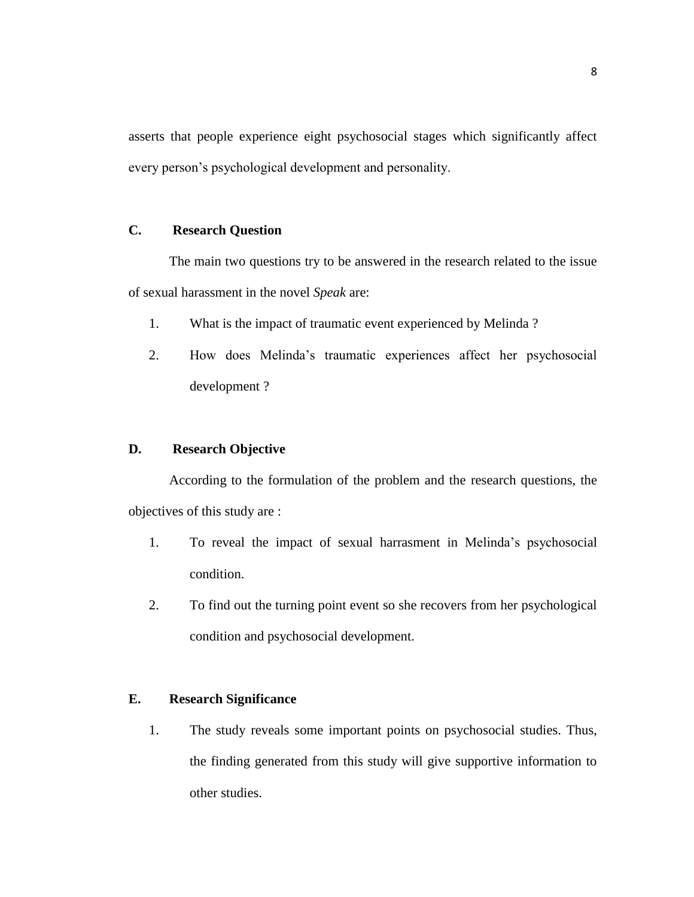asserts that people experience eight psychosocial stages which significantly affect every person's psychological development and personality.

### **C. Research Question**

The main two questions try to be answered in the research related to the issue of sexual harassment in the novel *Speak* are:

- 1. What is the impact of traumatic event experienced by Melinda ?
- 2. How does Melinda's traumatic experiences affect her psychosocial development ?

### **D. Research Objective**

According to the formulation of the problem and the research questions, the objectives of this study are :

- 1. To reveal the impact of sexual harrasment in Melinda's psychosocial condition.
- 2. To find out the turning point event so she recovers from her psychological condition and psychosocial development.

### **E. Research Significance**

1. The study reveals some important points on psychosocial studies. Thus, the finding generated from this study will give supportive information to other studies.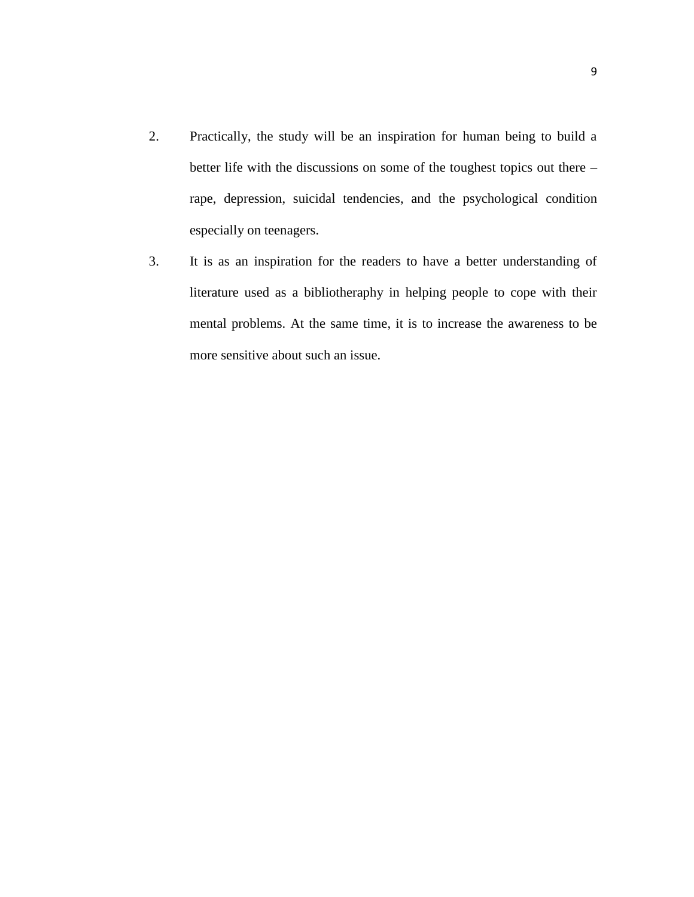- 2. Practically, the study will be an inspiration for human being to build a better life with the discussions on some of the toughest topics out there – rape, depression, suicidal tendencies, and the psychological condition especially on teenagers.
- 3. It is as an inspiration for the readers to have a better understanding of literature used as a bibliotheraphy in helping people to cope with their mental problems. At the same time, it is to increase the awareness to be more sensitive about such an issue.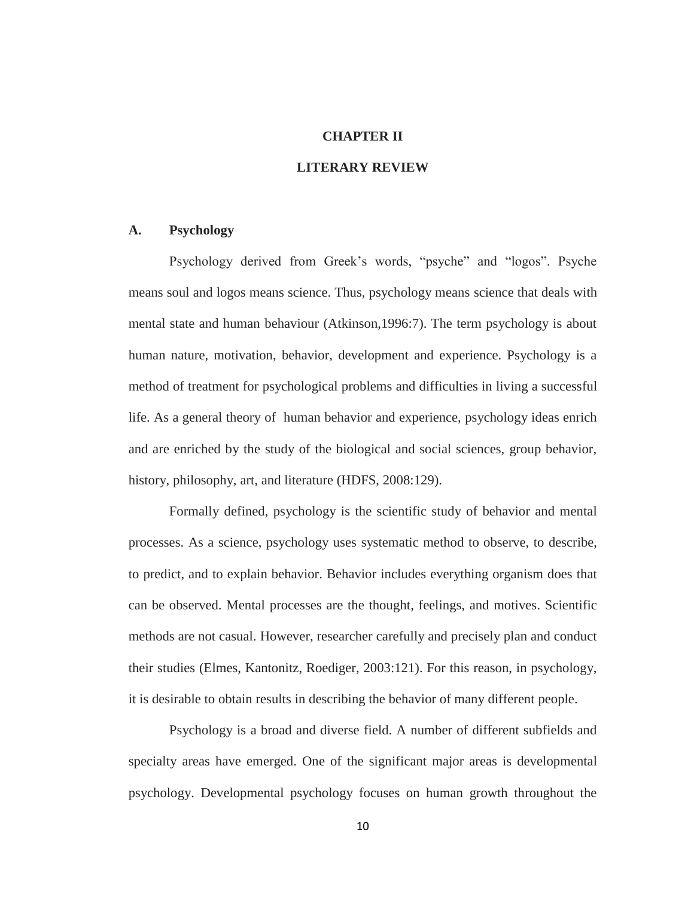### **CHAPTER II**

### **LITERARY REVIEW**

### **A. Psychology**

Psychology derived from Greek's words, "psyche" and "logos". Psyche means soul and logos means science. Thus, psychology means science that deals with mental state and human behaviour (Atkinson,1996:7). The term psychology is about human nature, motivation, behavior, development and experience. Psychology is a method of treatment for psychological problems and difficulties in living a successful life. As a general theory of human behavior and experience, psychology ideas enrich and are enriched by the study of the biological and social sciences, group behavior, history, philosophy, art, and literature (HDFS, 2008:129).

Formally defined, psychology is the scientific study of behavior and mental processes. As a science, psychology uses systematic method to observe, to describe, to predict, and to explain behavior. Behavior includes everything organism does that can be observed. Mental processes are the thought, feelings, and motives. Scientific methods are not casual. However, researcher carefully and precisely plan and conduct their studies (Elmes, Kantonitz, Roediger, 2003:121). For this reason, in psychology, it is desirable to obtain results in describing the behavior of many different people.

Psychology is a broad and diverse field. A number of different subfields and specialty areas have emerged. One of the significant major areas is developmental psychology. Developmental psychology focuses on human growth throughout the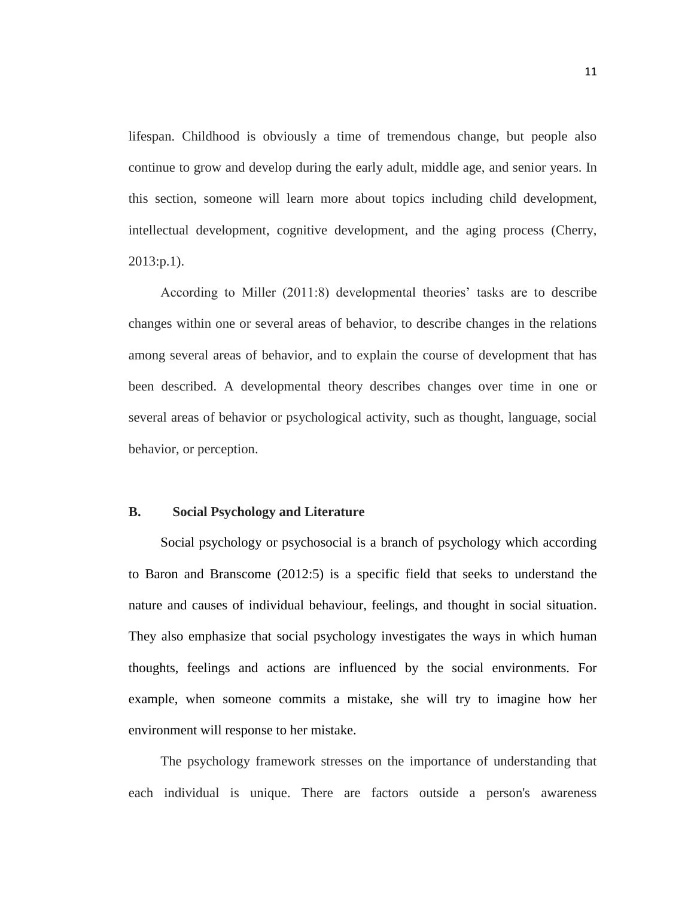lifespan. Childhood is obviously a time of tremendous change, but people also continue to grow and develop during the early adult, middle age, and senior years. In this section, someone will learn more about topics including child development, intellectual development, cognitive development, and the aging process (Cherry, 2013:p.1).

According to Miller (2011:8) developmental theories' tasks are to describe changes within one or several areas of behavior, to describe changes in the relations among several areas of behavior, and to explain the course of development that has been described. A developmental theory describes changes over time in one or several areas of behavior or psychological activity, such as thought, language, social behavior, or perception.

### **B. Social Psychology and Literature**

Social psychology or psychosocial is a branch of psychology which according to Baron and Branscome (2012:5) is a specific field that seeks to understand the nature and causes of individual behaviour, feelings, and thought in social situation. They also emphasize that social psychology investigates the ways in which human thoughts, feelings and actions are influenced by the social environments. For example, when someone commits a mistake, she will try to imagine how her environment will response to her mistake.

The psychology framework stresses on the importance of understanding that each individual is unique. There are factors outside a person's awareness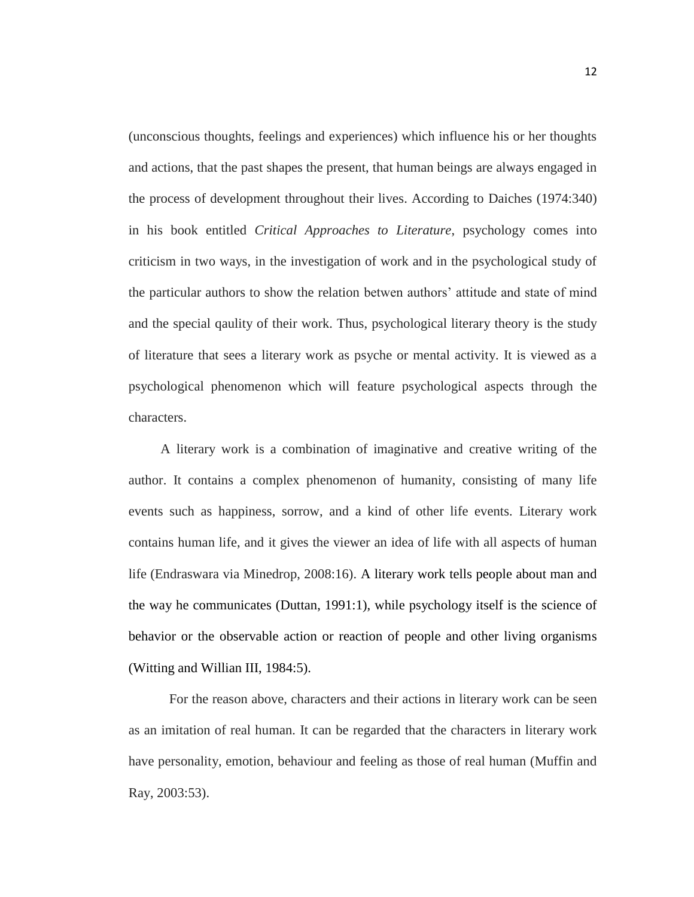(unconscious thoughts, feelings and experiences) which influence his or her thoughts and actions, that the past shapes the present, that human beings are always engaged in the process of development throughout their lives. According to Daiches (1974:340) in his book entitled *Critical Approaches to Literature*, psychology comes into criticism in two ways, in the investigation of work and in the psychological study of the particular authors to show the relation betwen authors' attitude and state of mind and the special qaulity of their work. Thus, psychological literary theory is the study of literature that sees a literary work as psyche or mental activity. It is viewed as a psychological phenomenon which will feature psychological aspects through the characters.

A literary work is a combination of imaginative and creative writing of the author. It contains a complex phenomenon of humanity, consisting of many life events such as happiness, sorrow, and a kind of other life events. Literary work contains human life, and it gives the viewer an idea of life with all aspects of human life (Endraswara via Minedrop, 2008:16). A literary work tells people about man and the way he communicates (Duttan, 1991:1), while psychology itself is the science of behavior or the observable action or reaction of people and other living organisms (Witting and Willian III, 1984:5).

For the reason above, characters and their actions in literary work can be seen as an imitation of real human. It can be regarded that the characters in literary work have personality, emotion, behaviour and feeling as those of real human (Muffin and Ray, 2003:53).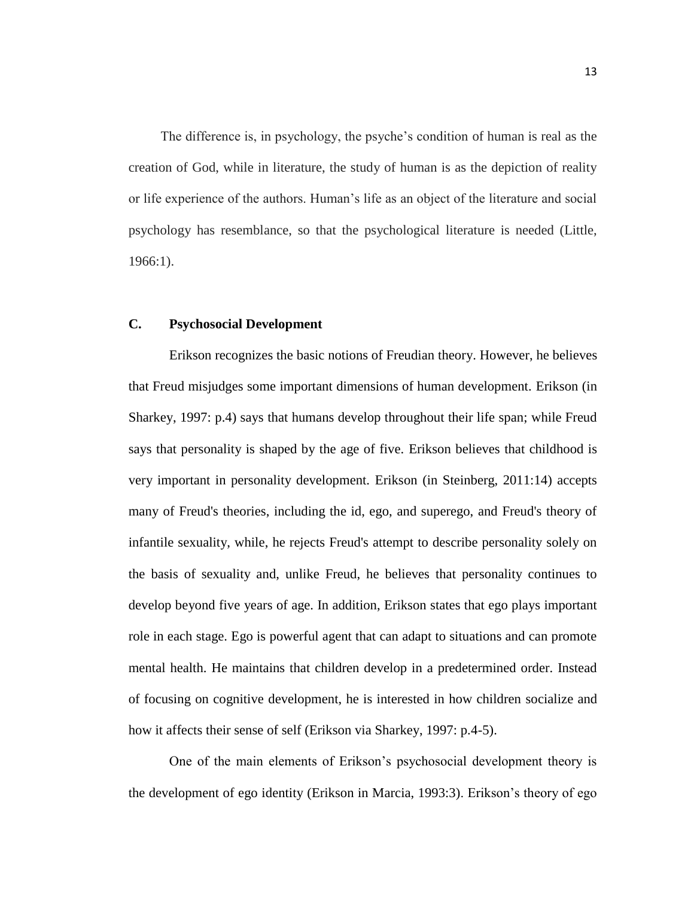The difference is, in psychology, the psyche's condition of human is real as the creation of God, while in literature, the study of human is as the depiction of reality or life experience of the authors. Human's life as an object of the literature and social psychology has resemblance, so that the psychological literature is needed (Little, 1966:1).

### **C. Psychosocial Development**

Erikson recognizes the basic notions of Freudian theory. However, he believes that Freud misjudges some important dimensions of human development. Erikson (in Sharkey, 1997: p.4) says that humans develop throughout their life span; while Freud says that personality is shaped by the age of five. Erikson believes that childhood is very important in personality development. Erikson (in Steinberg, 2011:14) accepts many of Freud's theories, including the id, ego, and superego, and Freud's theory of infantile sexuality, while, he rejects Freud's attempt to describe personality solely on the basis of sexuality and, unlike Freud, he believes that personality continues to develop beyond five years of age. In addition, Erikson states that ego plays important role in each stage. Ego is powerful agent that can adapt to situations and can promote mental health. He maintains that children develop in a predetermined order. Instead of focusing on cognitive development, he is interested in how children socialize and how it affects their sense of self (Erikson via Sharkey, 1997: p.4-5).

One of the main elements of Erikson's psychosocial development theory is the development of ego identity (Erikson in Marcia, 1993:3). Erikson's theory of ego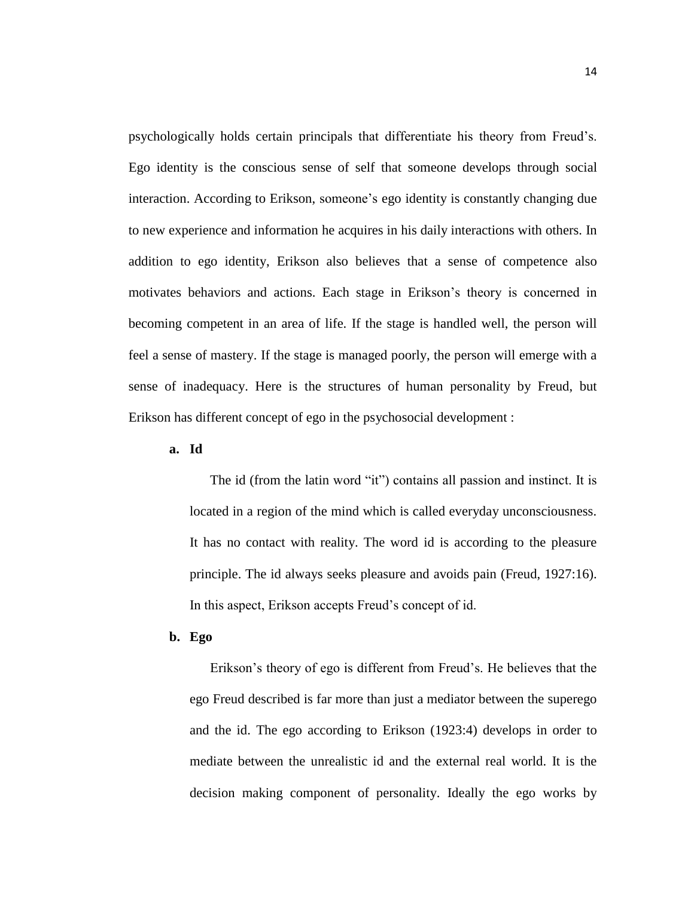psychologically holds certain principals that differentiate his theory from Freud's. Ego identity is the conscious sense of self that someone develops through social interaction. According to Erikson, someone's ego identity is constantly changing due to new experience and information he acquires in his daily interactions with others. In addition to ego identity, Erikson also believes that a sense of competence also motivates behaviors and actions. Each stage in Erikson's theory is concerned in becoming competent in an area of life. If the stage is handled well, the person will feel a sense of mastery. If the stage is managed poorly, the person will emerge with a sense of inadequacy. Here is the structures of human personality by Freud, but Erikson has different concept of ego in the psychosocial development :

**a. Id**

The id (from the latin word "it") contains all passion and instinct. It is located in a region of the mind which is called everyday unconsciousness. It has no contact with reality. The word id is according to the pleasure principle. The id always seeks pleasure and avoids pain (Freud, 1927:16). In this aspect, Erikson accepts Freud's concept of id.

**b. Ego**

Erikson's theory of ego is different from Freud's. He believes that the ego Freud described is far more than just a mediator between the superego and the id. The ego according to Erikson (1923:4) develops in order to mediate between the unrealistic id and the external real world. It is the decision making component of personality. Ideally the ego works by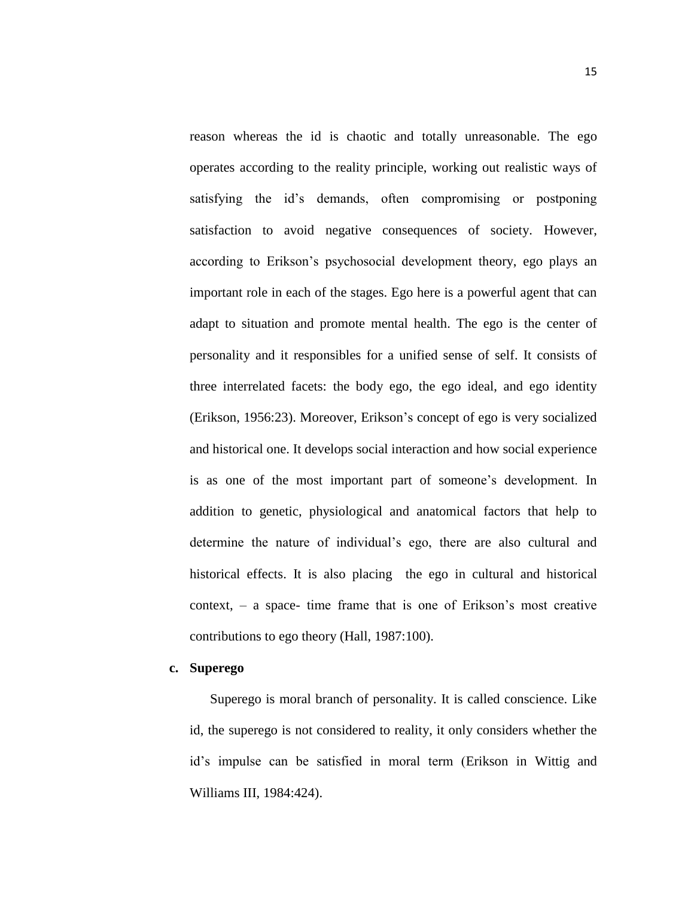reason whereas the id is chaotic and totally unreasonable. The ego operates according to the reality principle, working out realistic ways of satisfying the id's demands, often compromising or postponing satisfaction to avoid negative consequences of society. However, according to Erikson's psychosocial development theory, ego plays an important role in each of the stages. Ego here is a powerful agent that can adapt to situation and promote mental health. The ego is the center of personality and it responsibles for a unified sense of self. It consists of three interrelated facets: the body ego, the ego ideal, and ego identity (Erikson, 1956:23). Moreover, Erikson's concept of ego is very socialized and historical one. It develops social interaction and how social experience is as one of the most important part of someone's development. In addition to genetic, physiological and anatomical factors that help to determine the nature of individual's ego, there are also cultural and historical effects. It is also placing the ego in cultural and historical context, – a space- time frame that is one of Erikson's most creative contributions to ego theory (Hall, 1987:100).

### **c. Superego**

Superego is moral branch of personality. It is called conscience. Like id, the superego is not considered to reality, it only considers whether the id's impulse can be satisfied in moral term (Erikson in Wittig and Williams III, 1984:424).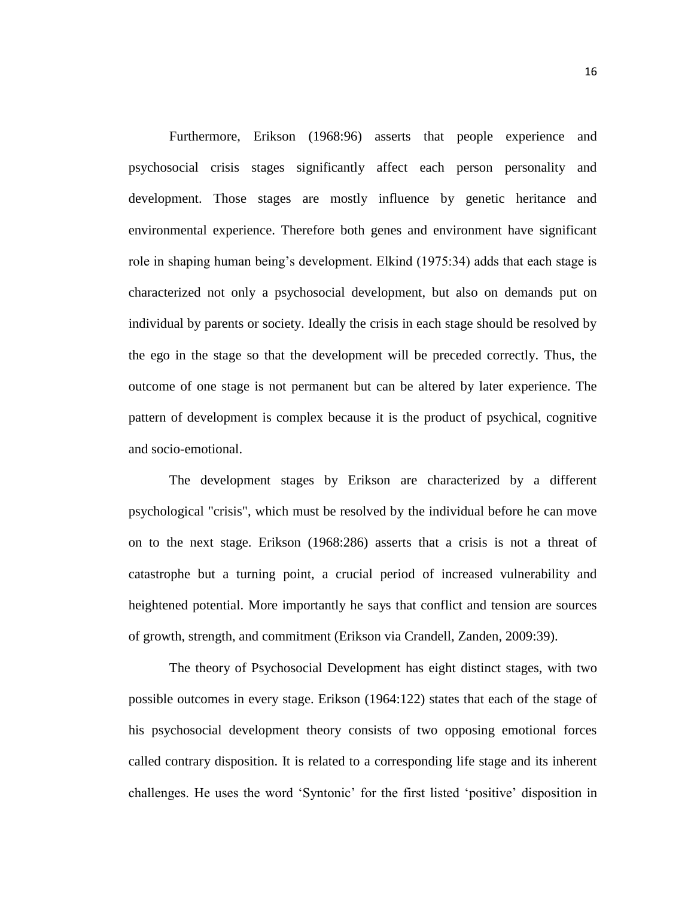Furthermore, Erikson (1968:96) asserts that people experience and psychosocial crisis stages significantly affect each person personality and development. Those stages are mostly influence by genetic heritance and environmental experience. Therefore both genes and environment have significant role in shaping human being's development. Elkind (1975:34) adds that each stage is characterized not only a psychosocial development, but also on demands put on individual by parents or society. Ideally the crisis in each stage should be resolved by the ego in the stage so that the development will be preceded correctly. Thus, the outcome of one stage is not permanent but can be altered by later experience. The pattern of development is complex because it is the product of psychical, cognitive and socio-emotional.

The development stages by Erikson are characterized by a different psychological "crisis", which must be resolved by the individual before he can move on to the next stage. Erikson (1968:286) asserts that a crisis is not a threat of catastrophe but a turning point, a crucial period of increased vulnerability and heightened potential. More importantly he says that conflict and tension are sources of growth, strength, and commitment (Erikson via Crandell, Zanden, 2009:39).

The theory of Psychosocial Development has eight distinct stages, with two possible outcomes in every stage. Erikson (1964:122) states that each of the stage of his psychosocial development theory consists of two opposing emotional forces called contrary disposition. It is related to a corresponding life stage and its inherent challenges. He uses the word 'Syntonic' for the first listed 'positive' disposition in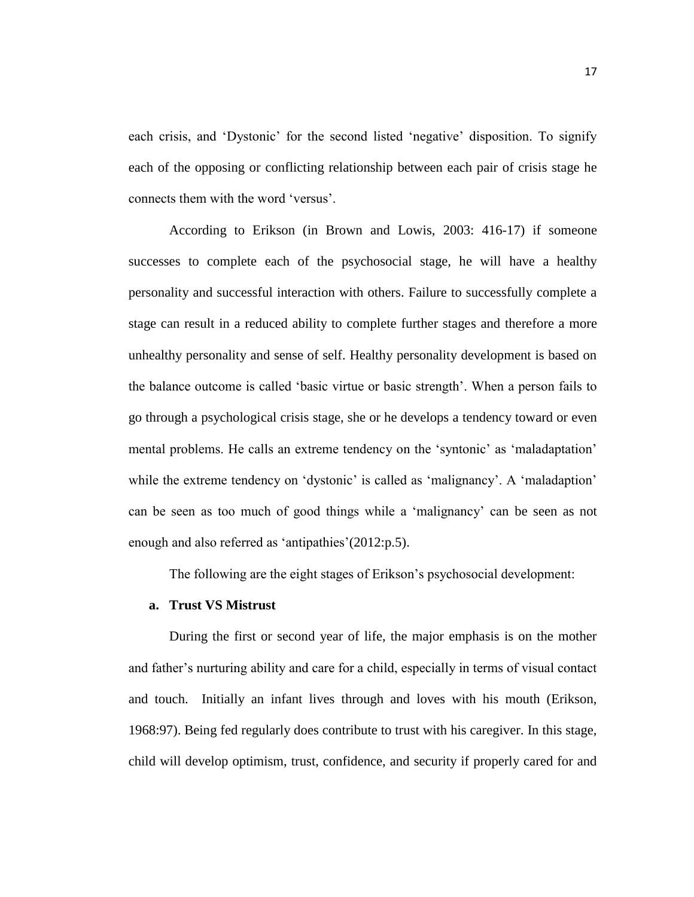each crisis, and 'Dystonic' for the second listed 'negative' disposition. To signify each of the opposing or conflicting relationship between each pair of crisis stage he connects them with the word 'versus'.

According to Erikson (in Brown and Lowis, 2003: 416-17) if someone successes to complete each of the psychosocial stage, he will have a healthy personality and successful interaction with others. Failure to successfully complete a stage can result in a reduced ability to complete further stages and therefore a more unhealthy personality and sense of self. Healthy personality development is based on the balance outcome is called 'basic virtue or basic strength'. When a person fails to go through a psychological crisis stage, she or he develops a tendency toward or even mental problems. He calls an extreme tendency on the 'syntonic' as 'maladaptation' while the extreme tendency on 'dystonic' is called as 'malignancy'. A 'maladaption' can be seen as too much of good things while a 'malignancy' can be seen as not enough and also referred as 'antipathies'(2012:p.5).

The following are the eight stages of Erikson's psychosocial development:

### **a. Trust VS Mistrust**

During the first or second year of life, the major emphasis is on the mother and father's nurturing ability and care for a child, especially in terms of visual contact and touch. Initially an infant lives through and loves with his mouth (Erikson, 1968:97). Being fed regularly does contribute to trust with his caregiver. In this stage, child will develop optimism, trust, confidence, and security if properly cared for and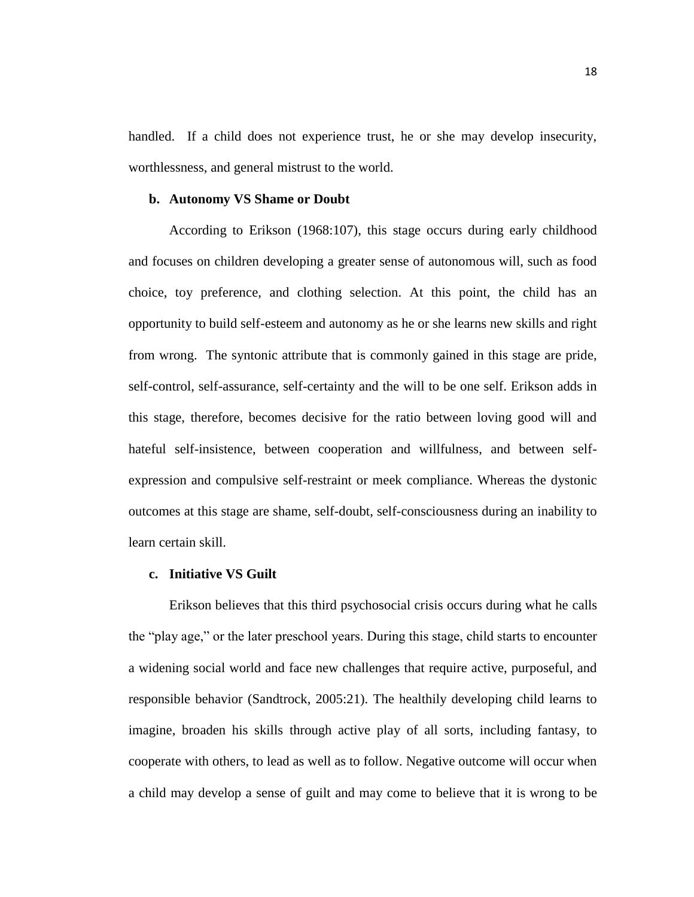handled. If a child does not experience trust, he or she may develop insecurity, worthlessness, and general mistrust to the world.

### **b. Autonomy VS Shame or Doubt**

According to Erikson (1968:107), this stage occurs during early childhood and focuses on children developing a greater sense of autonomous will, such as food choice, toy preference, and clothing selection. At this point, the child has an opportunity to build self-esteem and autonomy as he or she learns new skills and right from wrong. The syntonic attribute that is commonly gained in this stage are pride, self-control, self-assurance, self-certainty and the will to be one self. Erikson adds in this stage, therefore, becomes decisive for the ratio between loving good will and hateful self-insistence, between cooperation and willfulness, and between selfexpression and compulsive self-restraint or meek compliance. Whereas the dystonic outcomes at this stage are shame, self-doubt, self-consciousness during an inability to learn certain skill.

#### **c. Initiative VS Guilt**

Erikson believes that this third psychosocial crisis occurs during what he calls the "play age," or the later preschool years. During this stage, child starts to encounter a widening social world and face new challenges that require active, purposeful, and responsible behavior (Sandtrock, 2005:21). The healthily developing child learns to imagine, broaden his skills through active play of all sorts, including fantasy, to cooperate with others, to lead as well as to follow. Negative outcome will occur when a child may develop a sense of guilt and may come to believe that it is wrong to be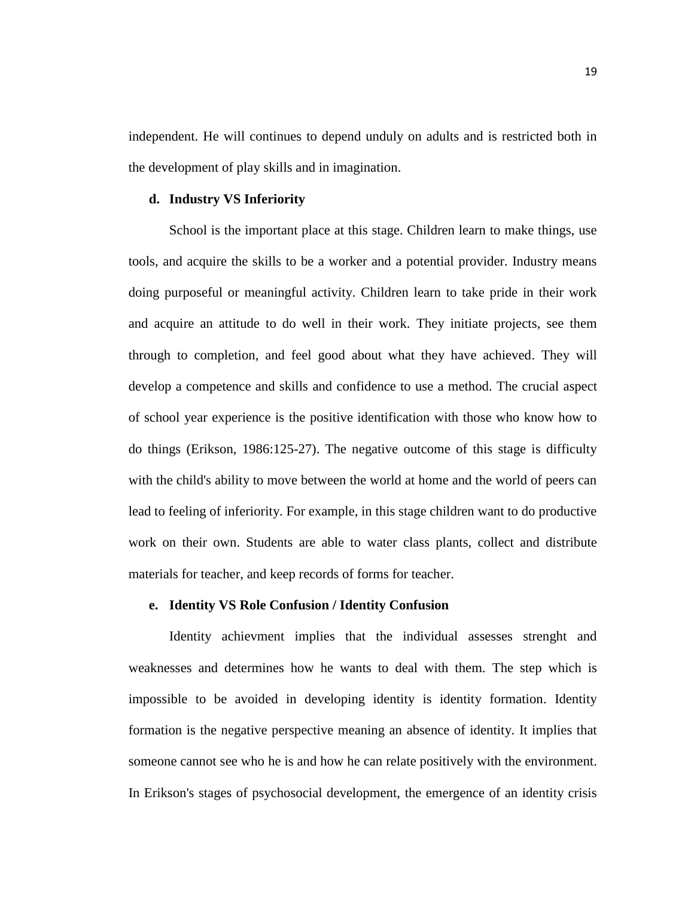independent. He will continues to depend unduly on adults and is restricted both in the development of play skills and in imagination.

### **d. Industry VS Inferiority**

School is the important place at this stage. Children learn to make things, use tools, and acquire the skills to be a worker and a potential provider. Industry means doing purposeful or meaningful activity. Children learn to take pride in their work and acquire an attitude to do well in their work. They initiate projects, see them through to completion, and feel good about what they have achieved. They will develop a competence and skills and confidence to use a method. The crucial aspect of school year experience is the positive identification with those who know how to do things (Erikson, 1986:125-27). The negative outcome of this stage is difficulty with the child's ability to move between the world at home and the world of peers can lead to feeling of inferiority. For example, in this stage children want to do productive work on their own. Students are able to water class plants, collect and distribute materials for teacher, and keep records of forms for teacher.

### **e. Identity VS Role Confusion / Identity Confusion**

Identity achievment implies that the individual assesses strenght and weaknesses and determines how he wants to deal with them. The step which is impossible to be avoided in developing identity is identity formation. Identity formation is the negative perspective meaning an absence of identity. It implies that someone cannot see who he is and how he can relate positively with the environment. In Erikson's stages of psychosocial development, the emergence of an identity crisis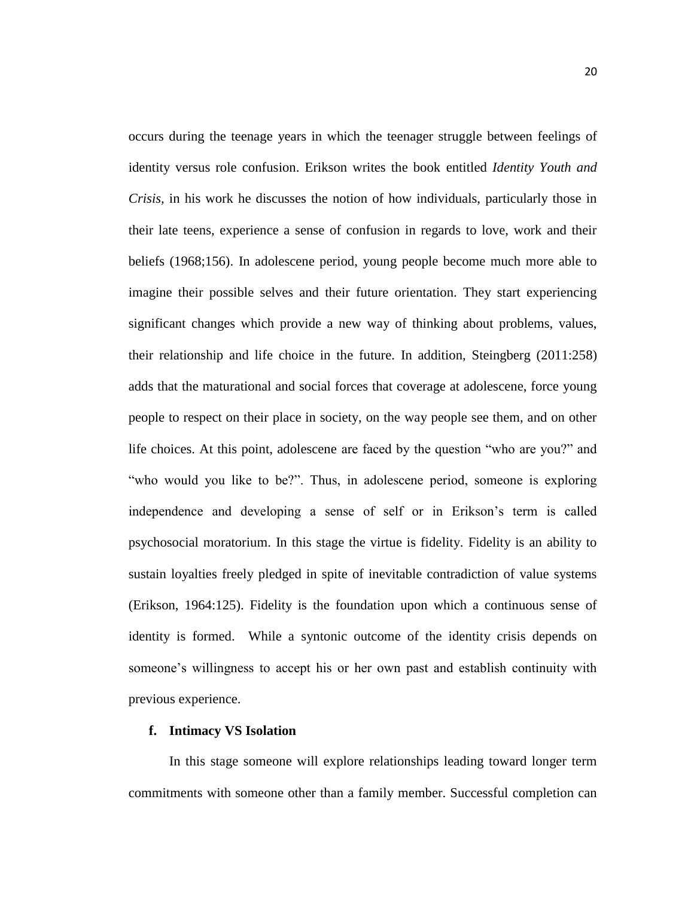occurs during the teenage years in which the teenager struggle between feelings of identity versus role confusion. Erikson writes the book entitled *Identity Youth and Crisis,* in his work he discusses the notion of how individuals, particularly those in their late teens, experience a sense of confusion in regards to love, work and their beliefs (1968;156). In adolescene period, young people become much more able to imagine their possible selves and their future orientation. They start experiencing significant changes which provide a new way of thinking about problems, values, their relationship and life choice in the future. In addition, Steingberg (2011:258) adds that the maturational and social forces that coverage at adolescene, force young people to respect on their place in society, on the way people see them, and on other life choices. At this point, adolescene are faced by the question "who are you?" and "who would you like to be?". Thus, in adolescene period, someone is exploring independence and developing a sense of self or in Erikson's term is called psychosocial moratorium. In this stage the virtue is fidelity. Fidelity is an ability to sustain loyalties freely pledged in spite of inevitable contradiction of value systems (Erikson, 1964:125). Fidelity is the foundation upon which a continuous sense of identity is formed. While a syntonic outcome of the identity crisis depends on someone's willingness to accept his or her own past and establish continuity with previous experience.

### **f. Intimacy VS Isolation**

In this stage someone will explore relationships leading toward longer term commitments with someone other than a family member. Successful completion can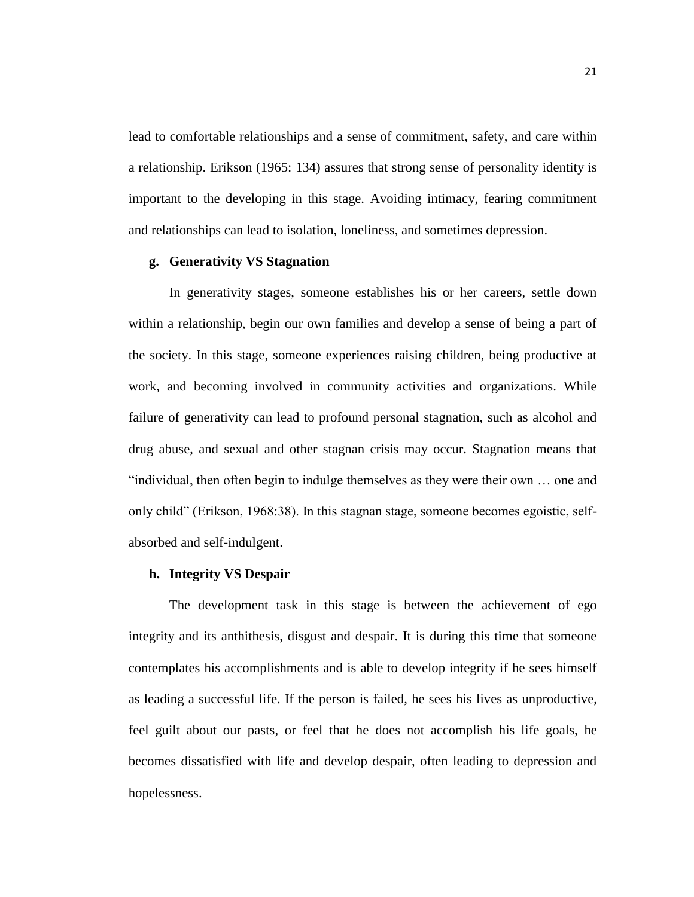lead to comfortable relationships and a sense of commitment, safety, and care within a relationship. Erikson (1965: 134) assures that strong sense of personality identity is important to the developing in this stage. Avoiding intimacy, fearing commitment and relationships can lead to isolation, loneliness, and sometimes depression.

### **g. Generativity VS Stagnation**

In generativity stages, someone establishes his or her careers, settle down within a relationship, begin our own families and develop a sense of being a part of the society. In this stage, someone experiences raising children, being productive at work, and becoming involved in community activities and organizations. While failure of generativity can lead to profound personal stagnation, such as alcohol and drug abuse, and sexual and other stagnan crisis may occur. Stagnation means that "individual, then often begin to indulge themselves as they were their own … one and only child" (Erikson, 1968:38). In this stagnan stage, someone becomes egoistic, selfabsorbed and self-indulgent.

### **h. Integrity VS Despair**

The development task in this stage is between the achievement of ego integrity and its anthithesis, disgust and despair. It is during this time that someone contemplates his accomplishments and is able to develop integrity if he sees himself as leading a successful life. If the person is failed, he sees his lives as unproductive, feel guilt about our pasts, or feel that he does not accomplish his life goals, he becomes dissatisfied with life and develop despair, often leading to depression and hopelessness.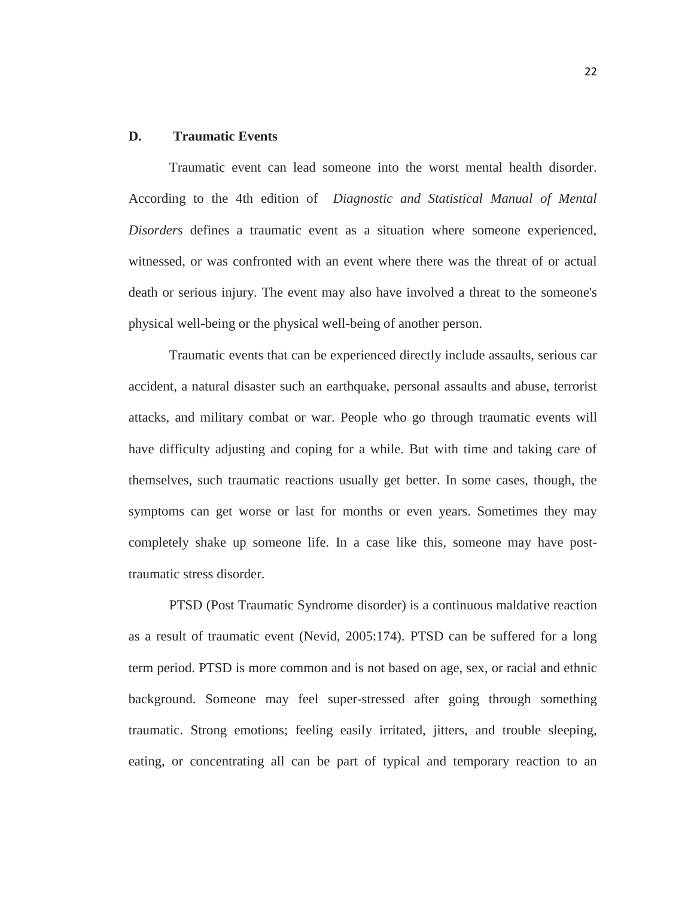### **D. Traumatic Events**

Traumatic event can lead someone into the worst mental health disorder. According to the 4th edition of *Diagnostic and Statistical Manual of Mental Disorders* defines a traumatic event as a situation where someone experienced, witnessed, or was confronted with an event where there was the threat of or actual death or serious injury. The event may also have involved a threat to the someone's physical well-being or the physical well-being of another person.

Traumatic events that can be experienced directly include assaults, serious car accident, a natural disaster such an earthquake, personal assaults and abuse, terrorist attacks, and military combat or war. People who go through traumatic events will have difficulty adjusting and coping for a while. But with time and taking care of themselves, such traumatic reactions usually get better. In some cases, though, the symptoms can get worse or last for months or even years. Sometimes they may completely shake up someone life. In a case like this, someone may have posttraumatic stress disorder.

PTSD (Post Traumatic Syndrome disorder) is a continuous maldative reaction as a result of traumatic event (Nevid, 2005:174). PTSD can be suffered for a long term period. PTSD is more common and is not based on age, sex, or racial and ethnic background. Someone may feel super-stressed after going through something traumatic. Strong emotions; feeling easily irritated, jitters, and trouble sleeping, eating, or concentrating all can be part of typical and temporary reaction to an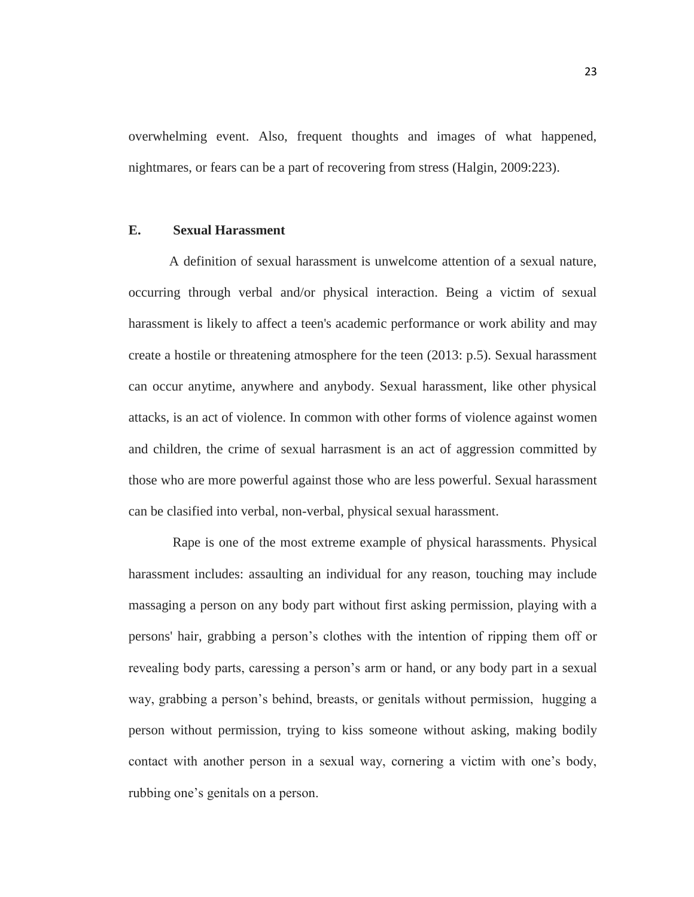overwhelming event. Also, frequent thoughts and images of what happened, nightmares, or fears can be a part of recovering from stress (Halgin, 2009:223).

#### **E. Sexual Harassment**

A definition of sexual harassment is unwelcome attention of a sexual nature, occurring through verbal and/or physical interaction. Being a victim of sexual harassment is likely to affect a teen's academic performance or work ability and may create a hostile or threatening atmosphere for the teen (2013: p.5). Sexual harassment can occur anytime, anywhere and anybody. Sexual harassment, like other physical attacks, is an act of violence. In common with other forms of violence against women and children, the crime of sexual harrasment is an act of aggression committed by those who are more powerful against those who are less powerful. Sexual harassment can be clasified into verbal, non-verbal, physical sexual harassment.

Rape is one of the most extreme example of physical harassments. Physical harassment includes: assaulting an individual for any reason, touching may include massaging a person on any body part without first asking permission, playing with a persons' hair, grabbing a person's clothes with the intention of ripping them off or revealing body parts, caressing a person's arm or hand, or any body part in a sexual way, grabbing a person's behind, breasts, or genitals without permission, hugging a person without permission, trying to kiss someone without asking, making bodily contact with another person in a sexual way, cornering a victim with one's body, rubbing one's genitals on a person.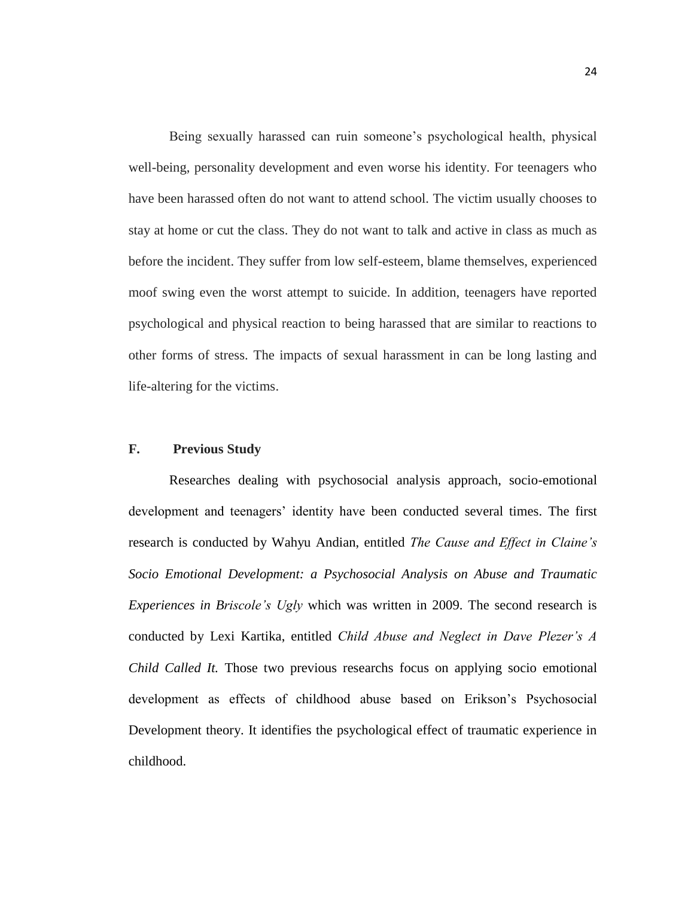Being sexually harassed can ruin someone's psychological health, physical well-being, personality development and even worse his identity. For teenagers who have been harassed often do not want to attend school. The victim usually chooses to stay at home or cut the class. They do not want to talk and active in class as much as before the incident. They suffer from low self-esteem, blame themselves, experienced moof swing even the worst attempt to suicide. In addition, teenagers have reported psychological and physical reaction to being harassed that are similar to reactions to other forms of stress. The impacts of sexual harassment in can be long lasting and life-altering for the victims.

### **F. Previous Study**

Researches dealing with psychosocial analysis approach, socio-emotional development and teenagers' identity have been conducted several times. The first research is conducted by Wahyu Andian, entitled *The Cause and Effect in Claine's Socio Emotional Development: a Psychosocial Analysis on Abuse and Traumatic Experiences in Briscole's Ugly* which was written in 2009. The second research is conducted by Lexi Kartika, entitled *Child Abuse and Neglect in Dave Plezer's A Child Called It.* Those two previous researchs focus on applying socio emotional development as effects of childhood abuse based on Erikson's Psychosocial Development theory. It identifies the psychological effect of traumatic experience in childhood.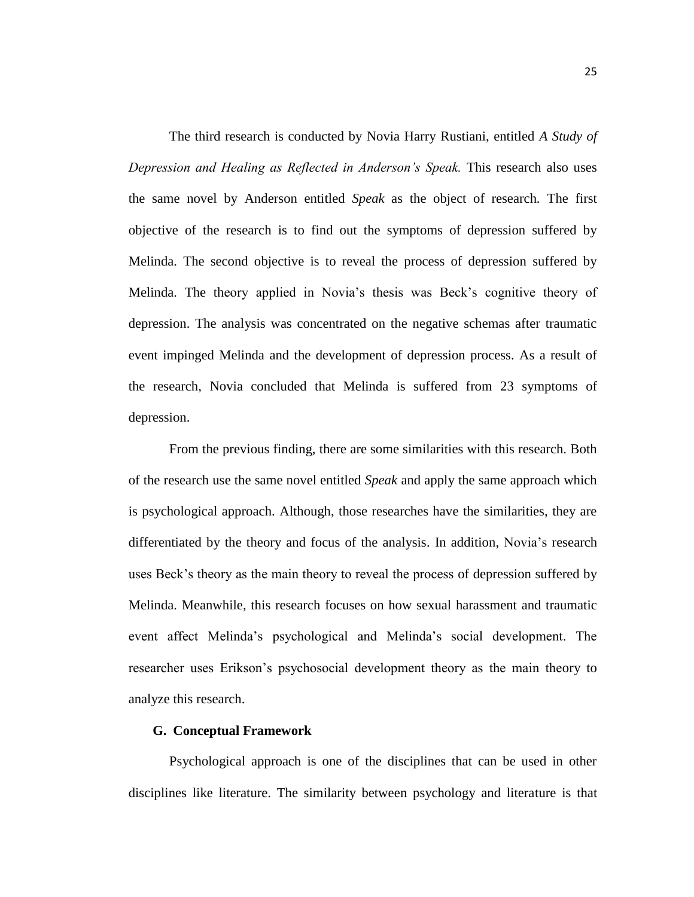The third research is conducted by Novia Harry Rustiani, entitled *A Study of Depression and Healing as Reflected in Anderson's Speak.* This research also uses the same novel by Anderson entitled *Speak* as the object of research*.* The first objective of the research is to find out the symptoms of depression suffered by Melinda. The second objective is to reveal the process of depression suffered by Melinda. The theory applied in Novia's thesis was Beck's cognitive theory of depression. The analysis was concentrated on the negative schemas after traumatic event impinged Melinda and the development of depression process. As a result of the research, Novia concluded that Melinda is suffered from 23 symptoms of depression.

From the previous finding, there are some similarities with this research. Both of the research use the same novel entitled *Speak* and apply the same approach which is psychological approach. Although, those researches have the similarities, they are differentiated by the theory and focus of the analysis. In addition, Novia's research uses Beck's theory as the main theory to reveal the process of depression suffered by Melinda. Meanwhile, this research focuses on how sexual harassment and traumatic event affect Melinda's psychological and Melinda's social development. The researcher uses Erikson's psychosocial development theory as the main theory to analyze this research.

#### **G. Conceptual Framework**

Psychological approach is one of the disciplines that can be used in other disciplines like literature. The similarity between psychology and literature is that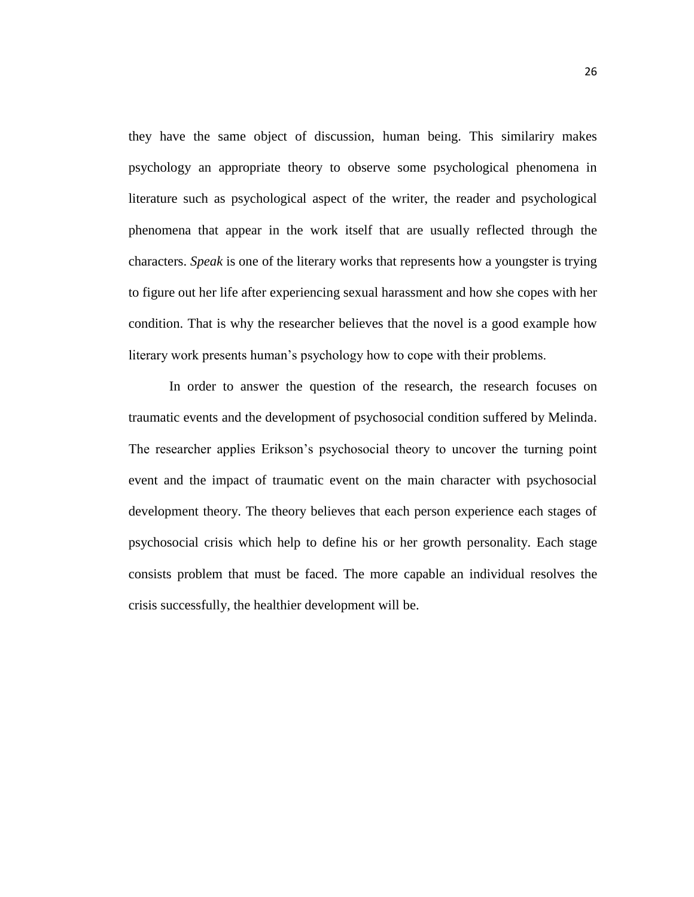they have the same object of discussion, human being. This similariry makes psychology an appropriate theory to observe some psychological phenomena in literature such as psychological aspect of the writer, the reader and psychological phenomena that appear in the work itself that are usually reflected through the characters. *Speak* is one of the literary works that represents how a youngster is trying to figure out her life after experiencing sexual harassment and how she copes with her condition. That is why the researcher believes that the novel is a good example how literary work presents human's psychology how to cope with their problems.

In order to answer the question of the research, the research focuses on traumatic events and the development of psychosocial condition suffered by Melinda. The researcher applies Erikson's psychosocial theory to uncover the turning point event and the impact of traumatic event on the main character with psychosocial development theory. The theory believes that each person experience each stages of psychosocial crisis which help to define his or her growth personality. Each stage consists problem that must be faced. The more capable an individual resolves the crisis successfully, the healthier development will be.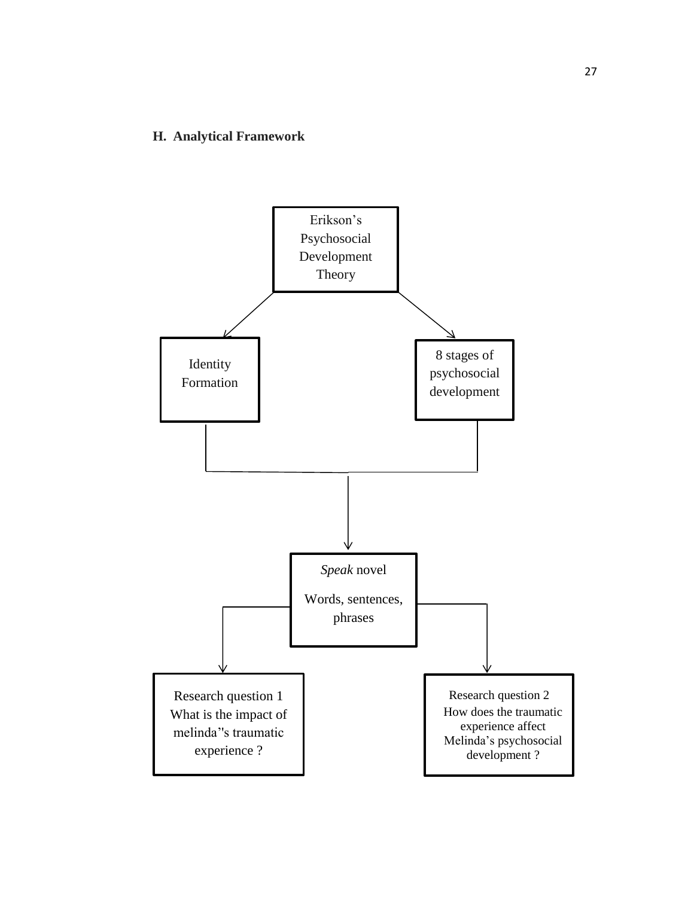# **H. Analytical Framework**

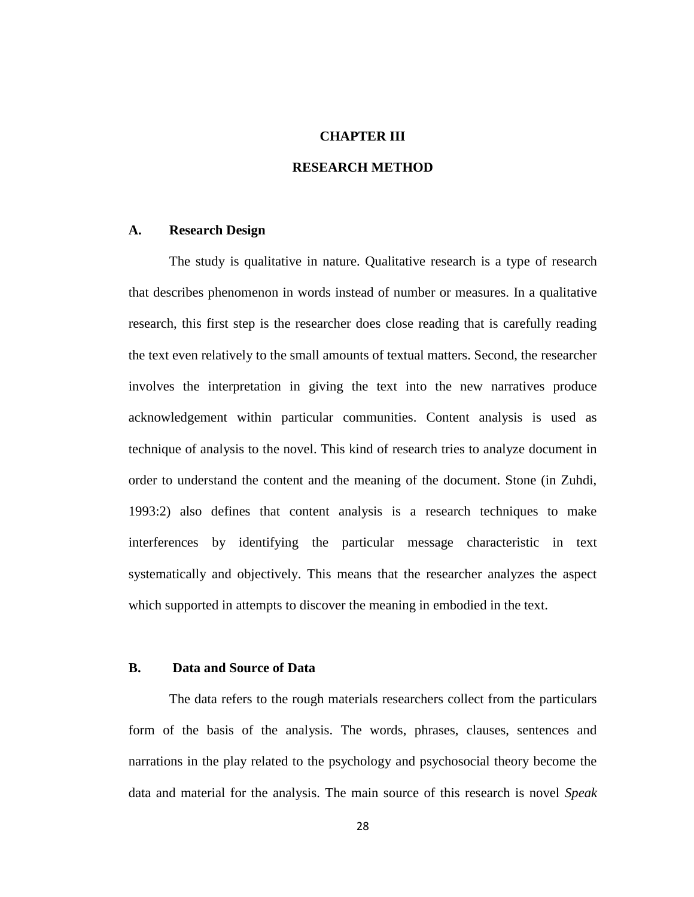#### **CHAPTER III**

## **RESEARCH METHOD**

#### **A. Research Design**

The study is qualitative in nature. Qualitative research is a type of research that describes phenomenon in words instead of number or measures. In a qualitative research, this first step is the researcher does close reading that is carefully reading the text even relatively to the small amounts of textual matters. Second, the researcher involves the interpretation in giving the text into the new narratives produce acknowledgement within particular communities. Content analysis is used as technique of analysis to the novel. This kind of research tries to analyze document in order to understand the content and the meaning of the document. Stone (in Zuhdi, 1993:2) also defines that content analysis is a research techniques to make interferences by identifying the particular message characteristic in text systematically and objectively. This means that the researcher analyzes the aspect which supported in attempts to discover the meaning in embodied in the text.

## **B. Data and Source of Data**

The data refers to the rough materials researchers collect from the particulars form of the basis of the analysis. The words, phrases, clauses, sentences and narrations in the play related to the psychology and psychosocial theory become the data and material for the analysis. The main source of this research is novel *Speak*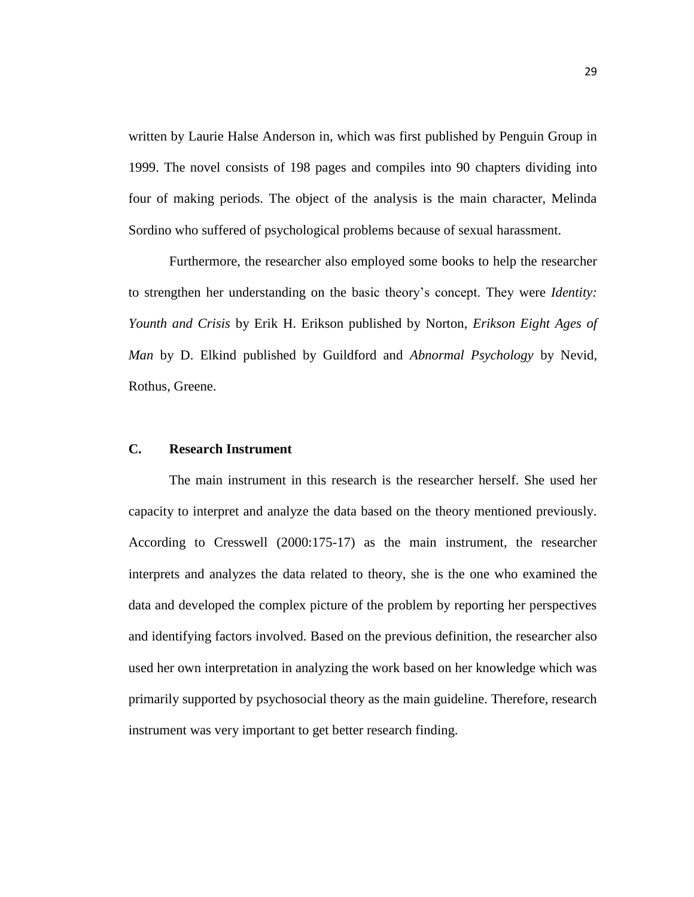written by Laurie Halse Anderson in, which was first published by Penguin Group in 1999. The novel consists of 198 pages and compiles into 90 chapters dividing into four of making periods. The object of the analysis is the main character, Melinda Sordino who suffered of psychological problems because of sexual harassment.

Furthermore, the researcher also employed some books to help the researcher to strengthen her understanding on the basic theory's concept. They were *Identity: Younth and Crisis* by Erik H. Erikson published by Norton, *Erikson Eight Ages of Man* by D. Elkind published by Guildford and *Abnormal Psychology* by Nevid, Rothus, Greene.

# **C. Research Instrument**

The main instrument in this research is the researcher herself. She used her capacity to interpret and analyze the data based on the theory mentioned previously. According to Cresswell (2000:175-17) as the main instrument, the researcher interprets and analyzes the data related to theory, she is the one who examined the data and developed the complex picture of the problem by reporting her perspectives and identifying factors involved. Based on the previous definition, the researcher also used her own interpretation in analyzing the work based on her knowledge which was primarily supported by psychosocial theory as the main guideline. Therefore, research instrument was very important to get better research finding.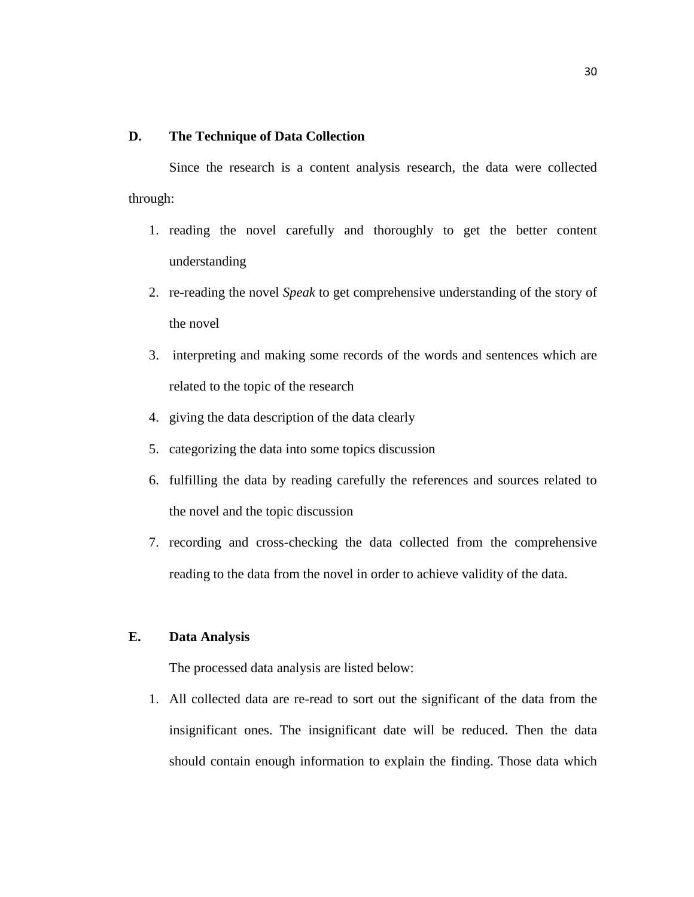#### **D. The Technique of Data Collection**

Since the research is a content analysis research, the data were collected through:

- 1. reading the novel carefully and thoroughly to get the better content understanding
- 2. re-reading the novel *Speak* to get comprehensive understanding of the story of the novel
- 3. interpreting and making some records of the words and sentences which are related to the topic of the research
- 4. giving the data description of the data clearly
- 5. categorizing the data into some topics discussion
- 6. fulfilling the data by reading carefully the references and sources related to the novel and the topic discussion
- 7. recording and cross-checking the data collected from the comprehensive reading to the data from the novel in order to achieve validity of the data.

# **E. Data Analysis**

The processed data analysis are listed below:

1. All collected data are re-read to sort out the significant of the data from the insignificant ones. The insignificant date will be reduced. Then the data should contain enough information to explain the finding. Those data which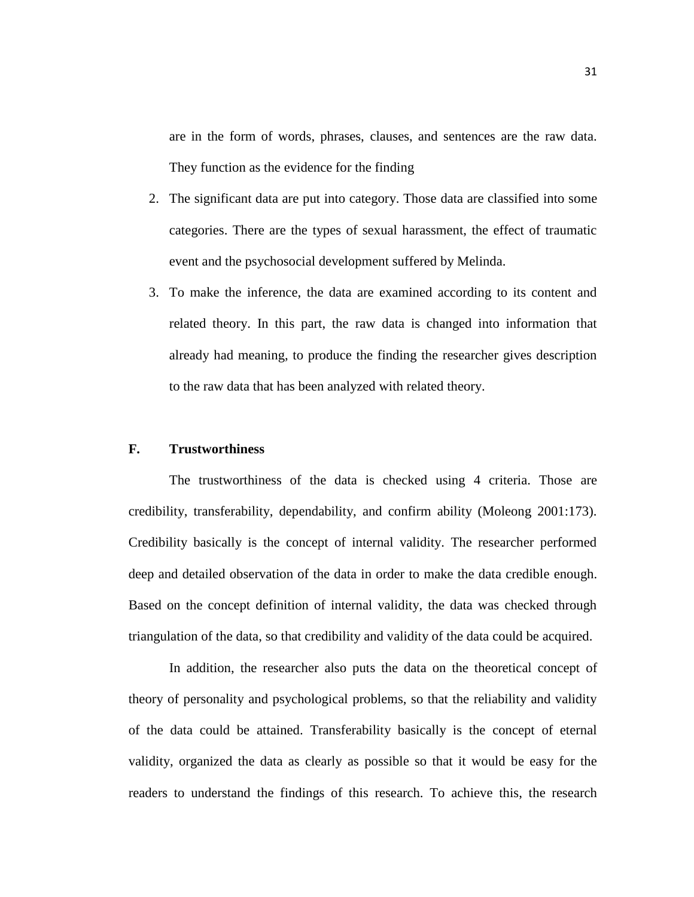are in the form of words, phrases, clauses, and sentences are the raw data. They function as the evidence for the finding

- 2. The significant data are put into category. Those data are classified into some categories. There are the types of sexual harassment, the effect of traumatic event and the psychosocial development suffered by Melinda.
- 3. To make the inference, the data are examined according to its content and related theory. In this part, the raw data is changed into information that already had meaning, to produce the finding the researcher gives description to the raw data that has been analyzed with related theory.

## **F. Trustworthiness**

The trustworthiness of the data is checked using 4 criteria. Those are credibility, transferability, dependability, and confirm ability (Moleong 2001:173). Credibility basically is the concept of internal validity. The researcher performed deep and detailed observation of the data in order to make the data credible enough. Based on the concept definition of internal validity, the data was checked through triangulation of the data, so that credibility and validity of the data could be acquired.

In addition, the researcher also puts the data on the theoretical concept of theory of personality and psychological problems, so that the reliability and validity of the data could be attained. Transferability basically is the concept of eternal validity, organized the data as clearly as possible so that it would be easy for the readers to understand the findings of this research. To achieve this, the research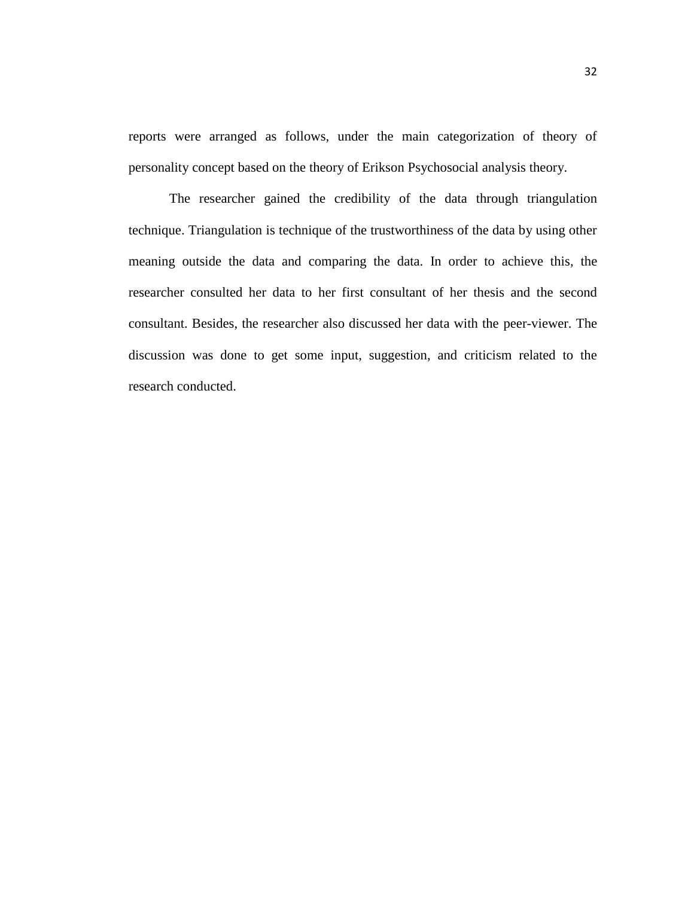reports were arranged as follows, under the main categorization of theory of personality concept based on the theory of Erikson Psychosocial analysis theory.

The researcher gained the credibility of the data through triangulation technique. Triangulation is technique of the trustworthiness of the data by using other meaning outside the data and comparing the data. In order to achieve this, the researcher consulted her data to her first consultant of her thesis and the second consultant. Besides, the researcher also discussed her data with the peer-viewer. The discussion was done to get some input, suggestion, and criticism related to the research conducted.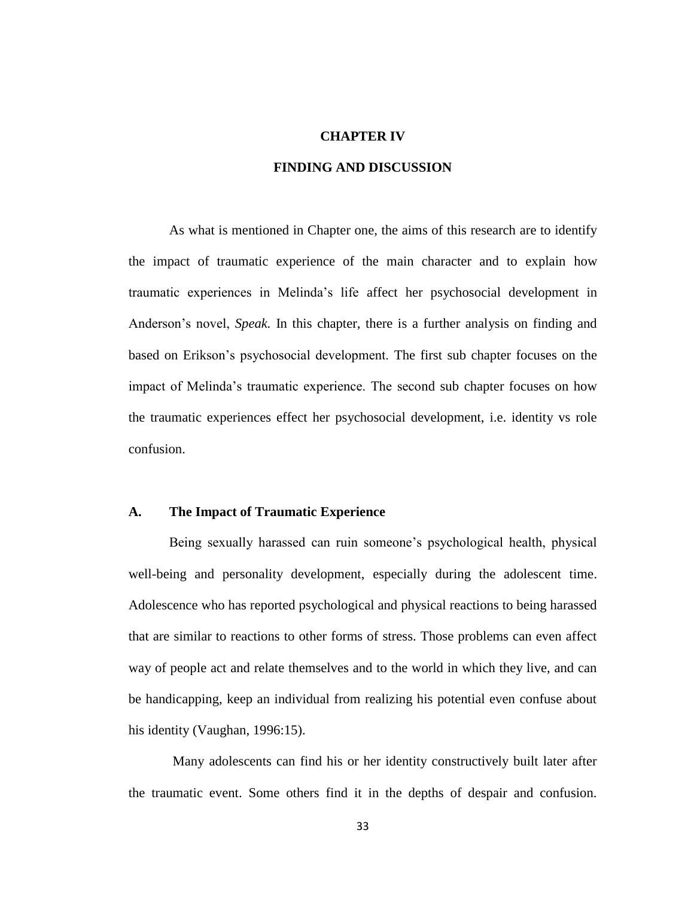#### **CHAPTER IV**

# **FINDING AND DISCUSSION**

As what is mentioned in Chapter one, the aims of this research are to identify the impact of traumatic experience of the main character and to explain how traumatic experiences in Melinda's life affect her psychosocial development in Anderson's novel, *Speak.* In this chapter, there is a further analysis on finding and based on Erikson's psychosocial development. The first sub chapter focuses on the impact of Melinda's traumatic experience. The second sub chapter focuses on how the traumatic experiences effect her psychosocial development, i.e. identity vs role confusion.

# **A. The Impact of Traumatic Experience**

Being sexually harassed can ruin someone's psychological health, physical well-being and personality development, especially during the adolescent time. Adolescence who has reported psychological and physical reactions to being harassed that are similar to reactions to other forms of stress. Those problems can even affect way of people act and relate themselves and to the world in which they live, and can be handicapping, keep an individual from realizing his potential even confuse about his identity (Vaughan, 1996:15).

Many adolescents can find his or her identity constructively built later after the traumatic event. Some others find it in the depths of despair and confusion.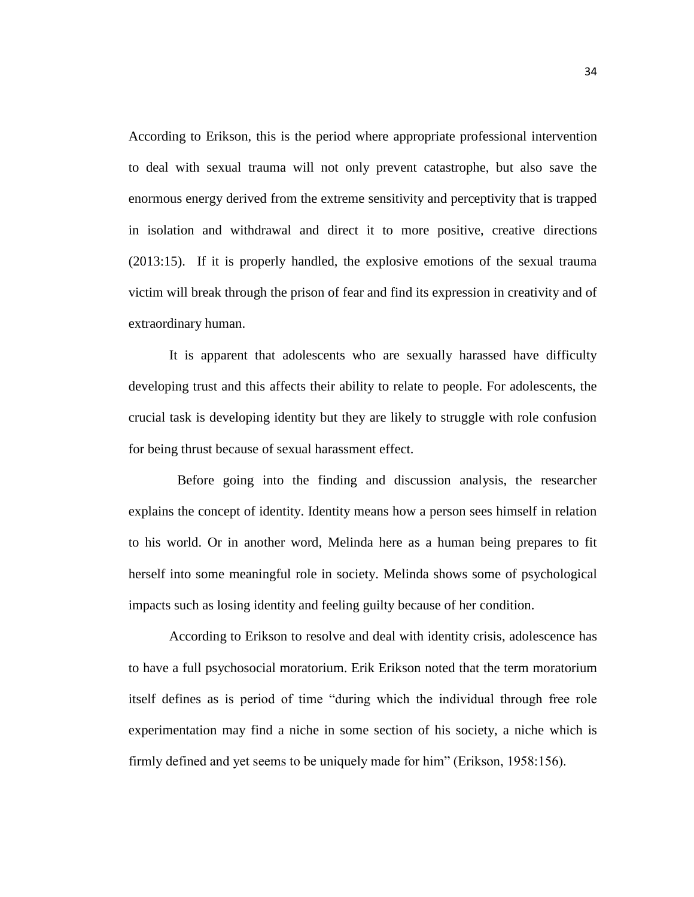According to Erikson, this is the period where appropriate professional intervention to deal with sexual trauma will not only prevent catastrophe, but also save the enormous energy derived from the extreme sensitivity and perceptivity that is trapped in isolation and withdrawal and direct it to more positive, creative directions (2013:15). If it is properly handled, the explosive emotions of the sexual trauma victim will break through the prison of fear and find its expression in creativity and of extraordinary human.

It is apparent that adolescents who are sexually harassed have difficulty developing trust and this affects their ability to relate to people. For adolescents, the crucial task is developing identity but they are likely to struggle with role confusion for being thrust because of sexual harassment effect.

Before going into the finding and discussion analysis, the researcher explains the concept of identity. Identity means how a person sees himself in relation to his world. Or in another word, Melinda here as a human being prepares to fit herself into some meaningful role in society. Melinda shows some of psychological impacts such as losing identity and feeling guilty because of her condition.

According to Erikson to resolve and deal with identity crisis, adolescence has to have a full psychosocial moratorium. Erik Erikson noted that the term moratorium itself defines as is period of time "during which the individual through free role experimentation may find a niche in some section of his society, a niche which is firmly defined and yet seems to be uniquely made for him" (Erikson, 1958:156).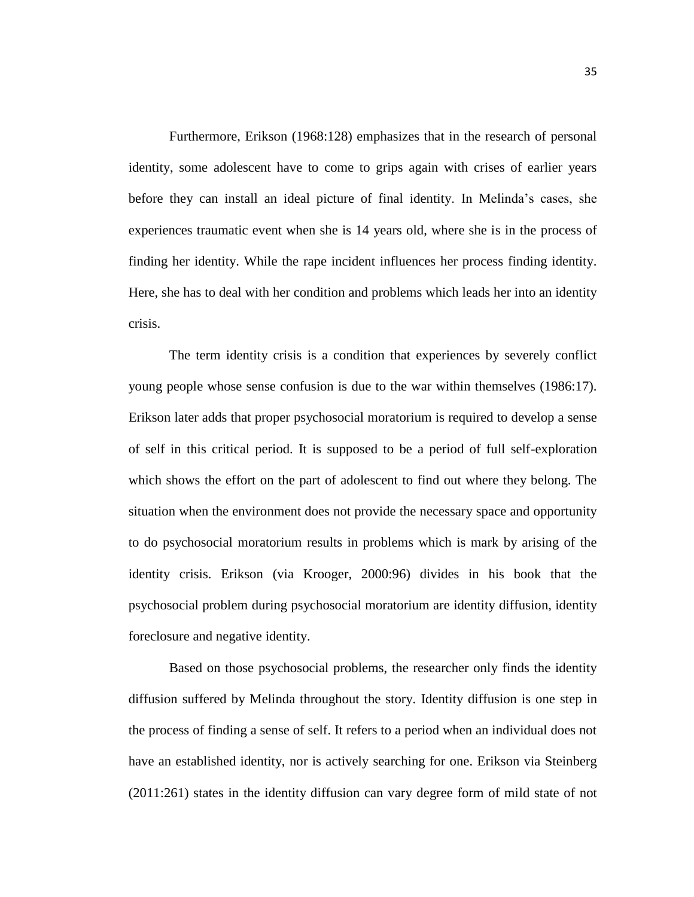Furthermore, Erikson (1968:128) emphasizes that in the research of personal identity, some adolescent have to come to grips again with crises of earlier years before they can install an ideal picture of final identity. In Melinda's cases, she experiences traumatic event when she is 14 years old, where she is in the process of finding her identity. While the rape incident influences her process finding identity. Here, she has to deal with her condition and problems which leads her into an identity crisis.

The term identity crisis is a condition that experiences by severely conflict young people whose sense confusion is due to the war within themselves (1986:17). Erikson later adds that proper psychosocial moratorium is required to develop a sense of self in this critical period. It is supposed to be a period of full self-exploration which shows the effort on the part of adolescent to find out where they belong. The situation when the environment does not provide the necessary space and opportunity to do psychosocial moratorium results in problems which is mark by arising of the identity crisis. Erikson (via Krooger, 2000:96) divides in his book that the psychosocial problem during psychosocial moratorium are identity diffusion, identity foreclosure and negative identity.

Based on those psychosocial problems, the researcher only finds the identity diffusion suffered by Melinda throughout the story. Identity diffusion is one step in the process of finding a sense of self. It refers to a period when an individual does not have an established identity, nor is actively searching for one. Erikson via Steinberg (2011:261) states in the identity diffusion can vary degree form of mild state of not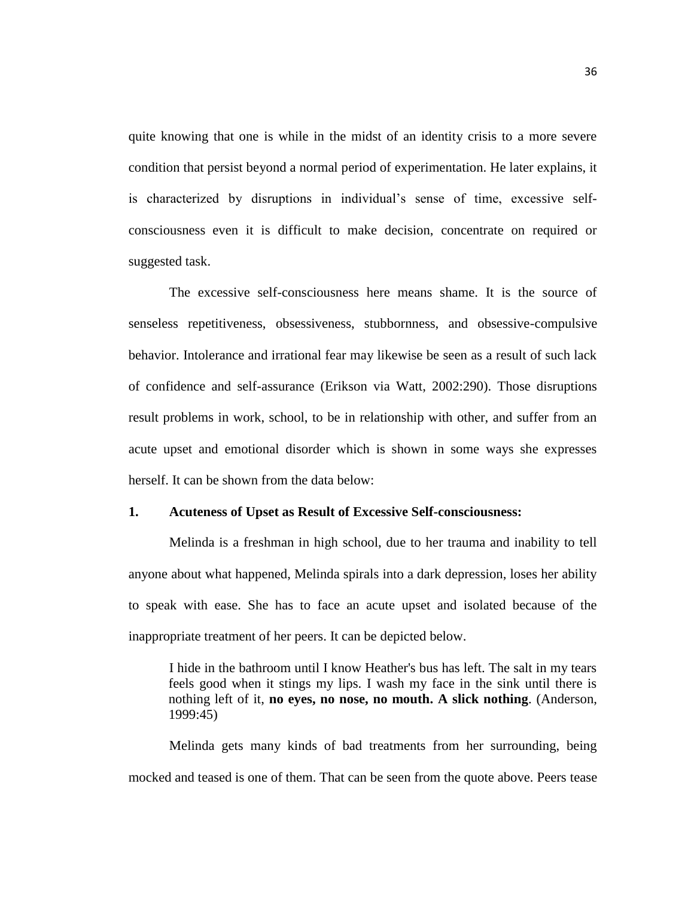quite knowing that one is while in the midst of an identity crisis to a more severe condition that persist beyond a normal period of experimentation. He later explains, it is characterized by disruptions in individual's sense of time, excessive selfconsciousness even it is difficult to make decision, concentrate on required or suggested task.

The excessive self-consciousness here means shame. It is the source of senseless repetitiveness, obsessiveness, stubbornness, and obsessive-compulsive behavior. Intolerance and irrational fear may likewise be seen as a result of such lack of confidence and self-assurance (Erikson via Watt, 2002:290). Those disruptions result problems in work, school, to be in relationship with other, and suffer from an acute upset and emotional disorder which is shown in some ways she expresses herself. It can be shown from the data below:

#### **1. Acuteness of Upset as Result of Excessive Self-consciousness:**

Melinda is a freshman in high school, due to her trauma and inability to tell anyone about what happened, Melinda spirals into a dark depression, loses her ability to speak with ease. She has to face an acute upset and isolated because of the inappropriate treatment of her peers. It can be depicted below.

I hide in the bathroom until I know Heather's bus has left. The salt in my tears feels good when it stings my lips. I wash my face in the sink until there is nothing left of it, **no eyes, no nose, no mouth. A slick nothing**. (Anderson, 1999:45)

Melinda gets many kinds of bad treatments from her surrounding, being mocked and teased is one of them. That can be seen from the quote above. Peers tease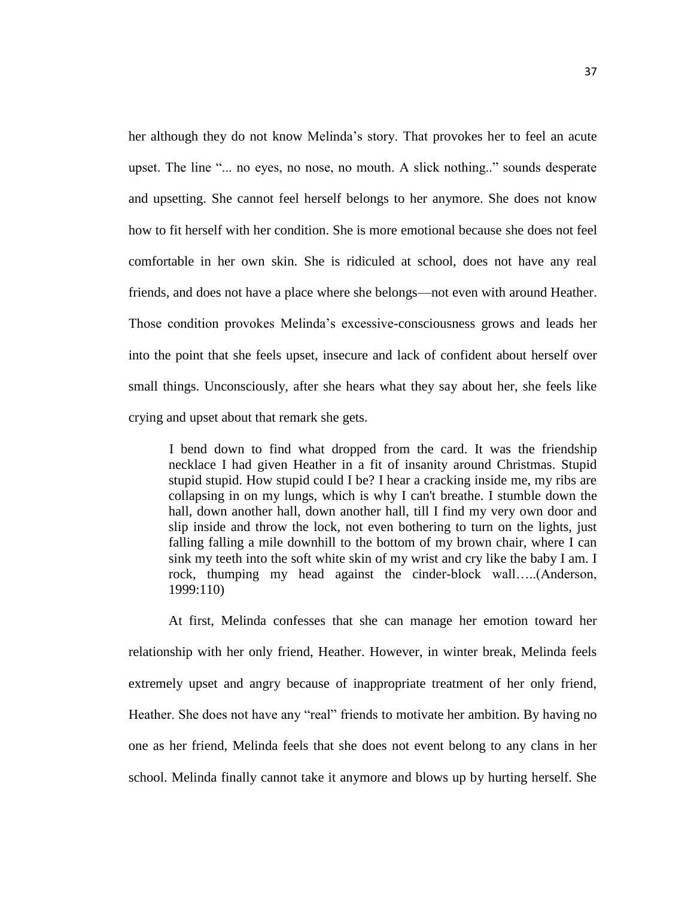her although they do not know Melinda's story. That provokes her to feel an acute upset. The line "... no eyes, no nose, no mouth. A slick nothing.." sounds desperate and upsetting. She cannot feel herself belongs to her anymore. She does not know how to fit herself with her condition. She is more emotional because she does not feel comfortable in her own skin. She is ridiculed at school, does not have any real friends, and does not have a place where she belongs—not even with around Heather. Those condition provokes Melinda's excessive-consciousness grows and leads her into the point that she feels upset, insecure and lack of confident about herself over small things. Unconsciously, after she hears what they say about her, she feels like crying and upset about that remark she gets.

I bend down to find what dropped from the card. It was the friendship necklace I had given Heather in a fit of insanity around Christmas. Stupid stupid stupid. How stupid could I be? I hear a cracking inside me, my ribs are collapsing in on my lungs, which is why I can't breathe. I stumble down the hall, down another hall, down another hall, till I find my very own door and slip inside and throw the lock, not even bothering to turn on the lights, just falling falling a mile downhill to the bottom of my brown chair, where I can sink my teeth into the soft white skin of my wrist and cry like the baby I am. I rock, thumping my head against the cinder-block wall…..(Anderson, 1999:110)

At first, Melinda confesses that she can manage her emotion toward her relationship with her only friend, Heather. However, in winter break, Melinda feels extremely upset and angry because of inappropriate treatment of her only friend, Heather. She does not have any "real" friends to motivate her ambition. By having no one as her friend, Melinda feels that she does not event belong to any clans in her school. Melinda finally cannot take it anymore and blows up by hurting herself. She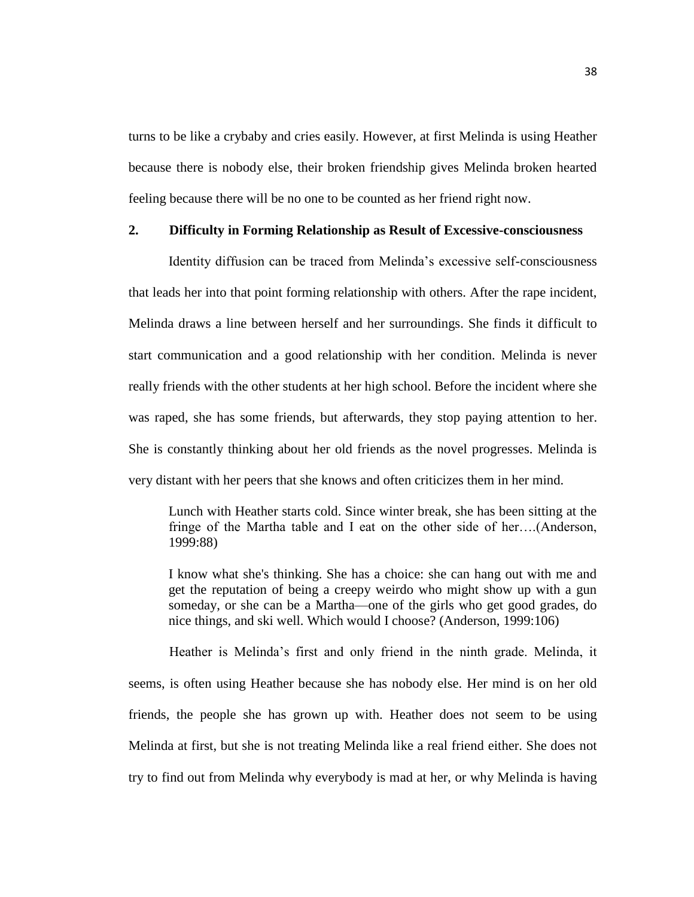turns to be like a crybaby and cries easily. However, at first Melinda is using Heather because there is nobody else, their broken friendship gives Melinda broken hearted feeling because there will be no one to be counted as her friend right now.

## **2. Difficulty in Forming Relationship as Result of Excessive-consciousness**

Identity diffusion can be traced from Melinda's excessive self-consciousness that leads her into that point forming relationship with others. After the rape incident, Melinda draws a line between herself and her surroundings. She finds it difficult to start communication and a good relationship with her condition. Melinda is never really friends with the other students at her high school. Before the incident where she was raped, she has some friends, but afterwards, they stop paying attention to her. She is constantly thinking about her old friends as the novel progresses. Melinda is very distant with her peers that she knows and often criticizes them in her mind.

Lunch with Heather starts cold. Since winter break, she has been sitting at the fringe of the Martha table and I eat on the other side of her….(Anderson, 1999:88)

I know what she's thinking. She has a choice: she can hang out with me and get the reputation of being a creepy weirdo who might show up with a gun someday, or she can be a Martha—one of the girls who get good grades, do nice things, and ski well. Which would I choose? (Anderson, 1999:106)

Heather is Melinda's first and only friend in the ninth grade. Melinda, it seems, is often using Heather because she has nobody else. Her mind is on her old friends, the people she has grown up with. Heather does not seem to be using Melinda at first, but she is not treating Melinda like a real friend either. She does not try to find out from Melinda why everybody is mad at her, or why Melinda is having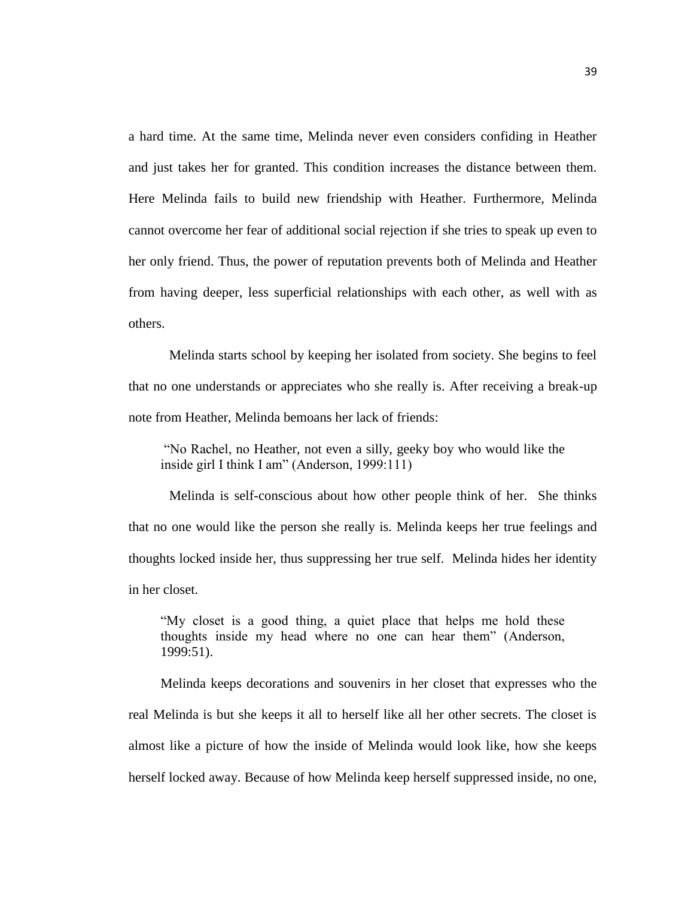a hard time. At the same time, Melinda never even considers confiding in Heather and just takes her for granted. This condition increases the distance between them. Here Melinda fails to build new friendship with Heather. Furthermore, Melinda cannot overcome her fear of additional social rejection if she tries to speak up even to her only friend. Thus, the power of reputation prevents both of Melinda and Heather from having deeper, less superficial relationships with each other, as well with as others.

Melinda starts school by keeping her isolated from society. She begins to feel that no one understands or appreciates who she really is. After receiving a break-up note from Heather, Melinda bemoans her lack of friends:

"No Rachel, no Heather, not even a silly, geeky boy who would like the inside girl I think I am" (Anderson, 1999:111)

Melinda is self-conscious about how other people think of her. She thinks that no one would like the person she really is. Melinda keeps her true feelings and thoughts locked inside her, thus suppressing her true self. Melinda hides her identity in her closet.

"My closet is a good thing, a quiet place that helps me hold these thoughts inside my head where no one can hear them" (Anderson, 1999:51).

Melinda keeps decorations and souvenirs in her closet that expresses who the real Melinda is but she keeps it all to herself like all her other secrets. The closet is almost like a picture of how the inside of Melinda would look like, how she keeps herself locked away. Because of how Melinda keep herself suppressed inside, no one,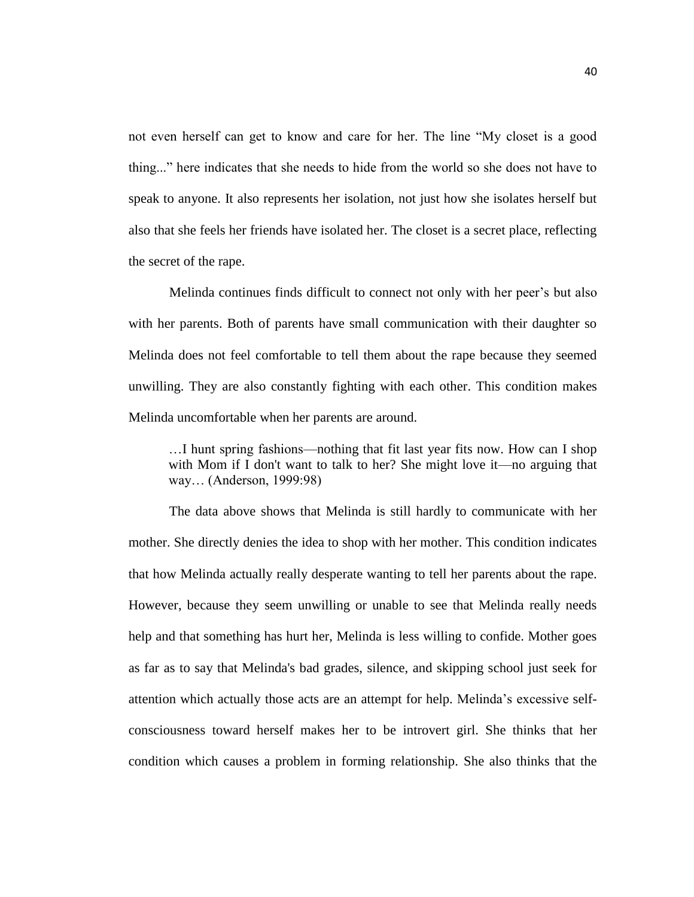not even herself can get to know and care for her. The line "My closet is a good thing..." here indicates that she needs to hide from the world so she does not have to speak to anyone. It also represents her isolation, not just how she isolates herself but also that she feels her friends have isolated her. The closet is a secret place, reflecting the secret of the rape.

Melinda continues finds difficult to connect not only with her peer's but also with her parents. Both of parents have small communication with their daughter so Melinda does not feel comfortable to tell them about the rape because they seemed unwilling. They are also constantly fighting with each other. This condition makes Melinda uncomfortable when her parents are around.

…I hunt spring fashions—nothing that fit last year fits now. How can I shop with Mom if I don't want to talk to her? She might love it—no arguing that way… (Anderson, 1999:98)

The data above shows that Melinda is still hardly to communicate with her mother. She directly denies the idea to shop with her mother. This condition indicates that how Melinda actually really desperate wanting to tell her parents about the rape. However, because they seem unwilling or unable to see that Melinda really needs help and that something has hurt her, Melinda is less willing to confide. Mother goes as far as to say that Melinda's bad grades, silence, and skipping school just seek for attention which actually those acts are an attempt for help. Melinda's excessive selfconsciousness toward herself makes her to be introvert girl. She thinks that her condition which causes a problem in forming relationship. She also thinks that the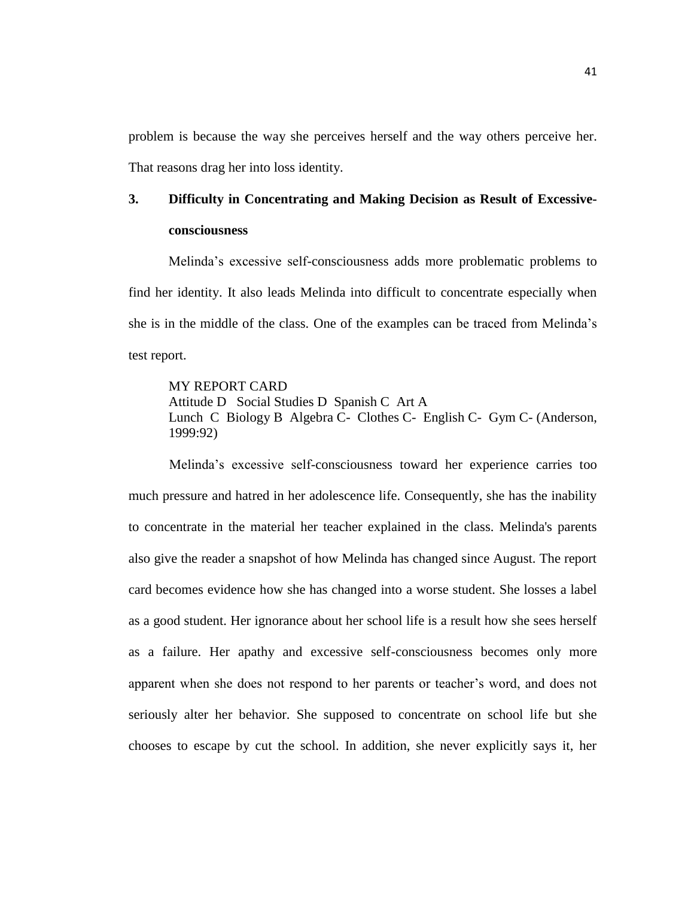problem is because the way she perceives herself and the way others perceive her. That reasons drag her into loss identity.

# **3. Difficulty in Concentrating and Making Decision as Result of Excessiveconsciousness**

Melinda's excessive self-consciousness adds more problematic problems to find her identity. It also leads Melinda into difficult to concentrate especially when she is in the middle of the class. One of the examples can be traced from Melinda's test report.

## MY REPORT CARD

Attitude D Social Studies D Spanish C Art A Lunch C Biology B Algebra C- Clothes C- English C- Gym C- (Anderson, 1999:92)

Melinda's excessive self-consciousness toward her experience carries too much pressure and hatred in her adolescence life. Consequently, she has the inability to concentrate in the material her teacher explained in the class. Melinda's parents also give the reader a snapshot of how Melinda has changed since August. The report card becomes evidence how she has changed into a worse student. She losses a label as a good student. Her ignorance about her school life is a result how she sees herself as a failure. Her apathy and excessive self-consciousness becomes only more apparent when she does not respond to her parents or teacher's word, and does not seriously alter her behavior. She supposed to concentrate on school life but she chooses to escape by cut the school. In addition, she never explicitly says it, her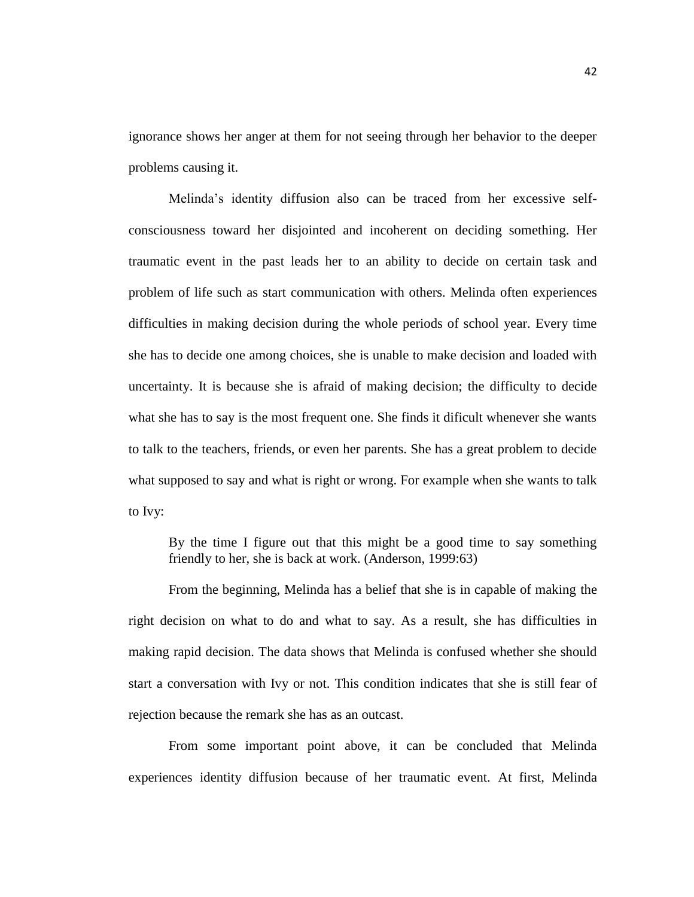ignorance shows her anger at them for not seeing through her behavior to the deeper problems causing it.

Melinda's identity diffusion also can be traced from her excessive selfconsciousness toward her disjointed and incoherent on deciding something. Her traumatic event in the past leads her to an ability to decide on certain task and problem of life such as start communication with others. Melinda often experiences difficulties in making decision during the whole periods of school year. Every time she has to decide one among choices, she is unable to make decision and loaded with uncertainty. It is because she is afraid of making decision; the difficulty to decide what she has to say is the most frequent one. She finds it dificult whenever she wants to talk to the teachers, friends, or even her parents. She has a great problem to decide what supposed to say and what is right or wrong. For example when she wants to talk to Ivy:

By the time I figure out that this might be a good time to say something friendly to her, she is back at work. (Anderson, 1999:63)

From the beginning, Melinda has a belief that she is in capable of making the right decision on what to do and what to say. As a result, she has difficulties in making rapid decision. The data shows that Melinda is confused whether she should start a conversation with Ivy or not. This condition indicates that she is still fear of rejection because the remark she has as an outcast.

From some important point above, it can be concluded that Melinda experiences identity diffusion because of her traumatic event. At first, Melinda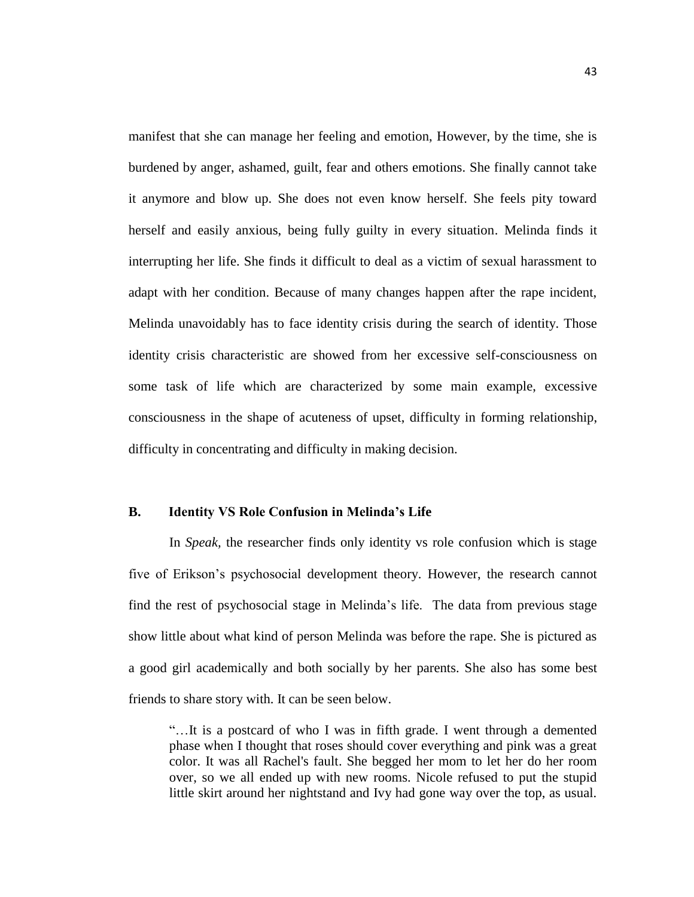manifest that she can manage her feeling and emotion, However, by the time, she is burdened by anger, ashamed, guilt, fear and others emotions. She finally cannot take it anymore and blow up. She does not even know herself. She feels pity toward herself and easily anxious, being fully guilty in every situation. Melinda finds it interrupting her life. She finds it difficult to deal as a victim of sexual harassment to adapt with her condition. Because of many changes happen after the rape incident, Melinda unavoidably has to face identity crisis during the search of identity. Those identity crisis characteristic are showed from her excessive self-consciousness on some task of life which are characterized by some main example, excessive consciousness in the shape of acuteness of upset, difficulty in forming relationship, difficulty in concentrating and difficulty in making decision.

## **B. Identity VS Role Confusion in Melinda's Life**

In *Speak,* the researcher finds only identity vs role confusion which is stage five of Erikson's psychosocial development theory. However, the research cannot find the rest of psychosocial stage in Melinda's life. The data from previous stage show little about what kind of person Melinda was before the rape. She is pictured as a good girl academically and both socially by her parents. She also has some best friends to share story with. It can be seen below.

"…It is a postcard of who I was in fifth grade. I went through a demented phase when I thought that roses should cover everything and pink was a great color. It was all Rachel's fault. She begged her mom to let her do her room over, so we all ended up with new rooms. Nicole refused to put the stupid little skirt around her nightstand and Ivy had gone way over the top, as usual.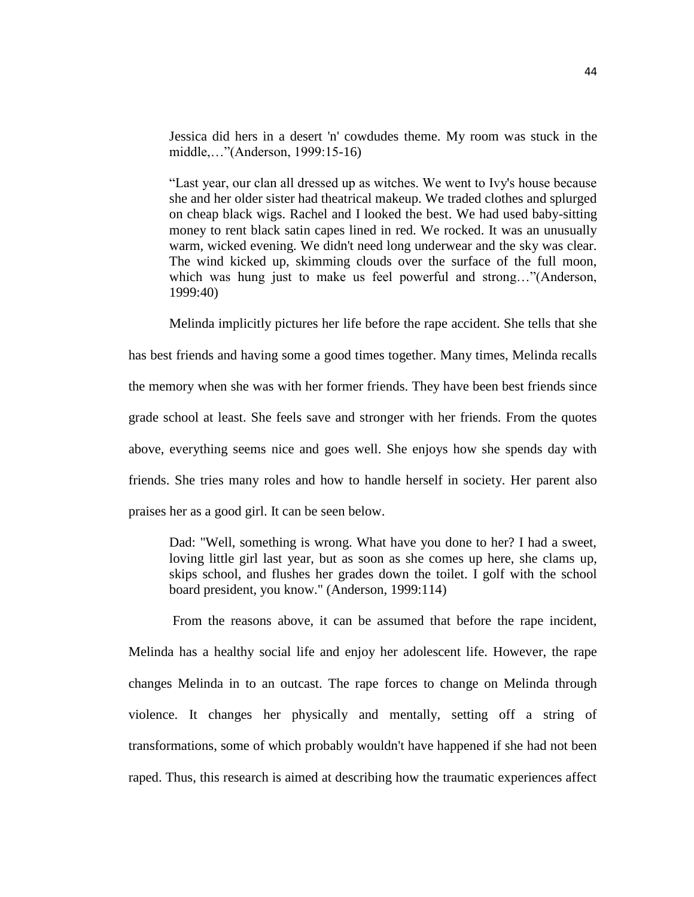Jessica did hers in a desert 'n' cowdudes theme. My room was stuck in the middle,…"(Anderson, 1999:15-16)

"Last year, our clan all dressed up as witches. We went to Ivy's house because she and her older sister had theatrical makeup. We traded clothes and splurged on cheap black wigs. Rachel and I looked the best. We had used baby-sitting money to rent black satin capes lined in red. We rocked. It was an unusually warm, wicked evening. We didn't need long underwear and the sky was clear. The wind kicked up, skimming clouds over the surface of the full moon, which was hung just to make us feel powerful and strong..."(Anderson, 1999:40)

Melinda implicitly pictures her life before the rape accident. She tells that she has best friends and having some a good times together. Many times, Melinda recalls the memory when she was with her former friends. They have been best friends since grade school at least. She feels save and stronger with her friends. From the quotes above, everything seems nice and goes well. She enjoys how she spends day with friends. She tries many roles and how to handle herself in society. Her parent also praises her as a good girl. It can be seen below.

Dad: "Well, something is wrong. What have you done to her? I had a sweet, loving little girl last year, but as soon as she comes up here, she clams up, skips school, and flushes her grades down the toilet. I golf with the school board president, you know." (Anderson, 1999:114)

From the reasons above, it can be assumed that before the rape incident, Melinda has a healthy social life and enjoy her adolescent life. However, the rape changes Melinda in to an outcast. The rape forces to change on Melinda through violence. It changes her physically and mentally, setting off a string of transformations, some of which probably wouldn't have happened if she had not been raped. Thus, this research is aimed at describing how the traumatic experiences affect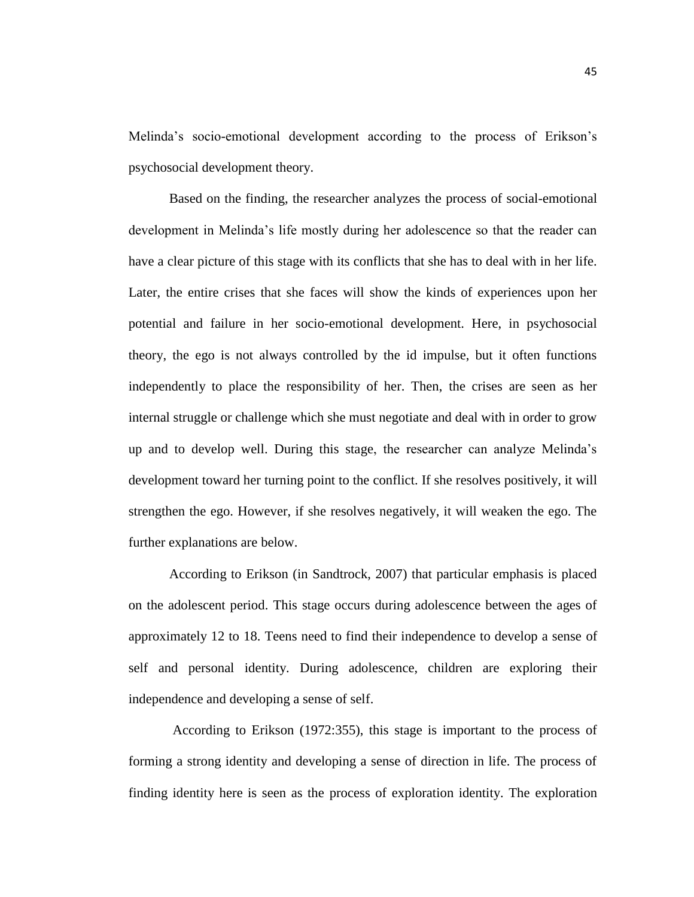Melinda's socio-emotional development according to the process of Erikson's psychosocial development theory.

Based on the finding, the researcher analyzes the process of social-emotional development in Melinda's life mostly during her adolescence so that the reader can have a clear picture of this stage with its conflicts that she has to deal with in her life. Later, the entire crises that she faces will show the kinds of experiences upon her potential and failure in her socio-emotional development. Here, in psychosocial theory, the ego is not always controlled by the id impulse, but it often functions independently to place the responsibility of her. Then, the crises are seen as her internal struggle or challenge which she must negotiate and deal with in order to grow up and to develop well. During this stage, the researcher can analyze Melinda's development toward her turning point to the conflict. If she resolves positively, it will strengthen the ego. However, if she resolves negatively, it will weaken the ego. The further explanations are below.

According to Erikson (in Sandtrock, 2007) that particular emphasis is placed on the adolescent period. This stage occurs during adolescence between the ages of approximately 12 to 18. Teens need to find their independence to develop a sense of self and personal identity. During adolescence, children are exploring their independence and developing a sense of self.

According to Erikson (1972:355), this stage is important to the process of forming a strong identity and developing a sense of direction in life. The process of finding identity here is seen as the process of exploration identity. The exploration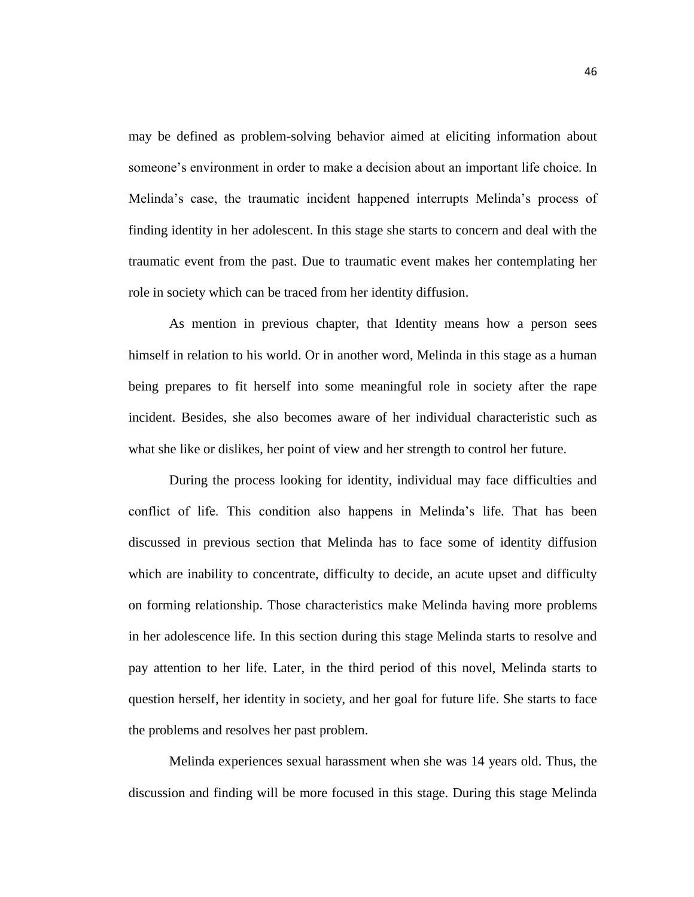may be defined as problem-solving behavior aimed at eliciting information about someone's environment in order to make a decision about an important life choice. In Melinda's case, the traumatic incident happened interrupts Melinda's process of finding identity in her adolescent. In this stage she starts to concern and deal with the traumatic event from the past. Due to traumatic event makes her contemplating her role in society which can be traced from her identity diffusion.

As mention in previous chapter, that Identity means how a person sees himself in relation to his world. Or in another word, Melinda in this stage as a human being prepares to fit herself into some meaningful role in society after the rape incident. Besides, she also becomes aware of her individual characteristic such as what she like or dislikes, her point of view and her strength to control her future.

During the process looking for identity, individual may face difficulties and conflict of life. This condition also happens in Melinda's life. That has been discussed in previous section that Melinda has to face some of identity diffusion which are inability to concentrate, difficulty to decide, an acute upset and difficulty on forming relationship. Those characteristics make Melinda having more problems in her adolescence life. In this section during this stage Melinda starts to resolve and pay attention to her life. Later, in the third period of this novel, Melinda starts to question herself, her identity in society, and her goal for future life. She starts to face the problems and resolves her past problem.

Melinda experiences sexual harassment when she was 14 years old. Thus, the discussion and finding will be more focused in this stage. During this stage Melinda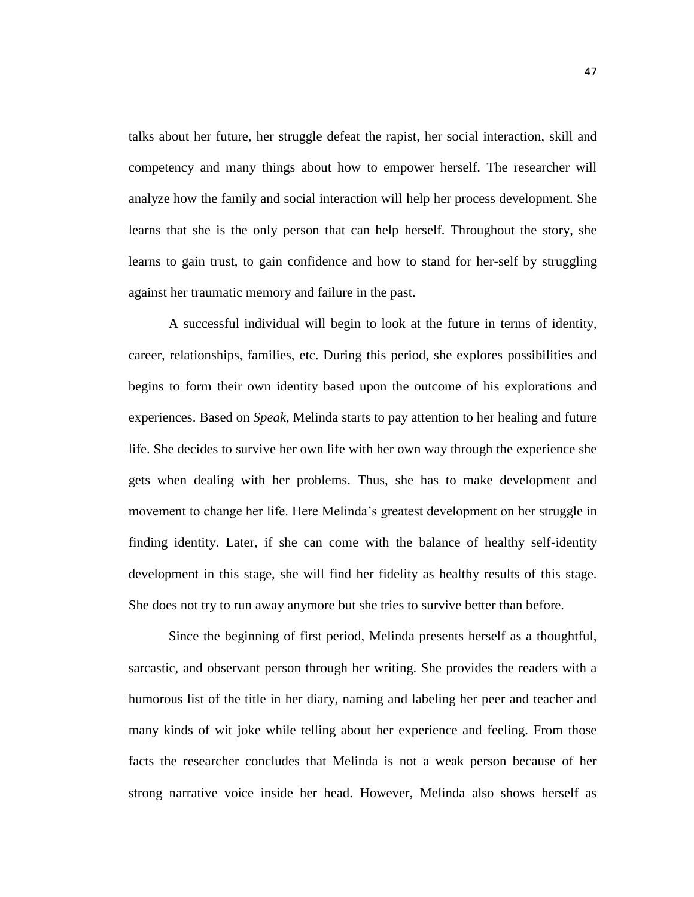talks about her future, her struggle defeat the rapist, her social interaction, skill and competency and many things about how to empower herself. The researcher will analyze how the family and social interaction will help her process development. She learns that she is the only person that can help herself. Throughout the story, she learns to gain trust, to gain confidence and how to stand for her-self by struggling against her traumatic memory and failure in the past.

A successful individual will begin to look at the future in terms of identity, career, relationships, families, etc. During this period, she explores possibilities and begins to form their own identity based upon the outcome of his explorations and experiences. Based on *Speak,* Melinda starts to pay attention to her healing and future life. She decides to survive her own life with her own way through the experience she gets when dealing with her problems. Thus, she has to make development and movement to change her life. Here Melinda's greatest development on her struggle in finding identity. Later, if she can come with the balance of healthy self-identity development in this stage, she will find her fidelity as healthy results of this stage. She does not try to run away anymore but she tries to survive better than before.

Since the beginning of first period, Melinda presents herself as a thoughtful, sarcastic, and observant person through her writing. She provides the readers with a humorous list of the title in her diary, naming and labeling her peer and teacher and many kinds of wit joke while telling about her experience and feeling. From those facts the researcher concludes that Melinda is not a weak person because of her strong narrative voice inside her head. However, Melinda also shows herself as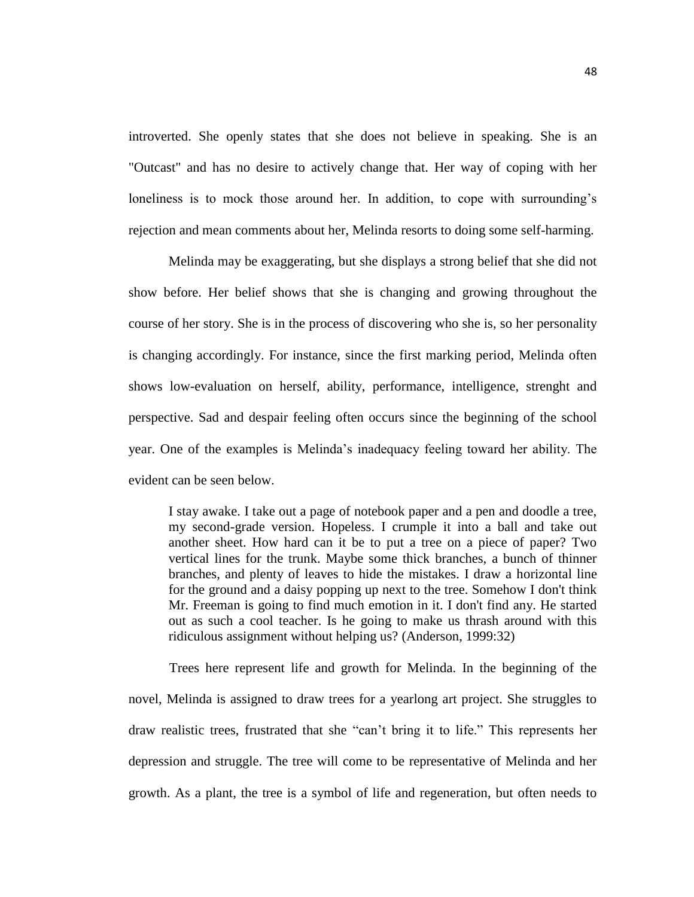introverted. She openly states that she does not believe in speaking. She is an "Outcast" and has no desire to actively change that. Her way of coping with her loneliness is to mock those around her. In addition, to cope with surrounding's rejection and mean comments about her, Melinda resorts to doing some self-harming.

Melinda may be exaggerating, but she displays a strong belief that she did not show before. Her belief shows that she is changing and growing throughout the course of her story. She is in the process of discovering who she is, so her personality is changing accordingly. For instance, since the first marking period, Melinda often shows low-evaluation on herself, ability, performance, intelligence, strenght and perspective. Sad and despair feeling often occurs since the beginning of the school year. One of the examples is Melinda's inadequacy feeling toward her ability. The evident can be seen below.

I stay awake. I take out a page of notebook paper and a pen and doodle a tree, my second-grade version. Hopeless. I crumple it into a ball and take out another sheet. How hard can it be to put a tree on a piece of paper? Two vertical lines for the trunk. Maybe some thick branches, a bunch of thinner branches, and plenty of leaves to hide the mistakes. I draw a horizontal line for the ground and a daisy popping up next to the tree. Somehow I don't think Mr. Freeman is going to find much emotion in it. I don't find any. He started out as such a cool teacher. Is he going to make us thrash around with this ridiculous assignment without helping us? (Anderson, 1999:32)

Trees here represent life and growth for Melinda. In the beginning of the novel, Melinda is assigned to draw trees for a yearlong art project. She struggles to draw realistic trees, frustrated that she "can't bring it to life." This represents her depression and struggle. The tree will come to be representative of Melinda and her growth. As a plant, the tree is a symbol of life and regeneration, but often needs to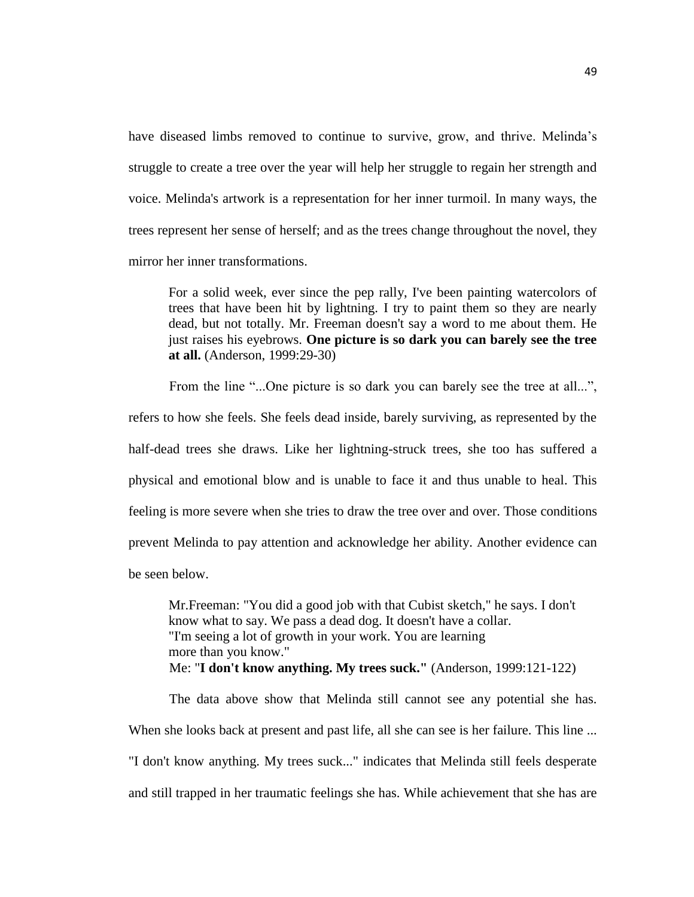have diseased limbs removed to continue to survive, grow, and thrive. Melinda's struggle to create a tree over the year will help her struggle to regain her strength and voice. Melinda's artwork is a representation for her inner turmoil. In many ways, the trees represent her sense of herself; and as the trees change throughout the novel, they mirror her inner transformations.

For a solid week, ever since the pep rally, I've been painting watercolors of trees that have been hit by lightning. I try to paint them so they are nearly dead, but not totally. Mr. Freeman doesn't say a word to me about them. He just raises his eyebrows. **One picture is so dark you can barely see the tree at all.** (Anderson, 1999:29-30)

From the line "...One picture is so dark you can barely see the tree at all...", refers to how she feels. She feels dead inside, barely surviving, as represented by the half-dead trees she draws. Like her lightning-struck trees, she too has suffered a physical and emotional blow and is unable to face it and thus unable to heal. This feeling is more severe when she tries to draw the tree over and over. Those conditions prevent Melinda to pay attention and acknowledge her ability. Another evidence can be seen below.

Mr.Freeman: "You did a good job with that Cubist sketch," he says. I don't know what to say. We pass a dead dog. It doesn't have a collar. "I'm seeing a lot of growth in your work. You are learning more than you know." Me: "**I don't know anything. My trees suck."** (Anderson, 1999:121-122)

The data above show that Melinda still cannot see any potential she has. When she looks back at present and past life, all she can see is her failure. This line ... "I don't know anything. My trees suck..." indicates that Melinda still feels desperate and still trapped in her traumatic feelings she has. While achievement that she has are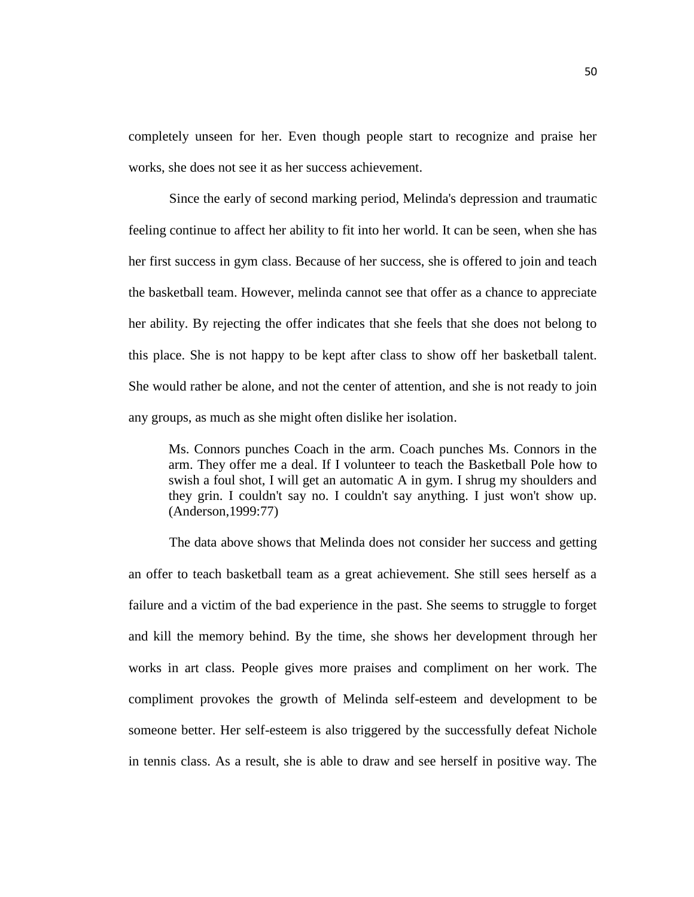completely unseen for her. Even though people start to recognize and praise her works, she does not see it as her success achievement.

Since the early of second marking period, Melinda's depression and traumatic feeling continue to affect her ability to fit into her world. It can be seen, when she has her first success in gym class. Because of her success, she is offered to join and teach the basketball team. However, melinda cannot see that offer as a chance to appreciate her ability. By rejecting the offer indicates that she feels that she does not belong to this place. She is not happy to be kept after class to show off her basketball talent. She would rather be alone, and not the center of attention, and she is not ready to join any groups, as much as she might often dislike her isolation.

Ms. Connors punches Coach in the arm. Coach punches Ms. Connors in the arm. They offer me a deal. If I volunteer to teach the Basketball Pole how to swish a foul shot, I will get an automatic A in gym. I shrug my shoulders and they grin. I couldn't say no. I couldn't say anything. I just won't show up. (Anderson,1999:77)

The data above shows that Melinda does not consider her success and getting an offer to teach basketball team as a great achievement. She still sees herself as a failure and a victim of the bad experience in the past. She seems to struggle to forget and kill the memory behind. By the time, she shows her development through her works in art class. People gives more praises and compliment on her work. The compliment provokes the growth of Melinda self-esteem and development to be someone better. Her self-esteem is also triggered by the successfully defeat Nichole in tennis class. As a result, she is able to draw and see herself in positive way. The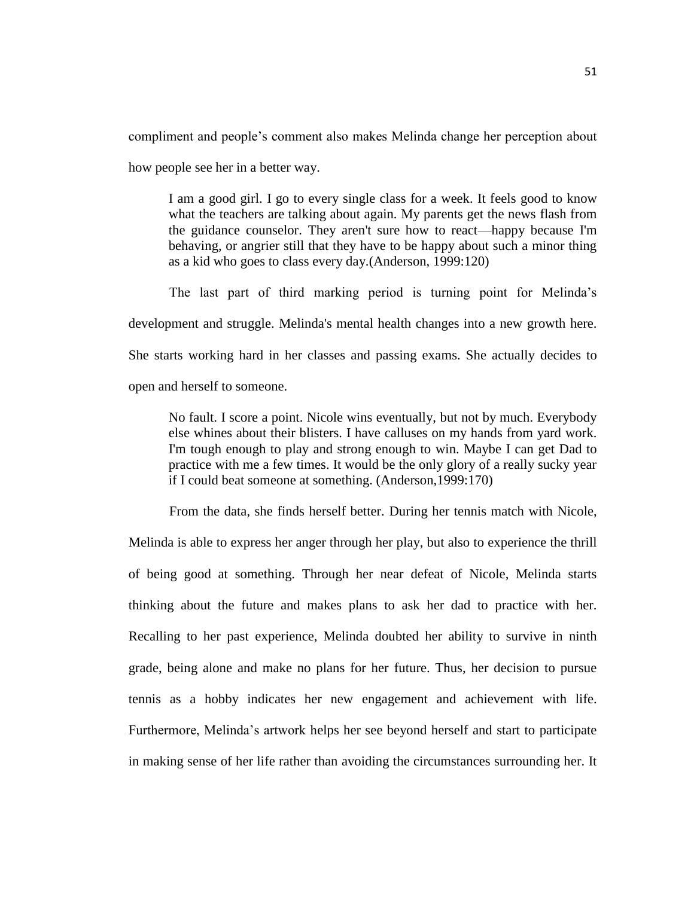compliment and people's comment also makes Melinda change her perception about how people see her in a better way.

I am a good girl. I go to every single class for a week. It feels good to know what the teachers are talking about again. My parents get the news flash from the guidance counselor. They aren't sure how to react—happy because I'm behaving, or angrier still that they have to be happy about such a minor thing as a kid who goes to class every day.(Anderson, 1999:120)

The last part of third marking period is turning point for Melinda's development and struggle. Melinda's mental health changes into a new growth here. She starts working hard in her classes and passing exams. She actually decides to open and herself to someone.

No fault. I score a point. Nicole wins eventually, but not by much. Everybody else whines about their blisters. I have calluses on my hands from yard work. I'm tough enough to play and strong enough to win. Maybe I can get Dad to practice with me a few times. It would be the only glory of a really sucky year if I could beat someone at something. (Anderson,1999:170)

From the data, she finds herself better. During her tennis match with Nicole, Melinda is able to express her anger through her play, but also to experience the thrill of being good at something. Through her near defeat of Nicole, Melinda starts thinking about the future and makes plans to ask her dad to practice with her. Recalling to her past experience, Melinda doubted her ability to survive in ninth grade, being alone and make no plans for her future. Thus, her decision to pursue tennis as a hobby indicates her new engagement and achievement with life. Furthermore, Melinda's artwork helps her see beyond herself and start to participate in making sense of her life rather than avoiding the circumstances surrounding her. It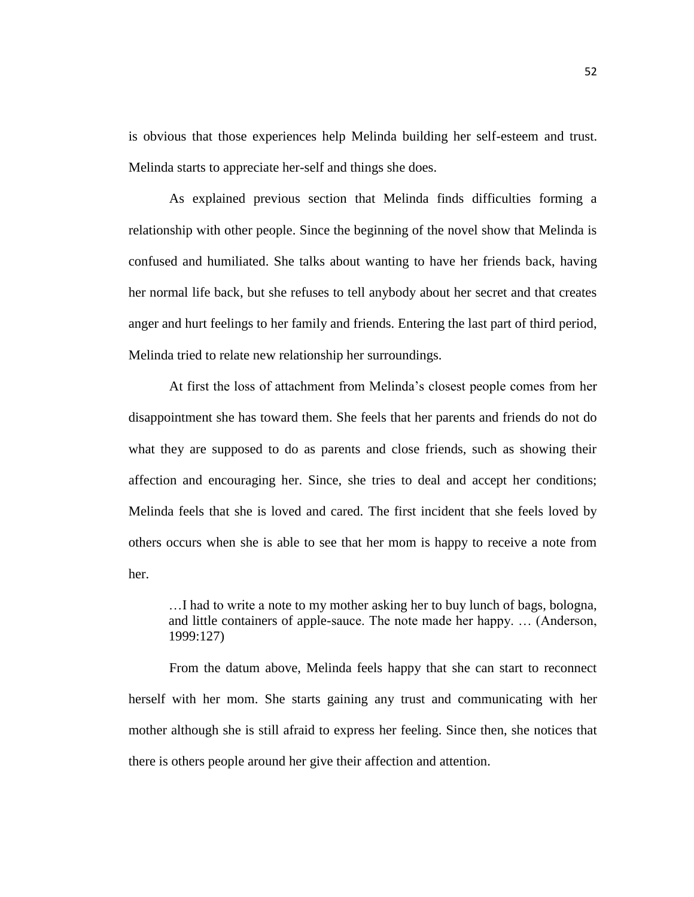is obvious that those experiences help Melinda building her self-esteem and trust. Melinda starts to appreciate her-self and things she does.

As explained previous section that Melinda finds difficulties forming a relationship with other people. Since the beginning of the novel show that Melinda is confused and humiliated. She talks about wanting to have her friends back, having her normal life back, but she refuses to tell anybody about her secret and that creates anger and hurt feelings to her family and friends. Entering the last part of third period, Melinda tried to relate new relationship her surroundings.

At first the loss of attachment from Melinda's closest people comes from her disappointment she has toward them. She feels that her parents and friends do not do what they are supposed to do as parents and close friends, such as showing their affection and encouraging her. Since, she tries to deal and accept her conditions; Melinda feels that she is loved and cared. The first incident that she feels loved by others occurs when she is able to see that her mom is happy to receive a note from her.

…I had to write a note to my mother asking her to buy lunch of bags, bologna, and little containers of apple-sauce. The note made her happy. … (Anderson, 1999:127)

From the datum above, Melinda feels happy that she can start to reconnect herself with her mom. She starts gaining any trust and communicating with her mother although she is still afraid to express her feeling. Since then, she notices that there is others people around her give their affection and attention.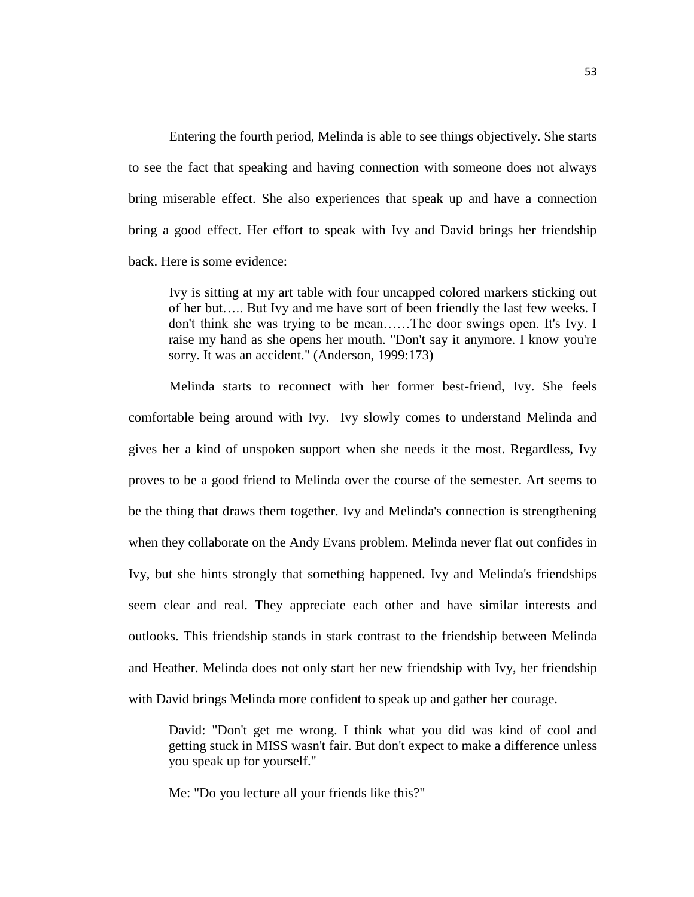Entering the fourth period, Melinda is able to see things objectively. She starts to see the fact that speaking and having connection with someone does not always bring miserable effect. She also experiences that speak up and have a connection bring a good effect. Her effort to speak with Ivy and David brings her friendship back. Here is some evidence:

Ivy is sitting at my art table with four uncapped colored markers sticking out of her but….. But Ivy and me have sort of been friendly the last few weeks. I don't think she was trying to be mean……The door swings open. It's Ivy. I raise my hand as she opens her mouth. "Don't say it anymore. I know you're sorry. It was an accident." (Anderson, 1999:173)

Melinda starts to reconnect with her former best-friend, Ivy. She feels comfortable being around with Ivy. Ivy slowly comes to understand Melinda and gives her a kind of unspoken support when she needs it the most. Regardless, Ivy proves to be a good friend to Melinda over the course of the semester. Art seems to be the thing that draws them together. Ivy and Melinda's connection is strengthening when they collaborate on the Andy Evans problem. Melinda never flat out confides in Ivy, but she hints strongly that something happened. Ivy and Melinda's friendships seem clear and real. They appreciate each other and have similar interests and outlooks. This friendship stands in stark contrast to the friendship between Melinda and Heather. Melinda does not only start her new friendship with Ivy, her friendship with David brings Melinda more confident to speak up and gather her courage.

David: "Don't get me wrong. I think what you did was kind of cool and getting stuck in MISS wasn't fair. But don't expect to make a difference unless you speak up for yourself."

Me: "Do you lecture all your friends like this?"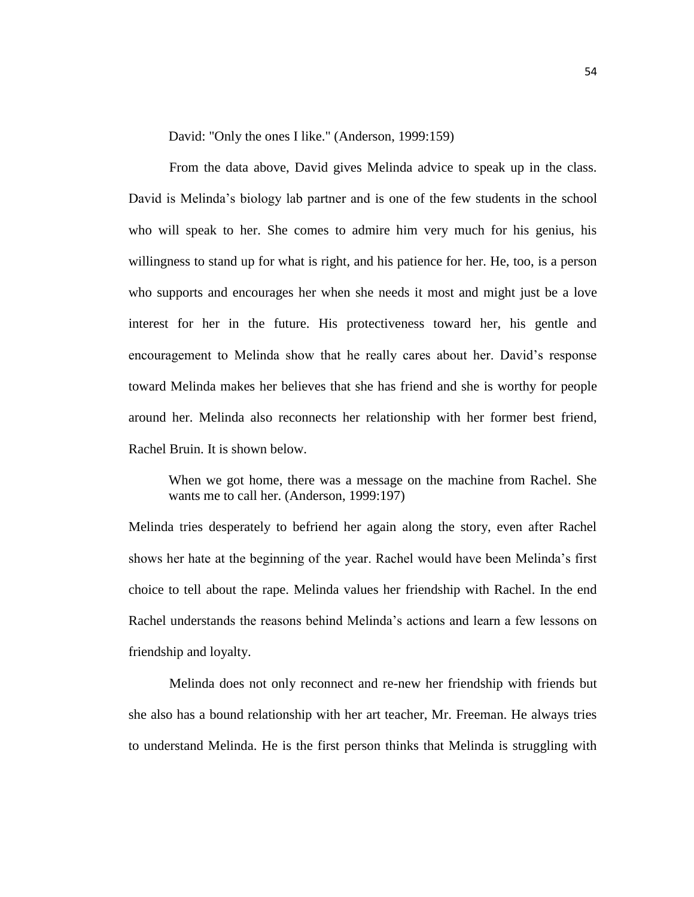David: "Only the ones I like." (Anderson, 1999:159)

From the data above, David gives Melinda advice to speak up in the class. David is Melinda's biology lab partner and is one of the few students in the school who will speak to her. She comes to admire him very much for his genius, his willingness to stand up for what is right, and his patience for her. He, too, is a person who supports and encourages her when she needs it most and might just be a love interest for her in the future. His protectiveness toward her, his gentle and encouragement to Melinda show that he really cares about her. David's response toward Melinda makes her believes that she has friend and she is worthy for people around her. Melinda also reconnects her relationship with her former best friend, Rachel Bruin. It is shown below.

When we got home, there was a message on the machine from Rachel. She wants me to call her. (Anderson, 1999:197)

Melinda tries desperately to befriend her again along the story, even after Rachel shows her hate at the beginning of the year. Rachel would have been Melinda's first choice to tell about the rape. Melinda values her friendship with Rachel. In the end Rachel understands the reasons behind Melinda's actions and learn a few lessons on friendship and loyalty.

Melinda does not only reconnect and re-new her friendship with friends but she also has a bound relationship with her art teacher, Mr. Freeman. He always tries to understand Melinda. He is the first person thinks that Melinda is struggling with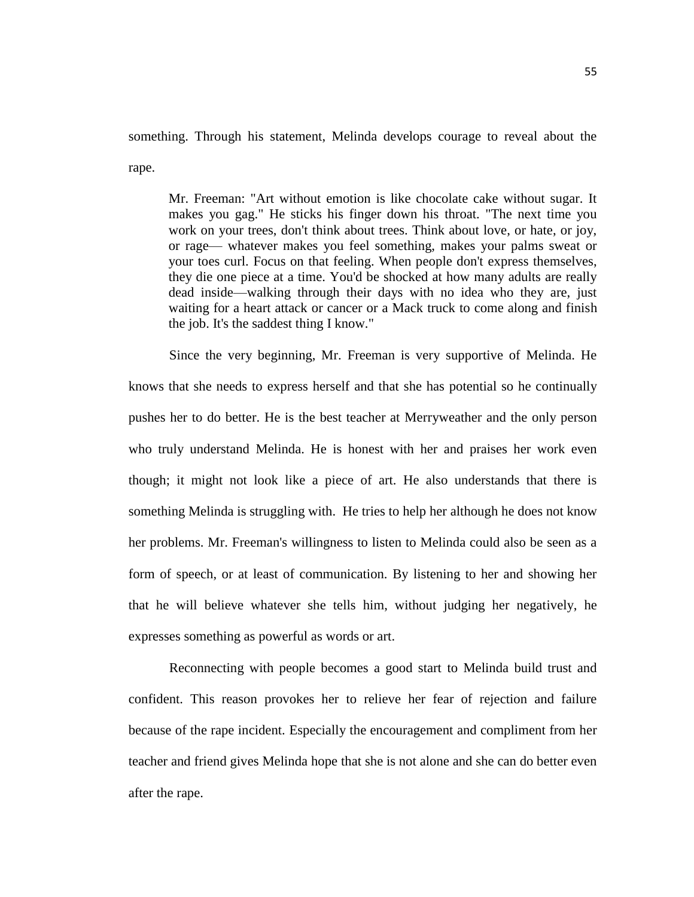something. Through his statement, Melinda develops courage to reveal about the rape.

Mr. Freeman: "Art without emotion is like chocolate cake without sugar. It makes you gag." He sticks his finger down his throat. "The next time you work on your trees, don't think about trees. Think about love, or hate, or joy, or rage— whatever makes you feel something, makes your palms sweat or your toes curl. Focus on that feeling. When people don't express themselves, they die one piece at a time. You'd be shocked at how many adults are really dead inside—walking through their days with no idea who they are, just waiting for a heart attack or cancer or a Mack truck to come along and finish the job. It's the saddest thing I know."

Since the very beginning, Mr. Freeman is very supportive of Melinda. He knows that she needs to express herself and that she has potential so he continually pushes her to do better. He is the best teacher at Merryweather and the only person who truly understand Melinda. He is honest with her and praises her work even though; it might not look like a piece of art. He also understands that there is something Melinda is struggling with. He tries to help her although he does not know her problems. Mr. Freeman's willingness to listen to Melinda could also be seen as a form of speech, or at least of communication. By listening to her and showing her that he will believe whatever she tells him, without judging her negatively, he expresses something as powerful as words or art.

Reconnecting with people becomes a good start to Melinda build trust and confident. This reason provokes her to relieve her fear of rejection and failure because of the rape incident. Especially the encouragement and compliment from her teacher and friend gives Melinda hope that she is not alone and she can do better even after the rape.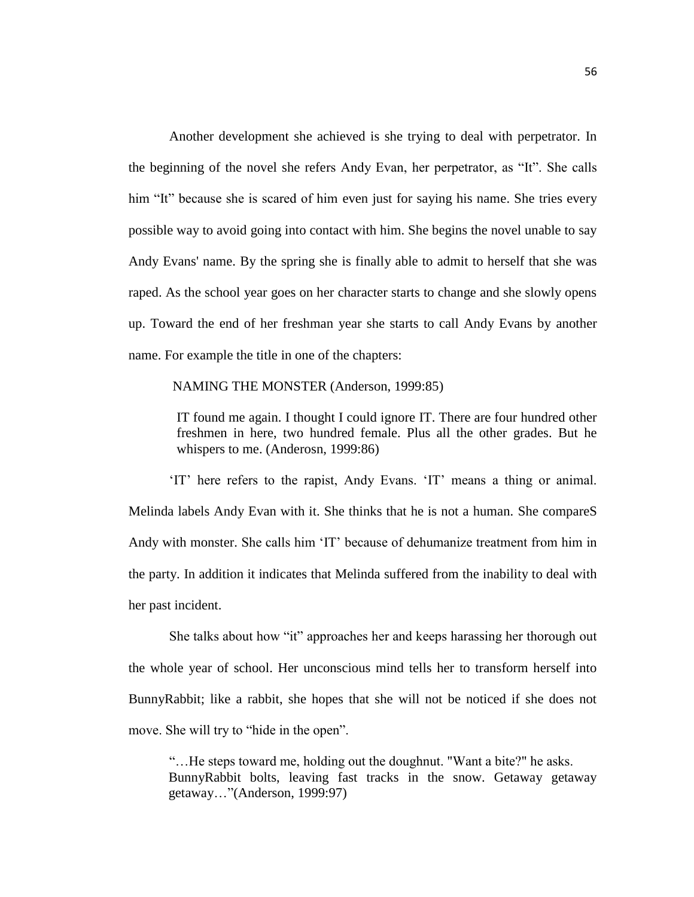Another development she achieved is she trying to deal with perpetrator. In the beginning of the novel she refers Andy Evan, her perpetrator, as "It". She calls him "It" because she is scared of him even just for saying his name. She tries every possible way to avoid going into contact with him. She begins the novel unable to say Andy Evans' name. By the spring she is finally able to admit to herself that she was raped. As the school year goes on her character starts to change and she slowly opens up. Toward the end of her freshman year she starts to call Andy Evans by another name. For example the title in one of the chapters:

#### NAMING THE MONSTER (Anderson, 1999:85)

IT found me again. I thought I could ignore IT. There are four hundred other freshmen in here, two hundred female. Plus all the other grades. But he whispers to me. (Anderosn, 1999:86)

'IT' here refers to the rapist, Andy Evans. 'IT' means a thing or animal. Melinda labels Andy Evan with it. She thinks that he is not a human. She compareS Andy with monster. She calls him 'IT' because of dehumanize treatment from him in the party. In addition it indicates that Melinda suffered from the inability to deal with her past incident.

She talks about how "it" approaches her and keeps harassing her thorough out the whole year of school. Her unconscious mind tells her to transform herself into BunnyRabbit; like a rabbit, she hopes that she will not be noticed if she does not move. She will try to "hide in the open".

"…He steps toward me, holding out the doughnut. "Want a bite?" he asks. BunnyRabbit bolts, leaving fast tracks in the snow. Getaway getaway getaway…"(Anderson, 1999:97)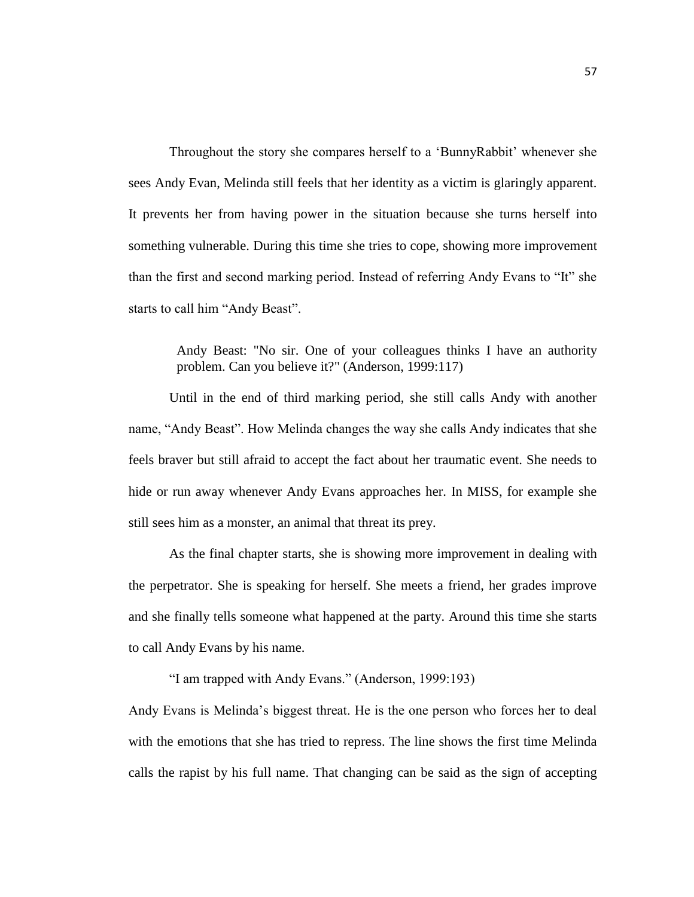Throughout the story she compares herself to a 'BunnyRabbit' whenever she sees Andy Evan, Melinda still feels that her identity as a victim is glaringly apparent. It prevents her from having power in the situation because she turns herself into something vulnerable. During this time she tries to cope, showing more improvement than the first and second marking period. Instead of referring Andy Evans to "It" she starts to call him "Andy Beast".

> Andy Beast: "No sir. One of your colleagues thinks I have an authority problem. Can you believe it?" (Anderson, 1999:117)

Until in the end of third marking period, she still calls Andy with another name, "Andy Beast". How Melinda changes the way she calls Andy indicates that she feels braver but still afraid to accept the fact about her traumatic event. She needs to hide or run away whenever Andy Evans approaches her. In MISS, for example she still sees him as a monster, an animal that threat its prey.

As the final chapter starts, she is showing more improvement in dealing with the perpetrator. She is speaking for herself. She meets a friend, her grades improve and she finally tells someone what happened at the party. Around this time she starts to call Andy Evans by his name.

"I am trapped with Andy Evans." (Anderson, 1999:193)

Andy Evans is Melinda's biggest threat. He is the one person who forces her to deal with the emotions that she has tried to repress. The line shows the first time Melinda calls the rapist by his full name. That changing can be said as the sign of accepting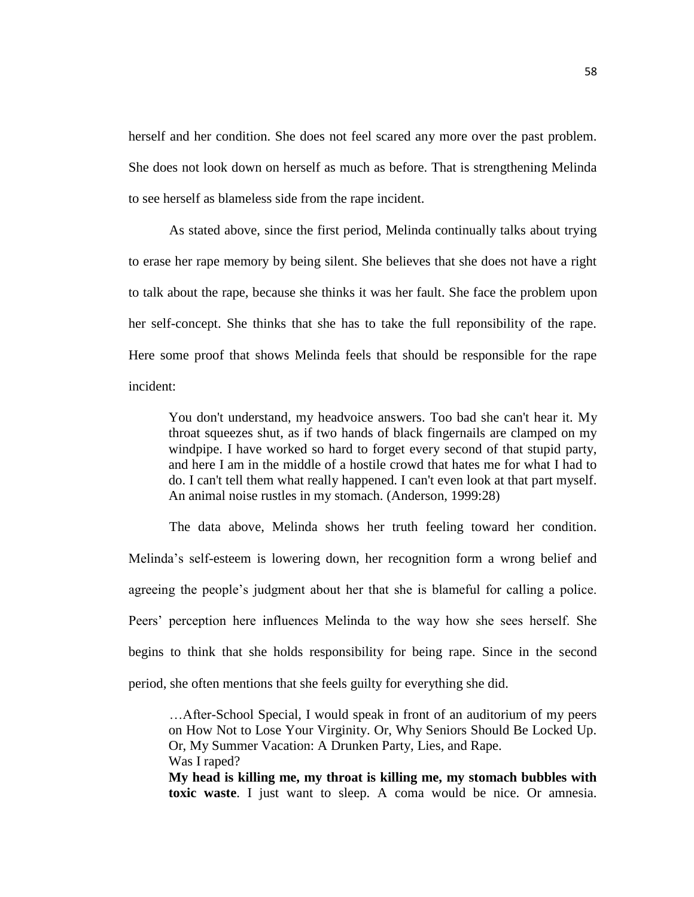herself and her condition. She does not feel scared any more over the past problem. She does not look down on herself as much as before. That is strengthening Melinda to see herself as blameless side from the rape incident.

As stated above, since the first period, Melinda continually talks about trying to erase her rape memory by being silent. She believes that she does not have a right to talk about the rape, because she thinks it was her fault. She face the problem upon her self-concept. She thinks that she has to take the full reponsibility of the rape. Here some proof that shows Melinda feels that should be responsible for the rape incident:

You don't understand, my headvoice answers. Too bad she can't hear it. My throat squeezes shut, as if two hands of black fingernails are clamped on my windpipe. I have worked so hard to forget every second of that stupid party, and here I am in the middle of a hostile crowd that hates me for what I had to do. I can't tell them what really happened. I can't even look at that part myself. An animal noise rustles in my stomach. (Anderson, 1999:28)

The data above, Melinda shows her truth feeling toward her condition. Melinda's self-esteem is lowering down, her recognition form a wrong belief and agreeing the people's judgment about her that she is blameful for calling a police. Peers' perception here influences Melinda to the way how she sees herself. She begins to think that she holds responsibility for being rape. Since in the second period, she often mentions that she feels guilty for everything she did.

…After-School Special, I would speak in front of an auditorium of my peers on How Not to Lose Your Virginity. Or, Why Seniors Should Be Locked Up. Or, My Summer Vacation: A Drunken Party, Lies, and Rape. Was I raped?

**My head is killing me, my throat is killing me, my stomach bubbles with toxic waste**. I just want to sleep. A coma would be nice. Or amnesia.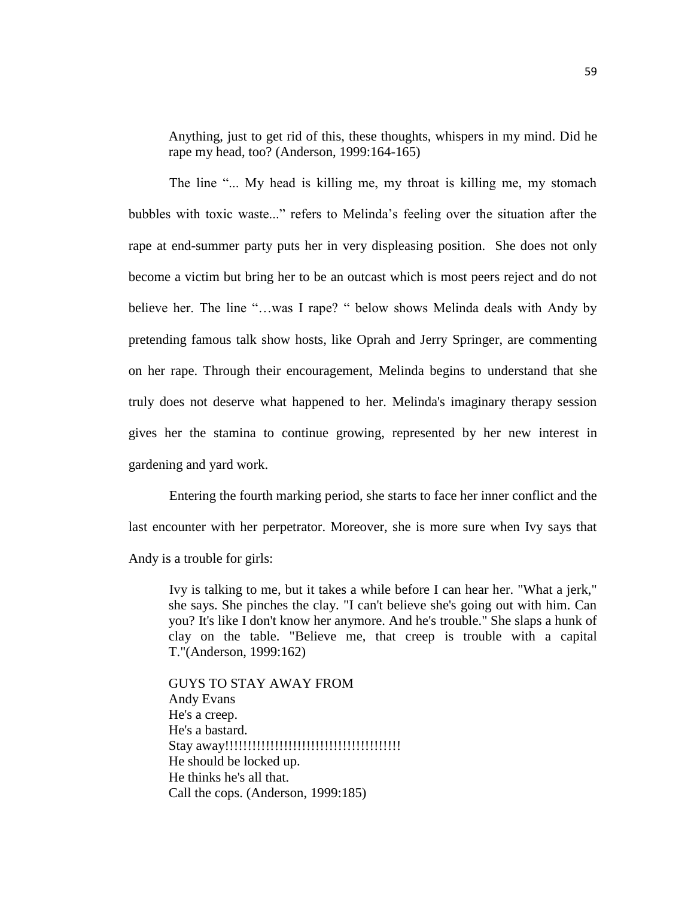Anything, just to get rid of this, these thoughts, whispers in my mind. Did he rape my head, too? (Anderson, 1999:164-165)

The line "... My head is killing me, my throat is killing me, my stomach bubbles with toxic waste..." refers to Melinda's feeling over the situation after the rape at end-summer party puts her in very displeasing position. She does not only become a victim but bring her to be an outcast which is most peers reject and do not believe her. The line "…was I rape? " below shows Melinda deals with Andy by pretending famous talk show hosts, like Oprah and Jerry Springer, are commenting on her rape. Through their encouragement, Melinda begins to understand that she truly does not deserve what happened to her. Melinda's imaginary therapy session gives her the stamina to continue growing, represented by her new interest in gardening and yard work.

Entering the fourth marking period, she starts to face her inner conflict and the last encounter with her perpetrator. Moreover, she is more sure when Ivy says that Andy is a trouble for girls:

Ivy is talking to me, but it takes a while before I can hear her. "What a jerk," she says. She pinches the clay. "I can't believe she's going out with him. Can you? It's like I don't know her anymore. And he's trouble." She slaps a hunk of clay on the table. "Believe me, that creep is trouble with a capital T."(Anderson, 1999:162)

GUYS TO STAY AWAY FROM Andy Evans He's a creep. He's a bastard. Stay away!!!!!!!!!!!!!!!!!!!!!!!!!!!!!!!!!!!!!!! He should be locked up. He thinks he's all that. Call the cops. (Anderson, 1999:185)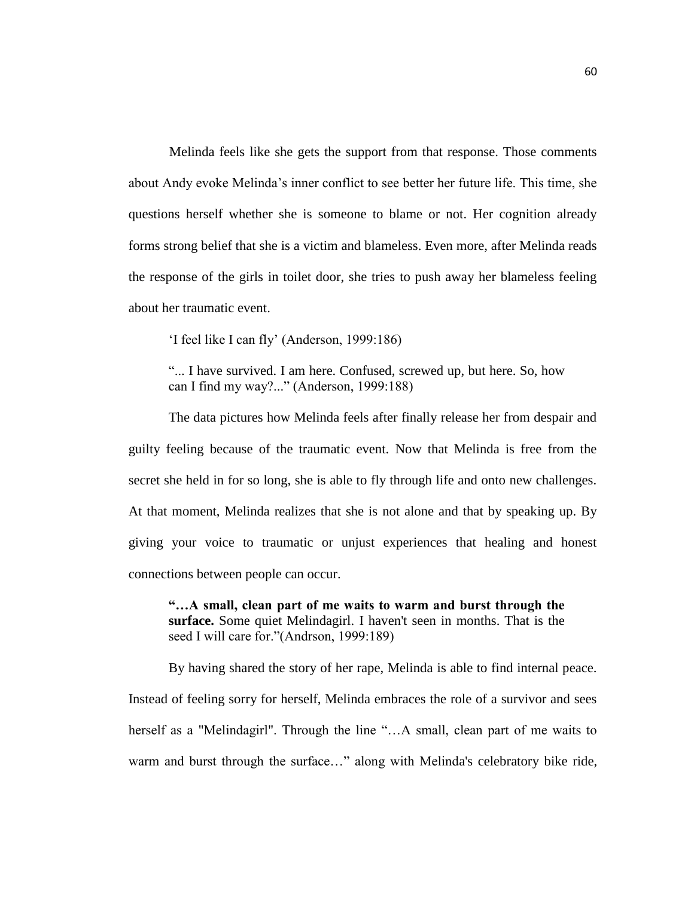Melinda feels like she gets the support from that response. Those comments about Andy evoke Melinda's inner conflict to see better her future life. This time, she questions herself whether she is someone to blame or not. Her cognition already forms strong belief that she is a victim and blameless. Even more, after Melinda reads the response of the girls in toilet door, she tries to push away her blameless feeling about her traumatic event.

'I feel like I can fly' (Anderson, 1999:186)

"... I have survived. I am here. Confused, screwed up, but here. So, how can I find my way?..." (Anderson, 1999:188)

The data pictures how Melinda feels after finally release her from despair and guilty feeling because of the traumatic event. Now that Melinda is free from the secret she held in for so long, she is able to fly through life and onto new challenges. At that moment, Melinda realizes that she is not alone and that by speaking up. By giving your voice to traumatic or unjust experiences that healing and honest connections between people can occur.

**"…A small, clean part of me waits to warm and burst through the surface.** Some quiet Melindagirl. I haven't seen in months. That is the seed I will care for."(Andrson, 1999:189)

By having shared the story of her rape, Melinda is able to find internal peace.

Instead of feeling sorry for herself, Melinda embraces the role of a survivor and sees herself as a "Melindagirl". Through the line "...A small, clean part of me waits to warm and burst through the surface..." along with Melinda's celebratory bike ride,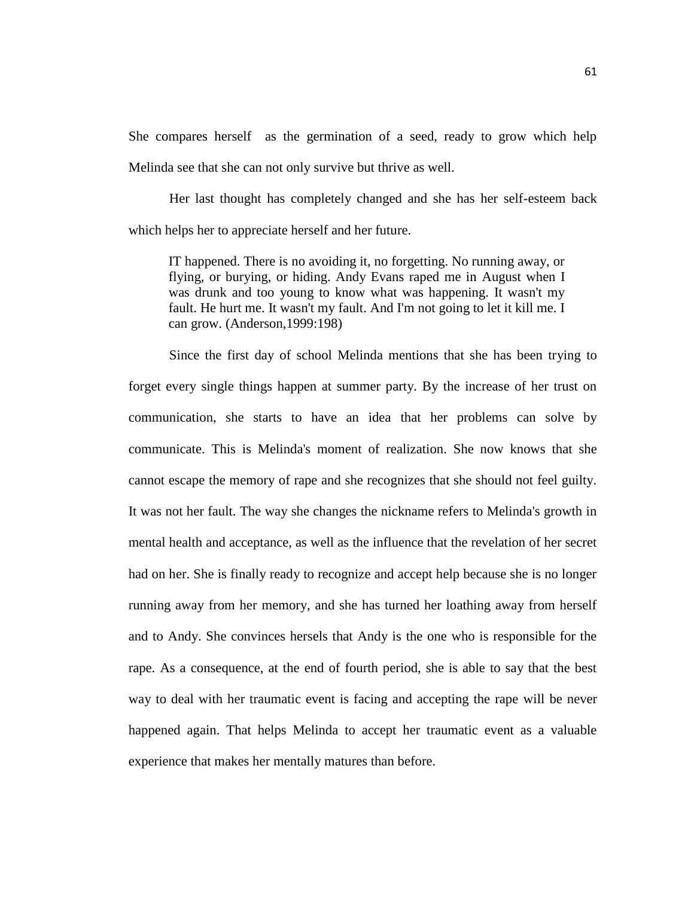She compares herself as the germination of a seed, ready to grow which help Melinda see that she can not only survive but thrive as well.

Her last thought has completely changed and she has her self-esteem back which helps her to appreciate herself and her future.

IT happened. There is no avoiding it, no forgetting. No running away, or flying, or burying, or hiding. Andy Evans raped me in August when I was drunk and too young to know what was happening. It wasn't my fault. He hurt me. It wasn't my fault. And I'm not going to let it kill me. I can grow. (Anderson,1999:198)

Since the first day of school Melinda mentions that she has been trying to forget every single things happen at summer party. By the increase of her trust on communication, she starts to have an idea that her problems can solve by communicate. This is Melinda's moment of realization. She now knows that she cannot escape the memory of rape and she recognizes that she should not feel guilty. It was not her fault. The way she changes the nickname refers to Melinda's growth in mental health and acceptance, as well as the influence that the revelation of her secret had on her. She is finally ready to recognize and accept help because she is no longer running away from her memory, and she has turned her loathing away from herself and to Andy. She convinces hersels that Andy is the one who is responsible for the rape. As a consequence, at the end of fourth period, she is able to say that the best way to deal with her traumatic event is facing and accepting the rape will be never happened again. That helps Melinda to accept her traumatic event as a valuable experience that makes her mentally matures than before.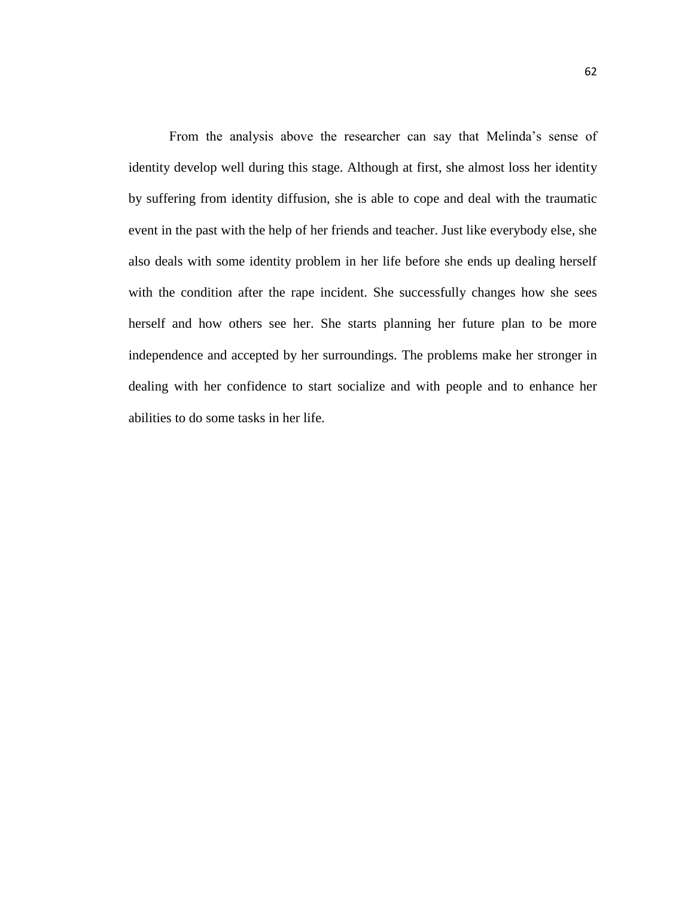From the analysis above the researcher can say that Melinda's sense of identity develop well during this stage. Although at first, she almost loss her identity by suffering from identity diffusion, she is able to cope and deal with the traumatic event in the past with the help of her friends and teacher. Just like everybody else, she also deals with some identity problem in her life before she ends up dealing herself with the condition after the rape incident. She successfully changes how she sees herself and how others see her. She starts planning her future plan to be more independence and accepted by her surroundings. The problems make her stronger in dealing with her confidence to start socialize and with people and to enhance her abilities to do some tasks in her life.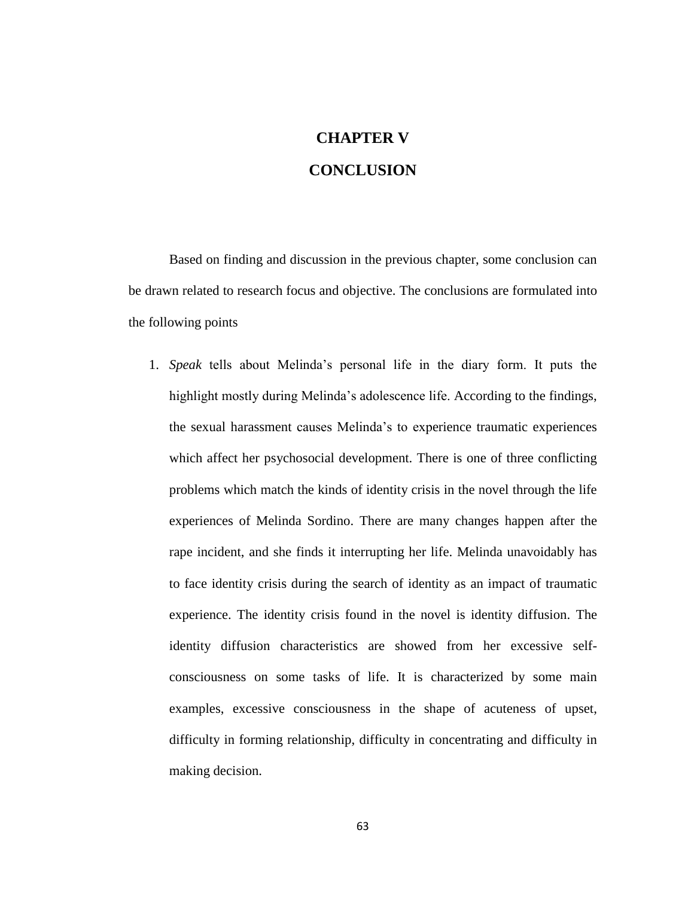# **CHAPTER V CONCLUSION**

Based on finding and discussion in the previous chapter, some conclusion can be drawn related to research focus and objective. The conclusions are formulated into the following points

1. *Speak* tells about Melinda's personal life in the diary form. It puts the highlight mostly during Melinda's adolescence life. According to the findings, the sexual harassment causes Melinda's to experience traumatic experiences which affect her psychosocial development. There is one of three conflicting problems which match the kinds of identity crisis in the novel through the life experiences of Melinda Sordino. There are many changes happen after the rape incident, and she finds it interrupting her life. Melinda unavoidably has to face identity crisis during the search of identity as an impact of traumatic experience. The identity crisis found in the novel is identity diffusion. The identity diffusion characteristics are showed from her excessive selfconsciousness on some tasks of life. It is characterized by some main examples, excessive consciousness in the shape of acuteness of upset, difficulty in forming relationship, difficulty in concentrating and difficulty in making decision.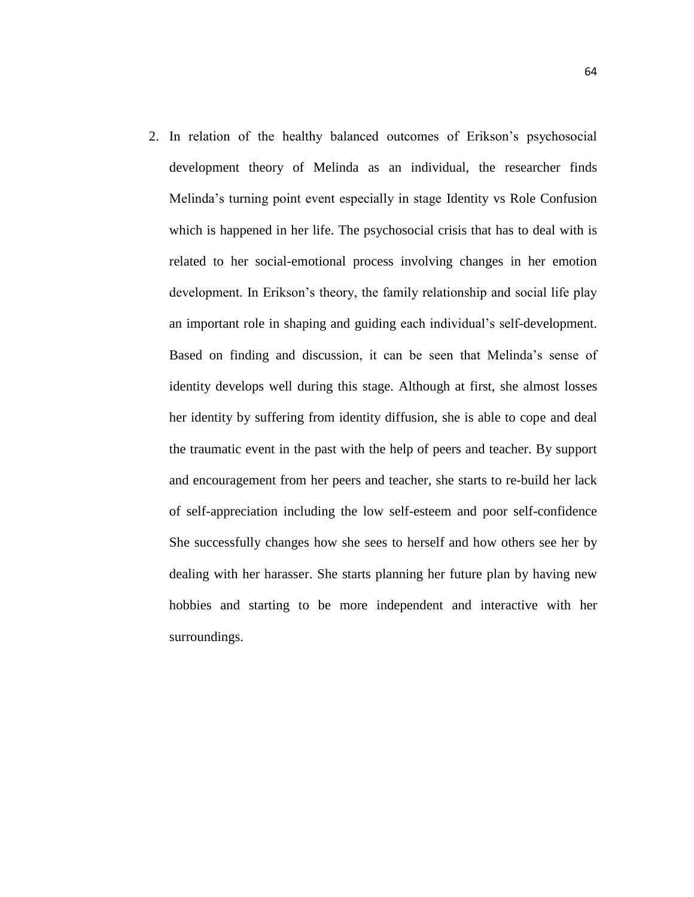2. In relation of the healthy balanced outcomes of Erikson's psychosocial development theory of Melinda as an individual, the researcher finds Melinda's turning point event especially in stage Identity vs Role Confusion which is happened in her life. The psychosocial crisis that has to deal with is related to her social-emotional process involving changes in her emotion development. In Erikson's theory, the family relationship and social life play an important role in shaping and guiding each individual's self-development. Based on finding and discussion, it can be seen that Melinda's sense of identity develops well during this stage. Although at first, she almost losses her identity by suffering from identity diffusion, she is able to cope and deal the traumatic event in the past with the help of peers and teacher. By support and encouragement from her peers and teacher, she starts to re-build her lack of self-appreciation including the low self-esteem and poor self-confidence She successfully changes how she sees to herself and how others see her by dealing with her harasser. She starts planning her future plan by having new hobbies and starting to be more independent and interactive with her surroundings.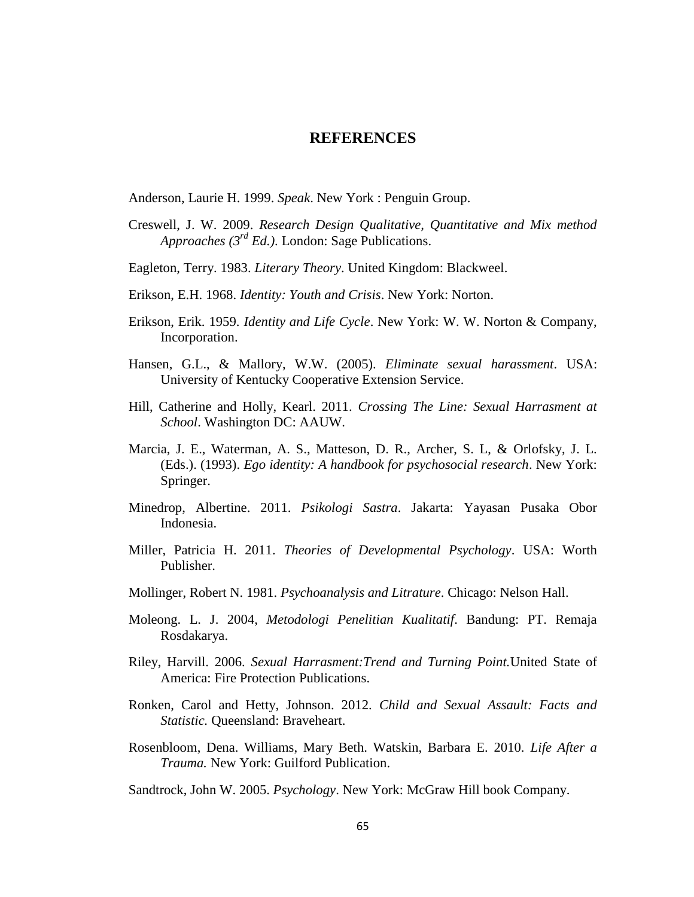### **REFERENCES**

Anderson, Laurie H. 1999. *Speak*. New York : Penguin Group.

- Creswell, J. W. 2009. *Research Design Qualitative, Quantitative and Mix method Approaches (3rd Ed.)*. London: Sage Publications.
- Eagleton, Terry. 1983. *Literary Theory*. United Kingdom: Blackweel.
- Erikson, E.H. 1968. *Identity: Youth and Crisis*. New York: Norton.
- Erikson, Erik. 1959. *Identity and Life Cycle*. New York: W. W. Norton & Company, Incorporation.
- Hansen, G.L., & Mallory, W.W. (2005). *Eliminate sexual harassment*. USA: University of Kentucky Cooperative Extension Service.
- Hill, Catherine and Holly, Kearl. 2011. *Crossing The Line: Sexual Harrasment at School*. Washington DC: AAUW.
- Marcia, J. E., Waterman, A. S., Matteson, D. R., Archer, S. L, & Orlofsky, J. L. (Eds.). (1993). *Ego identity: A handbook for psychosocial research*. New York: Springer.
- Minedrop, Albertine. 2011. *Psikologi Sastra*. Jakarta: Yayasan Pusaka Obor Indonesia.
- Miller, Patricia H. 2011. *Theories of Developmental Psychology*. USA: Worth Publisher.
- Mollinger, Robert N. 1981. *Psychoanalysis and Litrature*. Chicago: Nelson Hall.
- Moleong. L. J. 2004, *Metodologi Penelitian Kualitatif*. Bandung: PT. Remaja Rosdakarya.
- Riley, Harvill. 2006. *Sexual Harrasment:Trend and Turning Point.*United State of America: Fire Protection Publications.
- Ronken, Carol and Hetty, Johnson. 2012. *Child and Sexual Assault: Facts and Statistic.* Queensland: Braveheart.
- Rosenbloom, Dena. Williams, Mary Beth. Watskin, Barbara E. 2010. *Life After a Trauma.* New York: Guilford Publication.
- Sandtrock, John W. 2005. *Psychology*. New York: McGraw Hill book Company.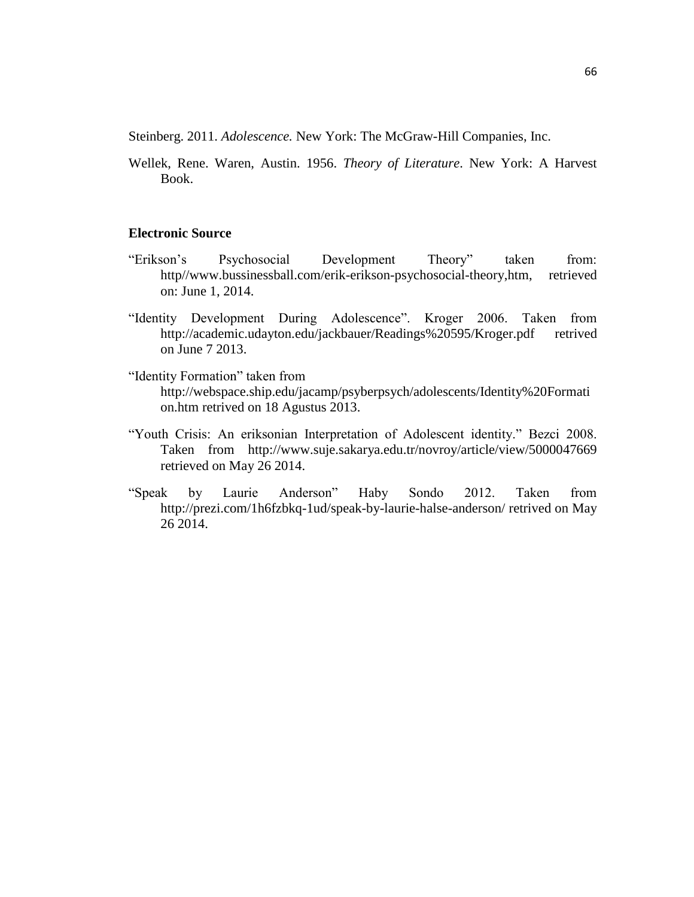Steinberg. 2011. *Adolescence.* New York: The McGraw-Hill Companies, Inc.

Wellek, Rene. Waren, Austin. 1956. *Theory of Literature*. New York: A Harvest Book.

#### **Electronic Source**

- "Erikson's Psychosocial Development Theory" taken from: http//www.bussinessball.com/erik-erikson-psychosocial-theory,htm, retrieved on: June 1, 2014.
- "Identity Development During Adolescence". Kroger 2006. Taken from <http://academic.udayton.edu/jackbauer/Readings%20595/Kroger.pdf> retrived on June 7 2013.
- "Identity Formation" taken from [http://webspace.ship.edu/jacamp/psyberpsych/adolescents/Identity%20Formati](http://webspace.ship.edu/jacamp/psyberpsych/adolescents/Identity%20Formation.htm) [on.htm](http://webspace.ship.edu/jacamp/psyberpsych/adolescents/Identity%20Formation.htm) retrived on 18 Agustus 2013.
- "Youth Crisis: An eriksonian Interpretation of Adolescent identity." Bezci 2008. Taken from <http://www.suje.sakarya.edu.tr/novroy/article/view/5000047669> retrieved on May 26 2014.
- "Speak by Laurie Anderson" Haby Sondo 2012. Taken from <http://prezi.com/1h6fzbkq-1ud/speak-by-laurie-halse-anderson/> retrived on May 26 2014.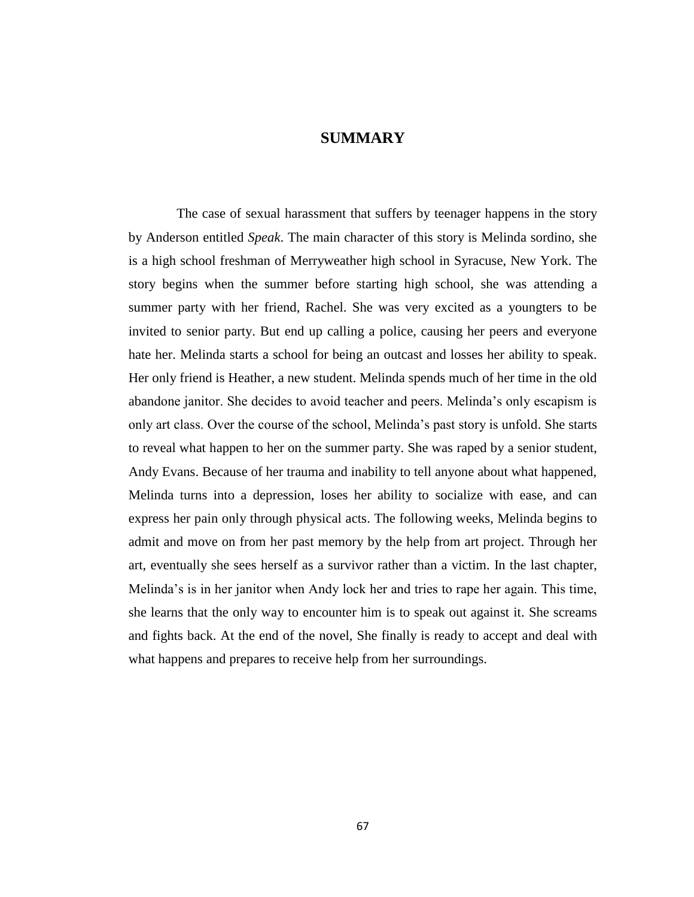### **SUMMARY**

The case of sexual harassment that suffers by teenager happens in the story by Anderson entitled *Speak*. The main character of this story is Melinda sordino, she is a high school freshman of Merryweather high school in Syracuse, New York. The story begins when the summer before starting high school, she was attending a summer party with her friend, Rachel. She was very excited as a youngters to be invited to senior party. But end up calling a police, causing her peers and everyone hate her. Melinda starts a school for being an outcast and losses her ability to speak. Her only friend is Heather, a new student. Melinda spends much of her time in the old abandone janitor. She decides to avoid teacher and peers. Melinda's only escapism is only art class. Over the course of the school, Melinda's past story is unfold. She starts to reveal what happen to her on the summer party. She was raped by a senior student, Andy Evans. Because of her trauma and inability to tell anyone about what happened, Melinda turns into a depression, loses her ability to socialize with ease, and can express her pain only through physical acts. The following weeks, Melinda begins to admit and move on from her past memory by the help from art project. Through her art, eventually she sees herself as a survivor rather than a victim. In the last chapter, Melinda's is in her janitor when Andy lock her and tries to rape her again. This time, she learns that the only way to encounter him is to speak out against it. She screams and fights back. At the end of the novel, She finally is ready to accept and deal with what happens and prepares to receive help from her surroundings.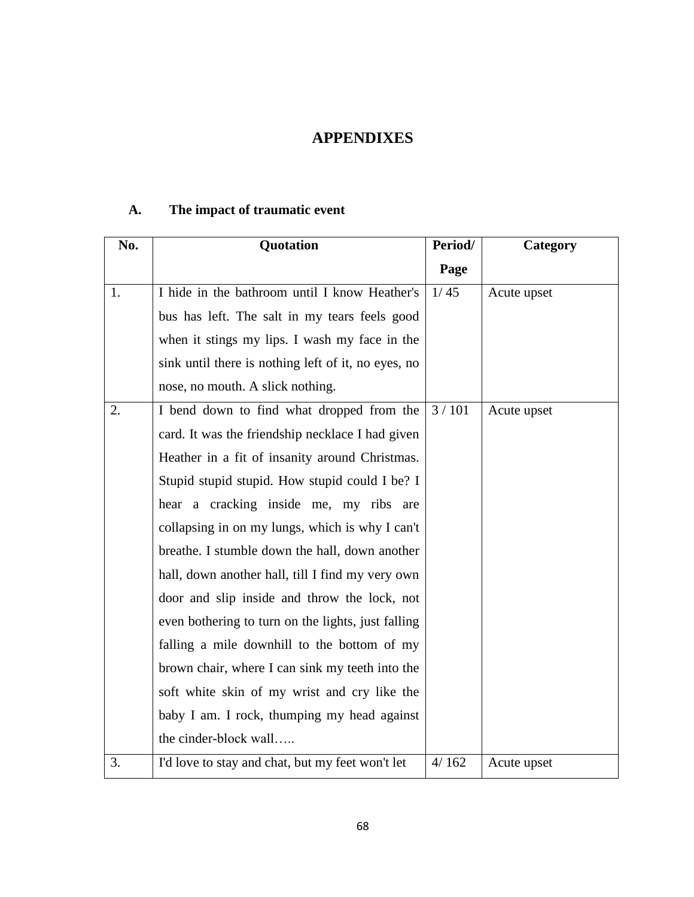## **APPENDIXES**

## **A. The impact of traumatic event**

| No. | Quotation                                           | Period/ | Category    |
|-----|-----------------------------------------------------|---------|-------------|
|     |                                                     | Page    |             |
| 1.  | I hide in the bathroom until I know Heather's       | 1/45    | Acute upset |
|     | bus has left. The salt in my tears feels good       |         |             |
|     | when it stings my lips. I wash my face in the       |         |             |
|     | sink until there is nothing left of it, no eyes, no |         |             |
|     | nose, no mouth. A slick nothing.                    |         |             |
| 2.  | I bend down to find what dropped from the           | 3/101   | Acute upset |
|     | card. It was the friendship necklace I had given    |         |             |
|     | Heather in a fit of insanity around Christmas.      |         |             |
|     | Stupid stupid stupid. How stupid could I be? I      |         |             |
|     | hear a cracking inside me, my ribs are              |         |             |
|     | collapsing in on my lungs, which is why I can't     |         |             |
|     | breathe. I stumble down the hall, down another      |         |             |
|     | hall, down another hall, till I find my very own    |         |             |
|     | door and slip inside and throw the lock, not        |         |             |
|     | even bothering to turn on the lights, just falling  |         |             |
|     | falling a mile downhill to the bottom of my         |         |             |
|     | brown chair, where I can sink my teeth into the     |         |             |
|     | soft white skin of my wrist and cry like the        |         |             |
|     | baby I am. I rock, thumping my head against         |         |             |
|     | the cinder-block wall                               |         |             |
| 3.  | I'd love to stay and chat, but my feet won't let    | 4/162   | Acute upset |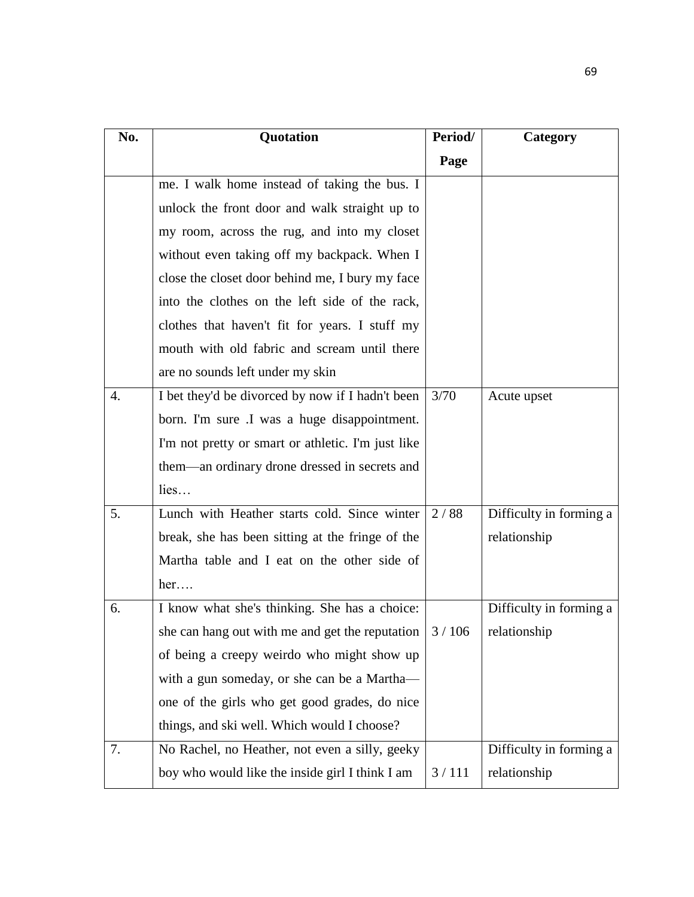| No. | Quotation                                                       | Period/ | Category                |
|-----|-----------------------------------------------------------------|---------|-------------------------|
|     |                                                                 | Page    |                         |
|     | me. I walk home instead of taking the bus. I                    |         |                         |
|     | unlock the front door and walk straight up to                   |         |                         |
|     | my room, across the rug, and into my closet                     |         |                         |
|     | without even taking off my backpack. When I                     |         |                         |
|     | close the closet door behind me, I bury my face                 |         |                         |
|     | into the clothes on the left side of the rack,                  |         |                         |
|     | clothes that haven't fit for years. I stuff my                  |         |                         |
|     | mouth with old fabric and scream until there                    |         |                         |
|     | are no sounds left under my skin                                |         |                         |
| 4.  | I bet they'd be divorced by now if I hadn't been                | 3/70    | Acute upset             |
|     | born. I'm sure .I was a huge disappointment.                    |         |                         |
|     | I'm not pretty or smart or athletic. I'm just like              |         |                         |
|     | them—an ordinary drone dressed in secrets and                   |         |                         |
|     | lies                                                            |         |                         |
| 5.  | Lunch with Heather starts cold. Since winter                    | 2/88    | Difficulty in forming a |
|     | break, she has been sitting at the fringe of the                |         | relationship            |
|     | Martha table and I eat on the other side of                     |         |                         |
|     | her                                                             |         |                         |
| 6.  | I know what she's thinking. She has a choice:                   |         | Difficulty in forming a |
|     | she can hang out with me and get the reputation $\frac{3}{106}$ |         | relationship            |
|     | of being a creepy weirdo who might show up                      |         |                         |
|     | with a gun someday, or she can be a Martha-                     |         |                         |
|     | one of the girls who get good grades, do nice                   |         |                         |
|     | things, and ski well. Which would I choose?                     |         |                         |
| 7.  | No Rachel, no Heather, not even a silly, geeky                  |         | Difficulty in forming a |
|     | boy who would like the inside girl I think I am                 | 3/111   | relationship            |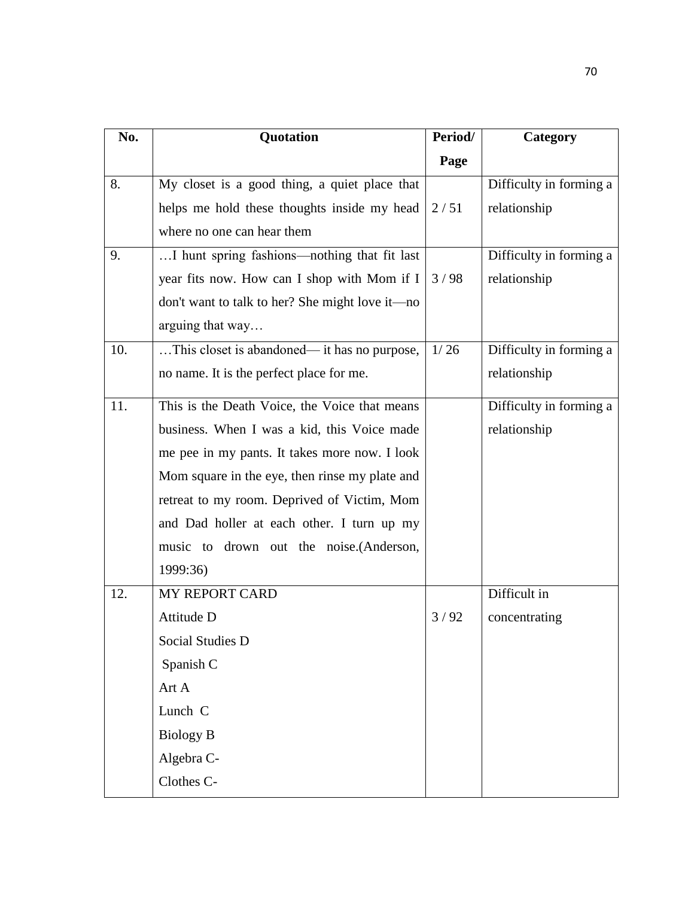| No. | Quotation                                       | Period/ | Category                |
|-----|-------------------------------------------------|---------|-------------------------|
|     |                                                 | Page    |                         |
| 8.  | My closet is a good thing, a quiet place that   |         | Difficulty in forming a |
|     | helps me hold these thoughts inside my head     | 2/51    | relationship            |
|     | where no one can hear them                      |         |                         |
| 9.  | I hunt spring fashions—nothing that fit last    |         | Difficulty in forming a |
|     | year fits now. How can I shop with Mom if I     | 3/98    | relationship            |
|     | don't want to talk to her? She might love it—no |         |                         |
|     | arguing that way                                |         |                         |
| 10. | This closet is abandoned— it has no purpose,    | 1/26    | Difficulty in forming a |
|     | no name. It is the perfect place for me.        |         | relationship            |
| 11. | This is the Death Voice, the Voice that means   |         | Difficulty in forming a |
|     | business. When I was a kid, this Voice made     |         | relationship            |
|     | me pee in my pants. It takes more now. I look   |         |                         |
|     | Mom square in the eye, then rinse my plate and  |         |                         |
|     | retreat to my room. Deprived of Victim, Mom     |         |                         |
|     | and Dad holler at each other. I turn up my      |         |                         |
|     | music to drown out the noise. (Anderson,        |         |                         |
|     | 1999:36)                                        |         |                         |
| 12. | <b>MY REPORT CARD</b>                           |         | Difficult in            |
|     | Attitude D                                      | 3/92    | concentrating           |
|     | Social Studies D                                |         |                         |
|     | Spanish C                                       |         |                         |
|     | Art A                                           |         |                         |
|     | Lunch C                                         |         |                         |
|     | <b>Biology B</b>                                |         |                         |
|     | Algebra C-                                      |         |                         |
|     | Clothes C-                                      |         |                         |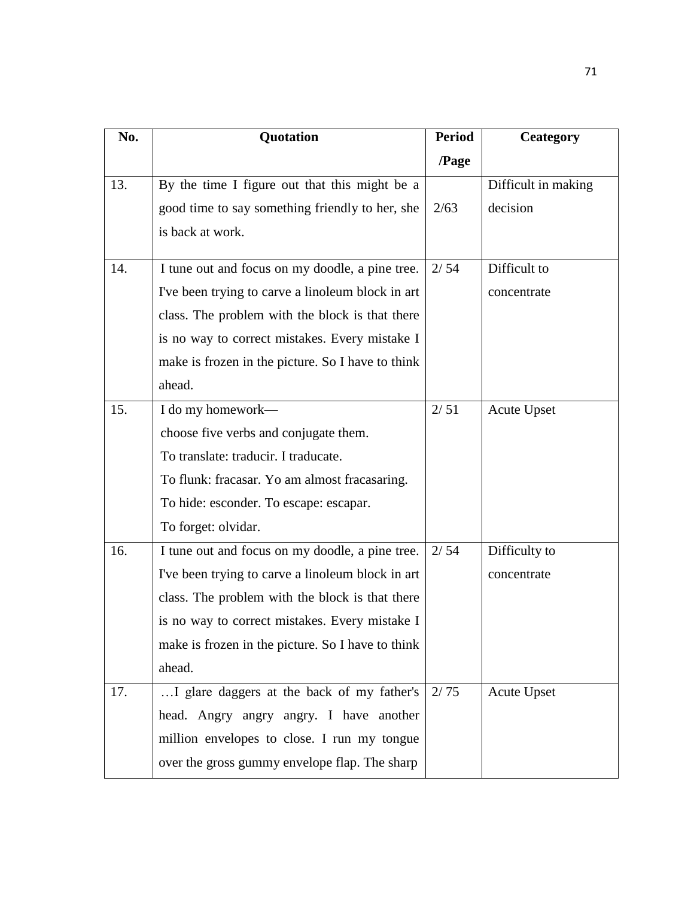| No. | Quotation                                         | <b>Period</b> | <b>Ceategory</b>    |
|-----|---------------------------------------------------|---------------|---------------------|
|     |                                                   | /Page         |                     |
| 13. | By the time I figure out that this might be a     |               | Difficult in making |
|     | good time to say something friendly to her, she   | 2/63          | decision            |
|     | is back at work.                                  |               |                     |
| 14. | I tune out and focus on my doodle, a pine tree.   | 2/54          | Difficult to        |
|     | I've been trying to carve a linoleum block in art |               | concentrate         |
|     | class. The problem with the block is that there   |               |                     |
|     | is no way to correct mistakes. Every mistake I    |               |                     |
|     | make is frozen in the picture. So I have to think |               |                     |
|     | ahead.                                            |               |                     |
| 15. | I do my homework—                                 | 2/51          | <b>Acute Upset</b>  |
|     | choose five verbs and conjugate them.             |               |                     |
|     | To translate: traducir. I traducate.              |               |                     |
|     | To flunk: fracasar. Yo am almost fracasaring.     |               |                     |
|     | To hide: esconder. To escape: escapar.            |               |                     |
|     | To forget: olvidar.                               |               |                     |
| 16. | I tune out and focus on my doodle, a pine tree.   | 2/54          | Difficulty to       |
|     | I've been trying to carve a linoleum block in art |               | concentrate         |
|     | class. The problem with the block is that there   |               |                     |
|     | is no way to correct mistakes. Every mistake I    |               |                     |
|     | make is frozen in the picture. So I have to think |               |                     |
|     | ahead.                                            |               |                     |
| 17. | I glare daggers at the back of my father's        | 2/75          | <b>Acute Upset</b>  |
|     | head. Angry angry angry. I have another           |               |                     |
|     | million envelopes to close. I run my tongue       |               |                     |
|     | over the gross gummy envelope flap. The sharp     |               |                     |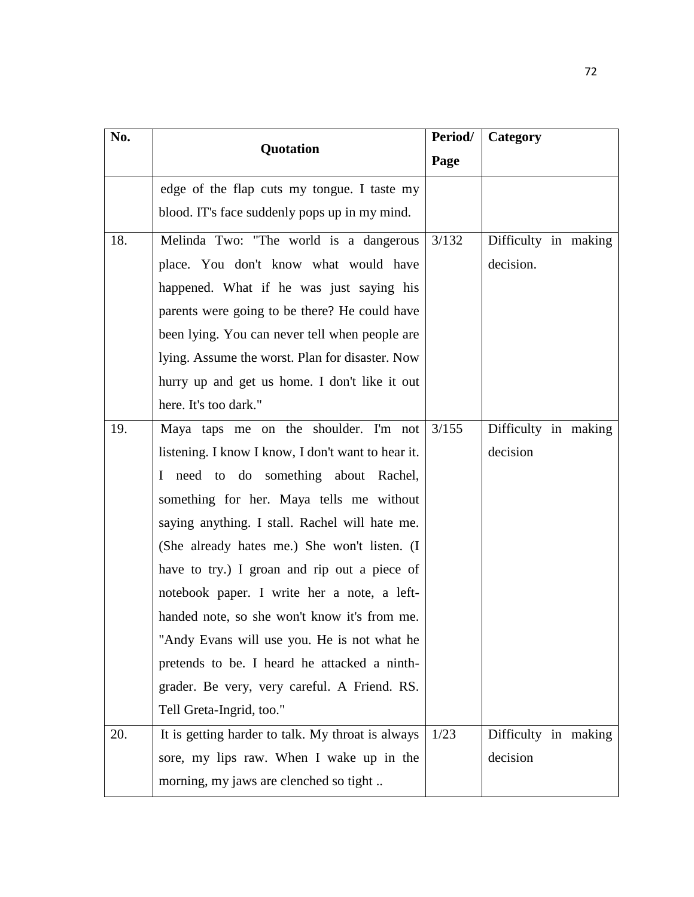| No. | Quotation                                          | Period/ | Category             |
|-----|----------------------------------------------------|---------|----------------------|
|     |                                                    | Page    |                      |
|     | edge of the flap cuts my tongue. I taste my        |         |                      |
|     | blood. IT's face suddenly pops up in my mind.      |         |                      |
| 18. | Melinda Two: "The world is a dangerous             | 3/132   | Difficulty in making |
|     | place. You don't know what would have              |         | decision.            |
|     | happened. What if he was just saying his           |         |                      |
|     | parents were going to be there? He could have      |         |                      |
|     | been lying. You can never tell when people are     |         |                      |
|     | lying. Assume the worst. Plan for disaster. Now    |         |                      |
|     | hurry up and get us home. I don't like it out      |         |                      |
|     | here. It's too dark."                              |         |                      |
| 19. | Maya taps me on the shoulder. I'm not              | 3/155   | Difficulty in making |
|     | listening. I know I know, I don't want to hear it. |         | decision             |
|     | I need to do something about Rachel,               |         |                      |
|     | something for her. Maya tells me without           |         |                      |
|     | saying anything. I stall. Rachel will hate me.     |         |                      |
|     | (She already hates me.) She won't listen. (I       |         |                      |
|     | have to try.) I groan and rip out a piece of       |         |                      |
|     | notebook paper. I write her a note, a left-        |         |                      |
|     | handed note, so she won't know it's from me.       |         |                      |
|     | "Andy Evans will use you. He is not what he        |         |                      |
|     | pretends to be. I heard he attacked a ninth-       |         |                      |
|     | grader. Be very, very careful. A Friend. RS.       |         |                      |
|     | Tell Greta-Ingrid, too."                           |         |                      |
| 20. | It is getting harder to talk. My throat is always  | 1/23    | Difficulty in making |
|     | sore, my lips raw. When I wake up in the           |         | decision             |
|     | morning, my jaws are clenched so tight             |         |                      |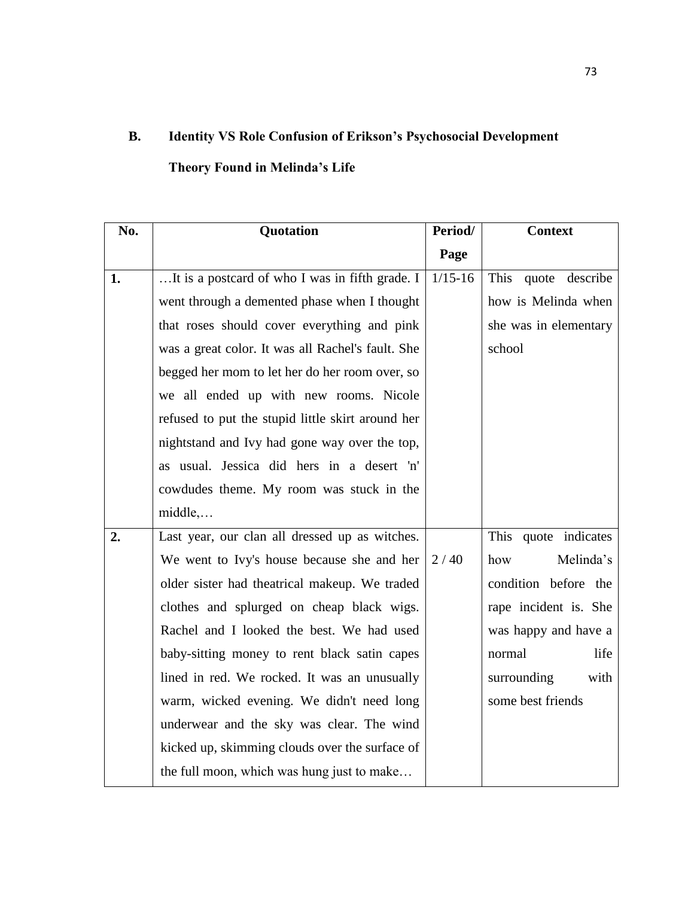## **B. Identity VS Role Confusion of Erikson's Psychosocial Development**

## **Theory Found in Melinda's Life**

| No. | Quotation                                         | Period/     | <b>Context</b>        |
|-----|---------------------------------------------------|-------------|-----------------------|
|     |                                                   | Page        |                       |
| 1.  | It is a postcard of who I was in fifth grade. I   | $1/15 - 16$ | This quote describe   |
|     | went through a demented phase when I thought      |             | how is Melinda when   |
|     | that roses should cover everything and pink       |             | she was in elementary |
|     | was a great color. It was all Rachel's fault. She |             | school                |
|     | begged her mom to let her do her room over, so    |             |                       |
|     | we all ended up with new rooms. Nicole            |             |                       |
|     | refused to put the stupid little skirt around her |             |                       |
|     | nightstand and Ivy had gone way over the top,     |             |                       |
|     | as usual. Jessica did hers in a desert 'n'        |             |                       |
|     | cowdudes theme. My room was stuck in the          |             |                       |
|     | $middle, \ldots$                                  |             |                       |
| 2.  | Last year, our clan all dressed up as witches.    |             | This quote indicates  |
|     | We went to Ivy's house because she and her        | 2/40        | Melinda's<br>how      |
|     | older sister had theatrical makeup. We traded     |             | condition before the  |
|     | clothes and splurged on cheap black wigs.         |             | rape incident is. She |
|     | Rachel and I looked the best. We had used         |             | was happy and have a  |
|     | baby-sitting money to rent black satin capes      |             | life<br>normal        |
|     | lined in red. We rocked. It was an unusually      |             | surrounding<br>with   |
|     | warm, wicked evening. We didn't need long         |             | some best friends     |
|     | underwear and the sky was clear. The wind         |             |                       |
|     | kicked up, skimming clouds over the surface of    |             |                       |
|     | the full moon, which was hung just to make        |             |                       |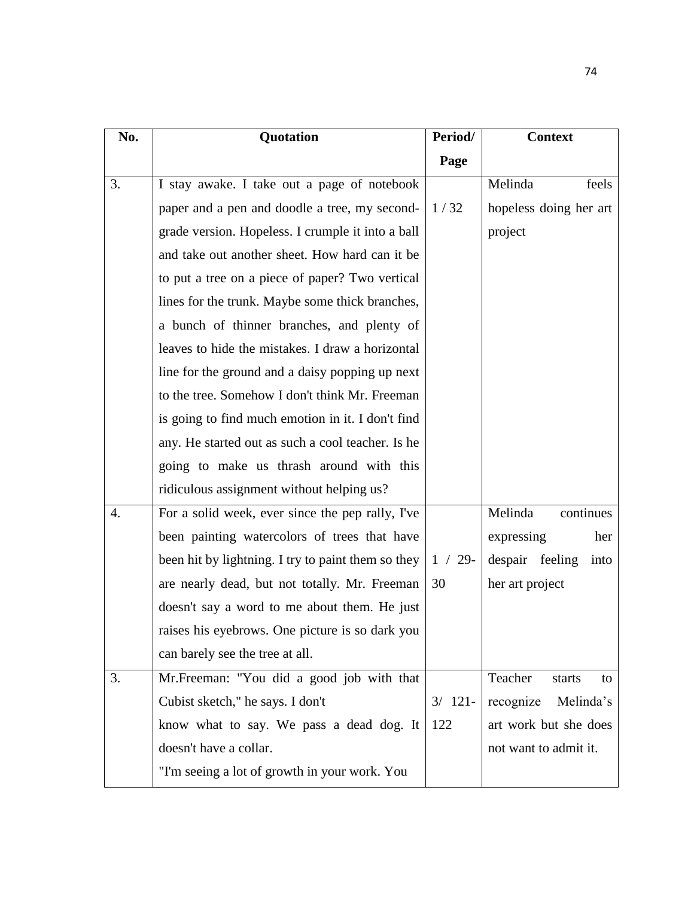| No. | Quotation                                          | Period/    | <b>Context</b>          |
|-----|----------------------------------------------------|------------|-------------------------|
|     |                                                    | Page       |                         |
| 3.  | I stay awake. I take out a page of notebook        |            | Melinda<br>feels        |
|     | paper and a pen and doodle a tree, my second-      | 1/32       | hopeless doing her art  |
|     | grade version. Hopeless. I crumple it into a ball  |            | project                 |
|     | and take out another sheet. How hard can it be     |            |                         |
|     | to put a tree on a piece of paper? Two vertical    |            |                         |
|     | lines for the trunk. Maybe some thick branches,    |            |                         |
|     | a bunch of thinner branches, and plenty of         |            |                         |
|     | leaves to hide the mistakes. I draw a horizontal   |            |                         |
|     | line for the ground and a daisy popping up next    |            |                         |
|     | to the tree. Somehow I don't think Mr. Freeman     |            |                         |
|     | is going to find much emotion in it. I don't find  |            |                         |
|     | any. He started out as such a cool teacher. Is he  |            |                         |
|     | going to make us thrash around with this           |            |                         |
|     | ridiculous assignment without helping us?          |            |                         |
| 4.  | For a solid week, ever since the pep rally, I've   |            | Melinda<br>continues    |
|     | been painting watercolors of trees that have       |            | expressing<br>her       |
|     | been hit by lightning. I try to paint them so they | $1 / 29$ - | despair feeling<br>into |
|     | are nearly dead, but not totally. Mr. Freeman      | 30         | her art project         |
|     | doesn't say a word to me about them. He just       |            |                         |
|     | raises his eyebrows. One picture is so dark you    |            |                         |
|     | can barely see the tree at all.                    |            |                         |
| 3.  | Mr. Freeman: "You did a good job with that         |            | Teacher<br>starts<br>to |
|     | Cubist sketch," he says. I don't                   | $3/121-$   | recognize<br>Melinda's  |
|     | know what to say. We pass a dead dog. It           | 122        | art work but she does   |
|     | doesn't have a collar.                             |            | not want to admit it.   |
|     | "I'm seeing a lot of growth in your work. You      |            |                         |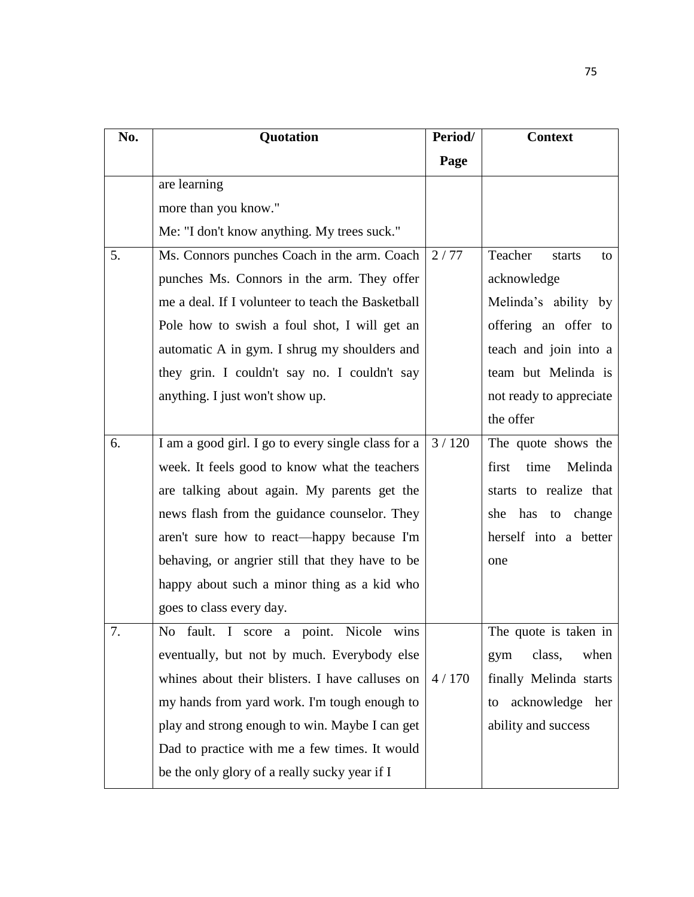| No. | Quotation                                          | Period/ | <b>Context</b>           |
|-----|----------------------------------------------------|---------|--------------------------|
|     |                                                    | Page    |                          |
|     | are learning                                       |         |                          |
|     | more than you know."                               |         |                          |
|     | Me: "I don't know anything. My trees suck."        |         |                          |
| 5.  | Ms. Connors punches Coach in the arm. Coach        | 2/77    | Teacher<br>starts<br>to  |
|     | punches Ms. Connors in the arm. They offer         |         | acknowledge              |
|     | me a deal. If I volunteer to teach the Basketball  |         | Melinda's ability by     |
|     | Pole how to swish a foul shot, I will get an       |         | offering an offer to     |
|     | automatic A in gym. I shrug my shoulders and       |         | teach and join into a    |
|     | they grin. I couldn't say no. I couldn't say       |         | team but Melinda is      |
|     | anything. I just won't show up.                    |         | not ready to appreciate  |
|     |                                                    |         | the offer                |
| 6.  | I am a good girl. I go to every single class for a | 3/120   | The quote shows the      |
|     | week. It feels good to know what the teachers      |         | Melinda<br>first<br>time |
|     | are talking about again. My parents get the        |         | starts to realize that   |
|     | news flash from the guidance counselor. They       |         | has to<br>she<br>change  |
|     | aren't sure how to react—happy because I'm         |         | herself into a better    |
|     | behaving, or angrier still that they have to be    |         | one                      |
|     | happy about such a minor thing as a kid who        |         |                          |
|     | goes to class every day.                           |         |                          |
| 7.  | No fault. I score a point. Nicole wins             |         | The quote is taken in    |
|     | eventually, but not by much. Everybody else        |         | when<br>class,<br>gym    |
|     | whines about their blisters. I have calluses on    | 4/170   | finally Melinda starts   |
|     | my hands from yard work. I'm tough enough to       |         | acknowledge her<br>to    |
|     | play and strong enough to win. Maybe I can get     |         | ability and success      |
|     | Dad to practice with me a few times. It would      |         |                          |
|     | be the only glory of a really sucky year if I      |         |                          |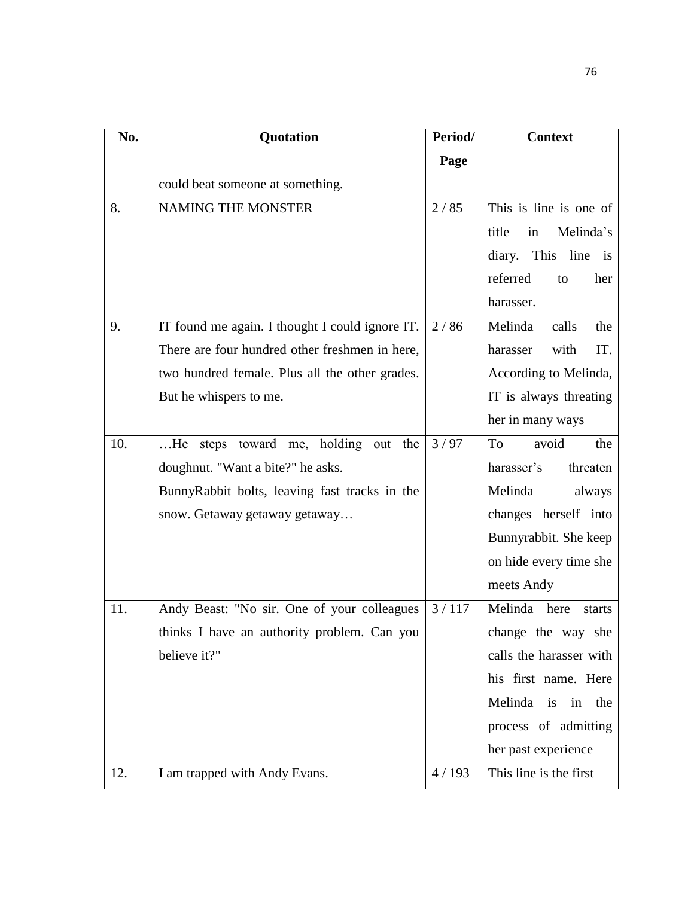| No. | Quotation                                       | Period/ | <b>Context</b>           |
|-----|-------------------------------------------------|---------|--------------------------|
|     |                                                 | Page    |                          |
|     | could beat someone at something.                |         |                          |
| 8.  | NAMING THE MONSTER                              | 2/85    | This is line is one of   |
|     |                                                 |         | title<br>Melinda's<br>in |
|     |                                                 |         | diary. This line is      |
|     |                                                 |         | referred<br>her<br>to    |
|     |                                                 |         | harasser.                |
| 9.  | IT found me again. I thought I could ignore IT. | 2/86    | Melinda<br>calls<br>the  |
|     | There are four hundred other freshmen in here,  |         | with<br>IT.<br>harasser  |
|     | two hundred female. Plus all the other grades.  |         | According to Melinda,    |
|     | But he whispers to me.                          |         | IT is always threating   |
|     |                                                 |         | her in many ways         |
| 10. | He steps toward me, holding out the             | 3/97    | To<br>avoid<br>the       |
|     | doughnut. "Want a bite?" he asks.               |         | harasser's<br>threaten   |
|     | BunnyRabbit bolts, leaving fast tracks in the   |         | Melinda<br>always        |
|     | snow. Getaway getaway getaway                   |         | changes herself into     |
|     |                                                 |         | Bunnyrabbit. She keep    |
|     |                                                 |         | on hide every time she   |
|     |                                                 |         | meets Andy               |
| 11. | Andy Beast: "No sir. One of your colleagues     | 3/117   | Melinda here<br>starts   |
|     | thinks I have an authority problem. Can you     |         | change the way she       |
|     | believe it?"                                    |         | calls the harasser with  |
|     |                                                 |         | his first name. Here     |
|     |                                                 |         | Melinda is in the        |
|     |                                                 |         | process of admitting     |
|     |                                                 |         | her past experience      |
| 12. | I am trapped with Andy Evans.                   | 4/193   | This line is the first   |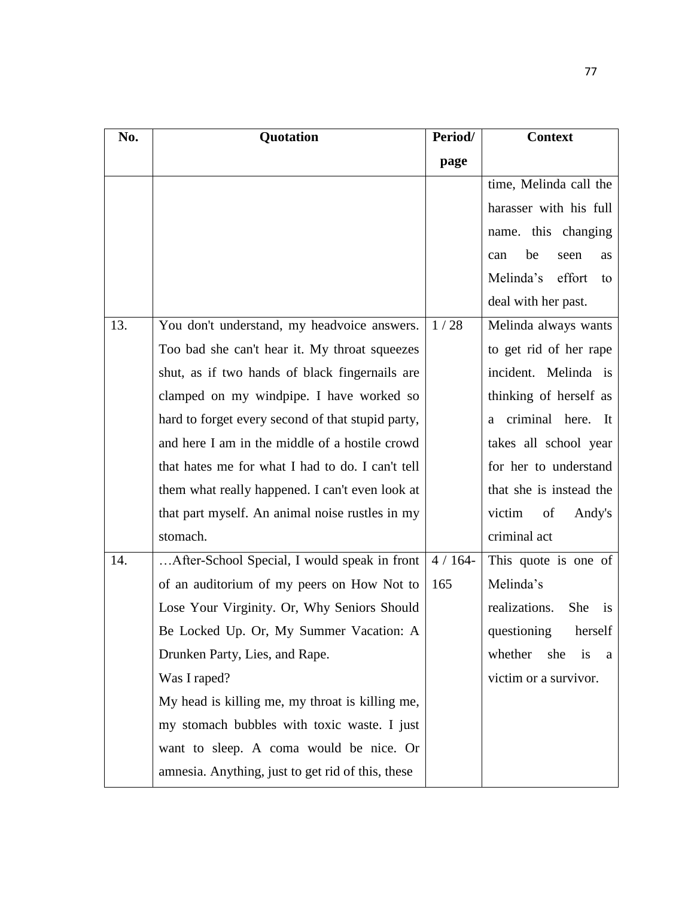| No. | Quotation                                         | Period/ | <b>Context</b>             |
|-----|---------------------------------------------------|---------|----------------------------|
|     |                                                   | page    |                            |
|     |                                                   |         | time, Melinda call the     |
|     |                                                   |         | harasser with his full     |
|     |                                                   |         | name. this changing        |
|     |                                                   |         | be<br>seen<br>can<br>as    |
|     |                                                   |         | Melinda's<br>effort<br>to  |
|     |                                                   |         | deal with her past.        |
| 13. | You don't understand, my headvoice answers.       | 1/28    | Melinda always wants       |
|     | Too bad she can't hear it. My throat squeezes     |         | to get rid of her rape     |
|     | shut, as if two hands of black fingernails are    |         | incident. Melinda is       |
|     | clamped on my windpipe. I have worked so          |         | thinking of herself as     |
|     | hard to forget every second of that stupid party, |         | a criminal here. It        |
|     | and here I am in the middle of a hostile crowd    |         | takes all school year      |
|     | that hates me for what I had to do. I can't tell  |         | for her to understand      |
|     | them what really happened. I can't even look at   |         | that she is instead the    |
|     | that part myself. An animal noise rustles in my   |         | victim<br>of<br>Andy's     |
|     | stomach.                                          |         | criminal act               |
| 14. | After-School Special, I would speak in front      | 4/164   | This quote is one of       |
|     | of an auditorium of my peers on How Not to        | 165     | Melinda's                  |
|     | Lose Your Virginity. Or, Why Seniors Should       |         | realizations.<br>She<br>is |
|     | Be Locked Up. Or, My Summer Vacation: A           |         | questioning herself        |
|     | Drunken Party, Lies, and Rape.                    |         | whether<br>she<br>is<br>a  |
|     | Was I raped?                                      |         | victim or a survivor.      |
|     | My head is killing me, my throat is killing me,   |         |                            |
|     | my stomach bubbles with toxic waste. I just       |         |                            |
|     | want to sleep. A coma would be nice. Or           |         |                            |
|     | amnesia. Anything, just to get rid of this, these |         |                            |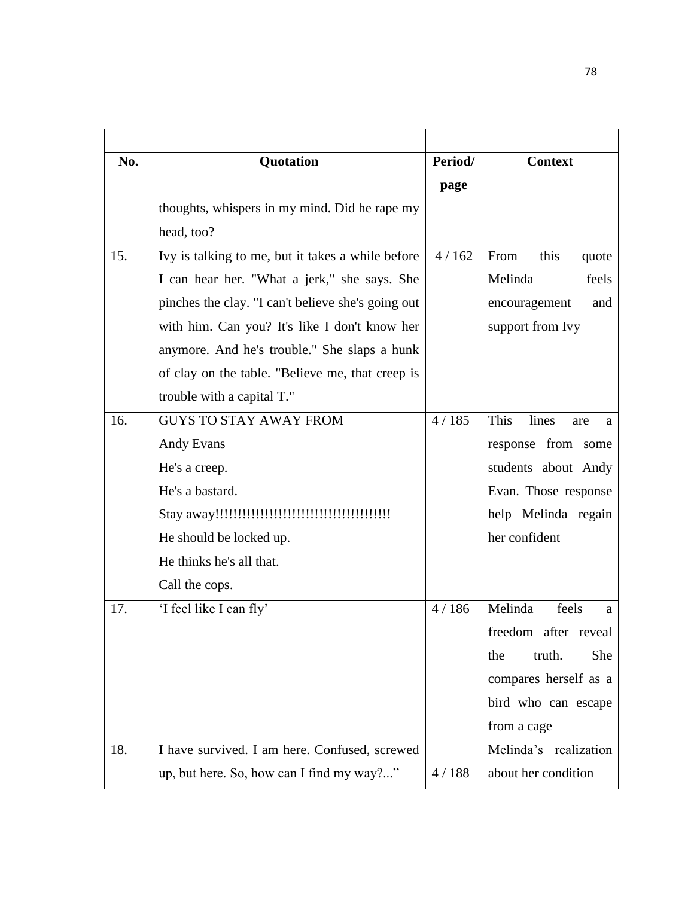| No. | Quotation                                          | Period/ | <b>Context</b>            |
|-----|----------------------------------------------------|---------|---------------------------|
|     |                                                    | page    |                           |
|     | thoughts, whispers in my mind. Did he rape my      |         |                           |
|     | head, too?                                         |         |                           |
| 15. | Ivy is talking to me, but it takes a while before  | 4/162   | this<br>From<br>quote     |
|     | I can hear her. "What a jerk," she says. She       |         | Melinda<br>feels          |
|     | pinches the clay. "I can't believe she's going out |         | encouragement<br>and      |
|     | with him. Can you? It's like I don't know her      |         | support from Ivy          |
|     | anymore. And he's trouble." She slaps a hunk       |         |                           |
|     | of clay on the table. "Believe me, that creep is   |         |                           |
|     | trouble with a capital T."                         |         |                           |
| 16. | <b>GUYS TO STAY AWAY FROM</b>                      | 4/185   | This<br>lines<br>are<br>a |
|     | <b>Andy Evans</b>                                  |         | response from some        |
|     | He's a creep.                                      |         | students about Andy       |
|     | He's a bastard.                                    |         | Evan. Those response      |
|     |                                                    |         | help Melinda regain       |
|     | He should be locked up.                            |         | her confident             |
|     | He thinks he's all that.                           |         |                           |
|     | Call the cops.                                     |         |                           |
| 17. | 'I feel like I can fly'                            | 4/186   | Melinda<br>feels<br>a     |
|     |                                                    |         | freedom after reveal      |
|     |                                                    |         | truth.<br>She<br>the      |
|     |                                                    |         | compares herself as a     |
|     |                                                    |         | bird who can escape       |
|     |                                                    |         | from a cage               |
| 18. | I have survived. I am here. Confused, screwed      |         | Melinda's realization     |
|     | up, but here. So, how can I find my way?"          | 4/188   | about her condition       |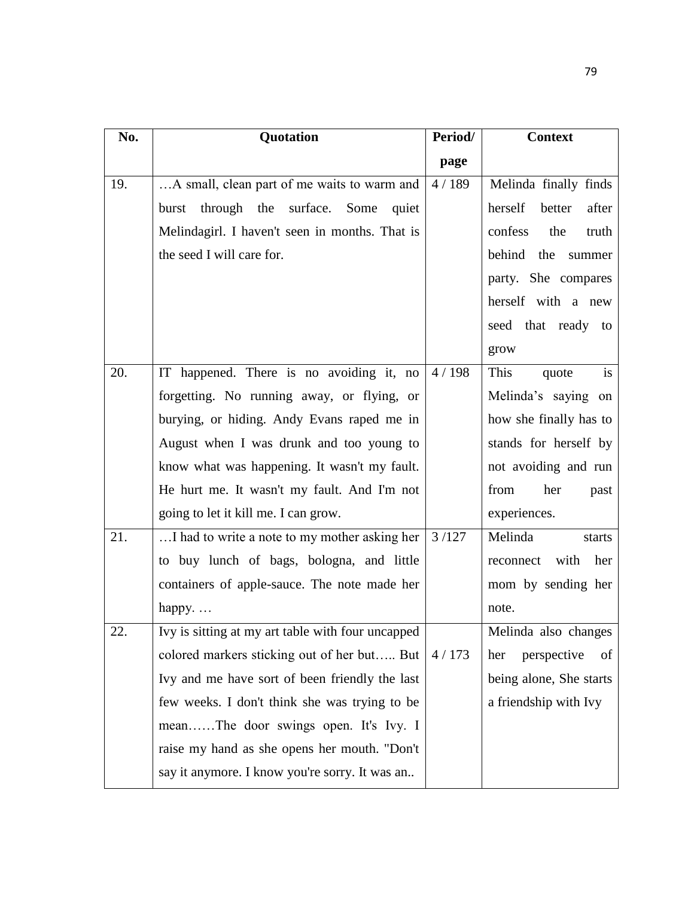| No. | Quotation                                         | Period/ | <b>Context</b>             |
|-----|---------------------------------------------------|---------|----------------------------|
|     |                                                   | page    |                            |
| 19. | A small, clean part of me waits to warm and       | 4/189   | Melinda finally finds      |
|     | through the surface.<br>Some<br>burst<br>quiet    |         | herself<br>better<br>after |
|     | Melindagirl. I haven't seen in months. That is    |         | confess<br>the<br>truth    |
|     | the seed I will care for.                         |         | behind the summer          |
|     |                                                   |         | party. She compares        |
|     |                                                   |         | herself with a new         |
|     |                                                   |         | seed that ready to         |
|     |                                                   |         | grow                       |
| 20. | IT happened. There is no avoiding it, no          | 4/198   | This<br>is<br>quote        |
|     | forgetting. No running away, or flying, or        |         | Melinda's saying on        |
|     | burying, or hiding. Andy Evans raped me in        |         | how she finally has to     |
|     | August when I was drunk and too young to          |         | stands for herself by      |
|     | know what was happening. It wasn't my fault.      |         | not avoiding and run       |
|     | He hurt me. It wasn't my fault. And I'm not       |         | from<br>her<br>past        |
|     | going to let it kill me. I can grow.              |         | experiences.               |
| 21. | I had to write a note to my mother asking her     | 3/127   | Melinda<br>starts          |
|     | to buy lunch of bags, bologna, and little         |         | reconnect with<br>her      |
|     | containers of apple-sauce. The note made her      |         | mom by sending her         |
|     | happy                                             |         | note.                      |
| 22. | Ivy is sitting at my art table with four uncapped |         | Melinda also changes       |
|     | colored markers sticking out of her but But       | 4/173   | perspective<br>of<br>her   |
|     | Ivy and me have sort of been friendly the last    |         | being alone, She starts    |
|     | few weeks. I don't think she was trying to be     |         | a friendship with Ivy      |
|     | meanThe door swings open. It's Ivy. I             |         |                            |
|     | raise my hand as she opens her mouth. "Don't      |         |                            |
|     | say it anymore. I know you're sorry. It was an    |         |                            |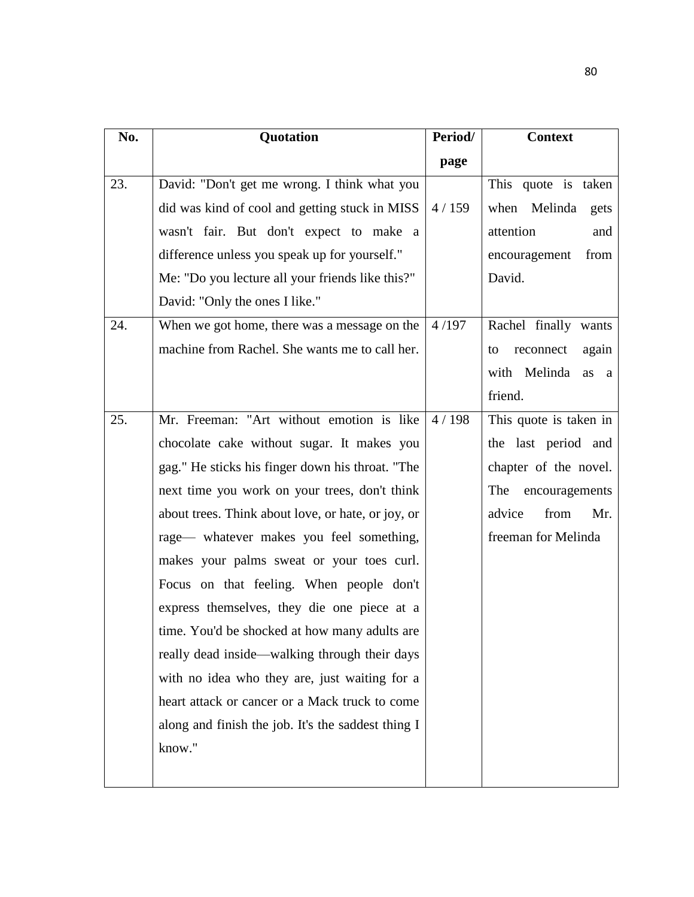| No. | Quotation                                          | Period/ | <b>Context</b>           |
|-----|----------------------------------------------------|---------|--------------------------|
|     |                                                    | page    |                          |
| 23. | David: "Don't get me wrong. I think what you       |         | This quote is taken      |
|     | did was kind of cool and getting stuck in MISS     | 4/159   | when Melinda<br>gets     |
|     | wasn't fair. But don't expect to make a            |         | attention<br>and         |
|     | difference unless you speak up for yourself."      |         | from<br>encouragement    |
|     | Me: "Do you lecture all your friends like this?"   |         | David.                   |
|     | David: "Only the ones I like."                     |         |                          |
| 24. | When we got home, there was a message on the       | 4/197   | Rachel finally wants     |
|     | machine from Rachel. She wants me to call her.     |         | reconnect<br>again<br>to |
|     |                                                    |         | with Melinda<br>as a     |
|     |                                                    |         | friend.                  |
| 25. | Mr. Freeman: "Art without emotion is like          | 4/198   | This quote is taken in   |
|     | chocolate cake without sugar. It makes you         |         | the last period and      |
|     | gag." He sticks his finger down his throat. "The   |         | chapter of the novel.    |
|     | next time you work on your trees, don't think      |         | The encouragements       |
|     | about trees. Think about love, or hate, or joy, or |         | advice<br>from<br>Mr.    |
|     | rage— whatever makes you feel something,           |         | freeman for Melinda      |
|     | makes your palms sweat or your toes curl.          |         |                          |
|     | Focus on that feeling. When people don't           |         |                          |
|     | express themselves, they die one piece at a        |         |                          |
|     | time. You'd be shocked at how many adults are      |         |                          |
|     | really dead inside—walking through their days      |         |                          |
|     | with no idea who they are, just waiting for a      |         |                          |
|     | heart attack or cancer or a Mack truck to come     |         |                          |
|     | along and finish the job. It's the saddest thing I |         |                          |
|     | know."                                             |         |                          |
|     |                                                    |         |                          |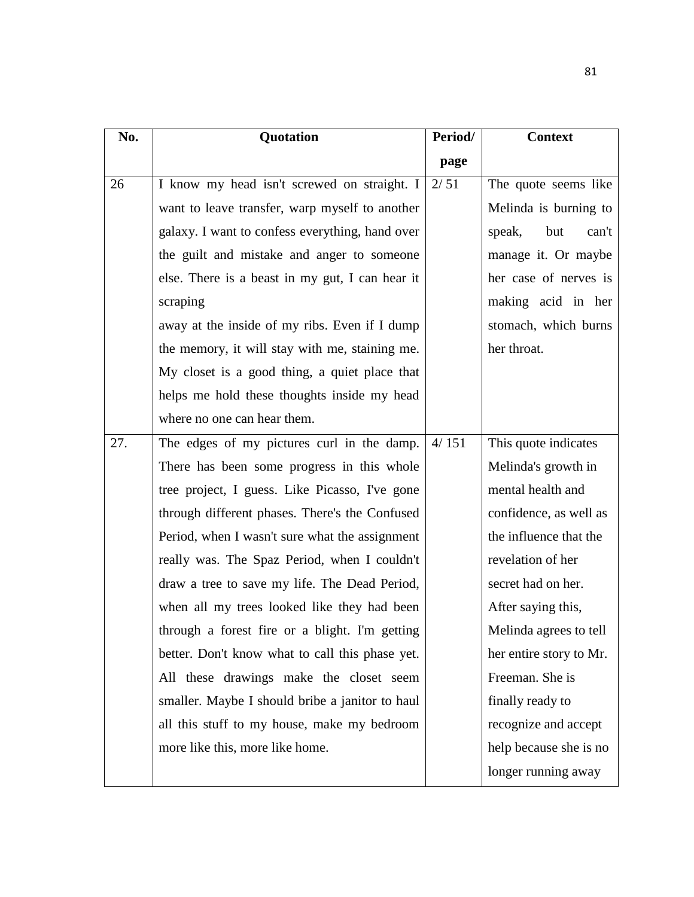| No. | Quotation                                       | Period/ | <b>Context</b>          |
|-----|-------------------------------------------------|---------|-------------------------|
|     |                                                 | page    |                         |
| 26  | I know my head isn't screwed on straight. I     | 2/51    | The quote seems like    |
|     | want to leave transfer, warp myself to another  |         | Melinda is burning to   |
|     | galaxy. I want to confess everything, hand over |         | speak,<br>but<br>can't  |
|     | the guilt and mistake and anger to someone      |         | manage it. Or maybe     |
|     | else. There is a beast in my gut, I can hear it |         | her case of nerves is   |
|     | scraping                                        |         | making acid in her      |
|     | away at the inside of my ribs. Even if I dump   |         | stomach, which burns    |
|     | the memory, it will stay with me, staining me.  |         | her throat.             |
|     | My closet is a good thing, a quiet place that   |         |                         |
|     | helps me hold these thoughts inside my head     |         |                         |
|     | where no one can hear them.                     |         |                         |
| 27. | The edges of my pictures curl in the damp.      | 4/151   | This quote indicates    |
|     | There has been some progress in this whole      |         | Melinda's growth in     |
|     | tree project, I guess. Like Picasso, I've gone  |         | mental health and       |
|     | through different phases. There's the Confused  |         | confidence, as well as  |
|     | Period, when I wasn't sure what the assignment  |         | the influence that the  |
|     | really was. The Spaz Period, when I couldn't    |         | revelation of her       |
|     | draw a tree to save my life. The Dead Period,   |         | secret had on her.      |
|     | when all my trees looked like they had been     |         | After saying this,      |
|     | through a forest fire or a blight. I'm getting  |         | Melinda agrees to tell  |
|     | better. Don't know what to call this phase yet. |         | her entire story to Mr. |
|     | All these drawings make the closet seem         |         | Freeman. She is         |
|     | smaller. Maybe I should bribe a janitor to haul |         | finally ready to        |
|     | all this stuff to my house, make my bedroom     |         | recognize and accept    |
|     | more like this, more like home.                 |         | help because she is no  |
|     |                                                 |         | longer running away     |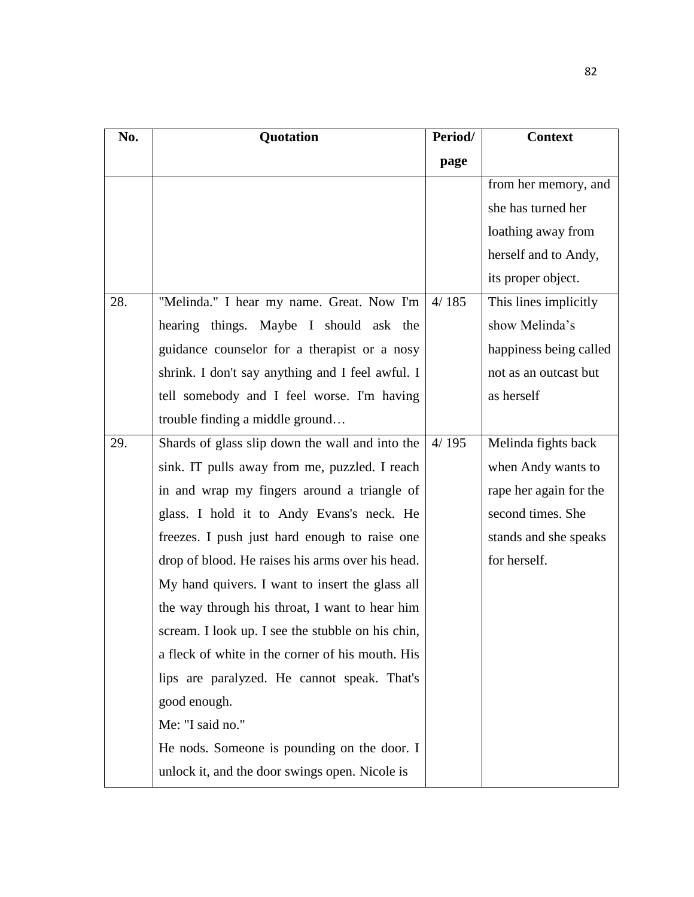| No. | Quotation                                         | Period/ | <b>Context</b>         |
|-----|---------------------------------------------------|---------|------------------------|
|     |                                                   | page    |                        |
|     |                                                   |         | from her memory, and   |
|     |                                                   |         | she has turned her     |
|     |                                                   |         | loathing away from     |
|     |                                                   |         | herself and to Andy,   |
|     |                                                   |         | its proper object.     |
| 28. | "Melinda." I hear my name. Great. Now I'm         | 4/185   | This lines implicitly  |
|     | hearing things. Maybe I should ask the            |         | show Melinda's         |
|     | guidance counselor for a therapist or a nosy      |         | happiness being called |
|     | shrink. I don't say anything and I feel awful. I  |         | not as an outcast but  |
|     | tell somebody and I feel worse. I'm having        |         | as herself             |
|     | trouble finding a middle ground                   |         |                        |
| 29. | Shards of glass slip down the wall and into the   | 4/195   | Melinda fights back    |
|     | sink. IT pulls away from me, puzzled. I reach     |         | when Andy wants to     |
|     | in and wrap my fingers around a triangle of       |         | rape her again for the |
|     | glass. I hold it to Andy Evans's neck. He         |         | second times. She      |
|     | freezes. I push just hard enough to raise one     |         | stands and she speaks  |
|     | drop of blood. He raises his arms over his head.  |         | for herself.           |
|     | My hand quivers. I want to insert the glass all   |         |                        |
|     | the way through his throat, I want to hear him    |         |                        |
|     | scream. I look up. I see the stubble on his chin, |         |                        |
|     | a fleck of white in the corner of his mouth. His  |         |                        |
|     | lips are paralyzed. He cannot speak. That's       |         |                        |
|     | good enough.                                      |         |                        |
|     | Me: "I said no."                                  |         |                        |
|     | He nods. Someone is pounding on the door. I       |         |                        |
|     | unlock it, and the door swings open. Nicole is    |         |                        |